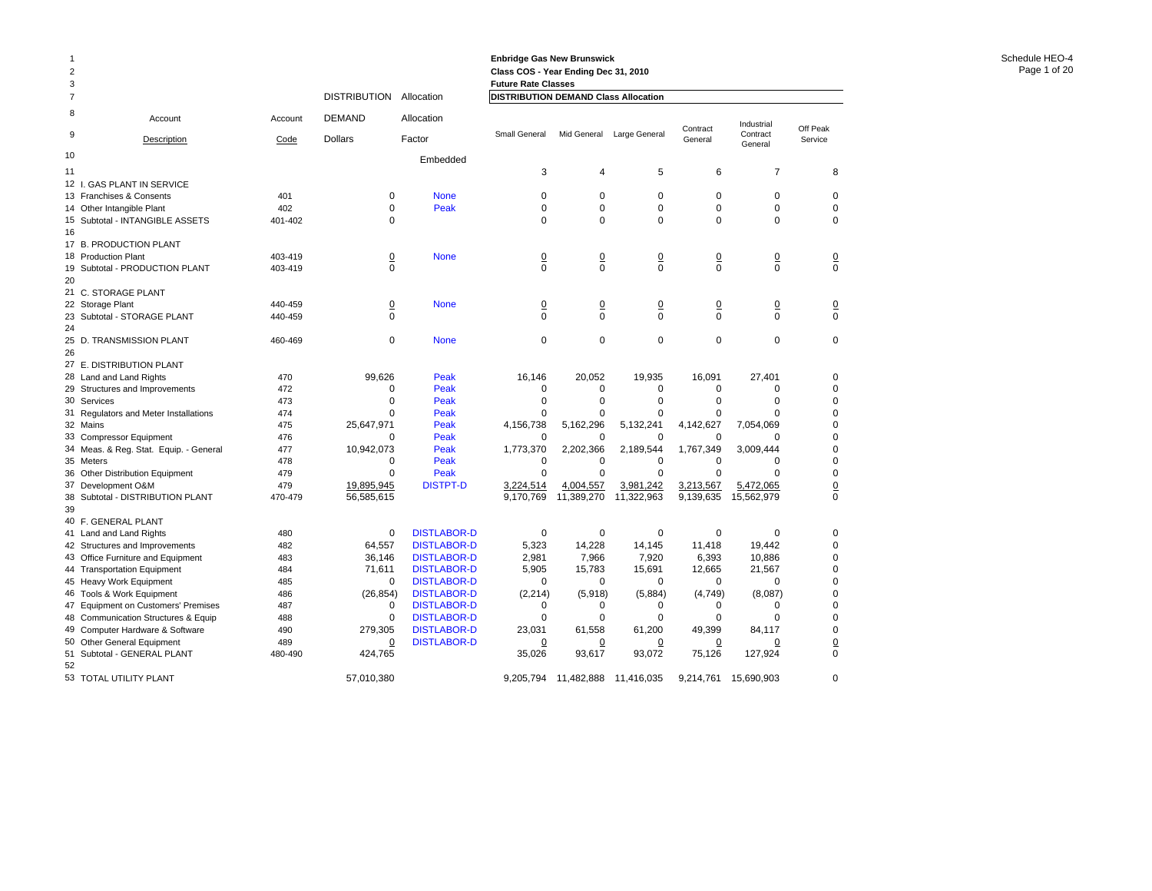#### **Enbridge Gas New Brunswick Class COS - Year Ending Dec 31, 2010 Future Rate Classes**

| 3              |                                        |         |                |                    | <b>Future Rate Classes</b>                  |                |                |                |                        |                 |
|----------------|----------------------------------------|---------|----------------|--------------------|---------------------------------------------|----------------|----------------|----------------|------------------------|-----------------|
| $\overline{7}$ |                                        |         | DISTRIBUTION   | Allocation         | <b>DISTRIBUTION DEMAND Class Allocation</b> |                |                |                |                        |                 |
| 8<br>9         | Account                                | Account | <b>DEMAND</b>  | Allocation         | <b>Small General</b>                        | Mid General    | Large General  | Contract       | Industrial<br>Contract | Off Peak        |
|                | Description                            | Code    | Dollars        | Factor             |                                             |                |                | General        | General                | Service         |
| 10             |                                        |         |                | Embedded           |                                             |                |                |                |                        |                 |
| 11             |                                        |         |                |                    | 3                                           | 4              | 5              | 6              | 7                      | 8               |
|                | 12 I. GAS PLANT IN SERVICE             |         |                |                    |                                             |                |                |                |                        |                 |
|                | 13 Franchises & Consents               | 401     | 0              | <b>None</b>        | 0                                           | $\mathbf 0$    | $\mathbf 0$    | $\mathbf 0$    | 0                      | $\mathbf 0$     |
|                | 14 Other Intangible Plant              | 402     | 0              | Peak               | 0                                           | 0              | $\mathbf 0$    | $\mathbf 0$    | 0                      | 0               |
|                | 15 Subtotal - INTANGIBLE ASSETS        | 401-402 | $\Omega$       |                    | $\mathbf 0$                                 | $\Omega$       | $\Omega$       | $\Omega$       | 0                      | $\mathbf 0$     |
| 16             |                                        |         |                |                    |                                             |                |                |                |                        |                 |
|                | 17 B. PRODUCTION PLANT                 |         |                |                    |                                             |                |                |                |                        |                 |
|                | 18 Production Plant                    | 403-419 | $\overline{0}$ | <b>None</b>        | $\overline{0}$                              | $\frac{0}{0}$  | $\frac{0}{0}$  | $\overline{0}$ | <u>0</u>               | $\frac{0}{0}$   |
|                | 19 Subtotal - PRODUCTION PLANT         | 403-419 | $\Omega$       |                    | $\Omega$                                    |                |                | $\Omega$       | $\Omega$               |                 |
| 20             |                                        |         |                |                    |                                             |                |                |                |                        |                 |
|                | 21 C. STORAGE PLANT                    |         |                |                    |                                             |                |                |                |                        |                 |
|                | 22 Storage Plant                       | 440-459 | $\overline{0}$ | <b>None</b>        | $\overline{0}$                              | $\overline{0}$ | $\overline{0}$ | $\overline{0}$ | <u>0</u>               | $\frac{0}{0}$   |
|                | 23 Subtotal - STORAGE PLANT            | 440-459 | 0              |                    | 0                                           | 0              | $\mathbf 0$    | $\Omega$       | 0                      |                 |
| 24             |                                        |         |                |                    |                                             |                |                |                |                        |                 |
|                | 25 D. TRANSMISSION PLANT               | 460-469 | 0              | <b>None</b>        | 0                                           | $\mathbf 0$    | $\mathbf 0$    | $\mathbf 0$    | 0                      | 0               |
| 26             |                                        |         |                |                    |                                             |                |                |                |                        |                 |
|                | 27 E. DISTRIBUTION PLANT               |         |                |                    |                                             |                |                |                |                        |                 |
|                | 28 Land and Land Rights                | 470     | 99,626         | Peak               | 16,146                                      | 20,052         | 19,935         | 16,091         | 27,401                 | 0               |
|                | 29 Structures and Improvements         | 472     | 0              | Peak               | $\mathbf 0$                                 | $\mathbf 0$    | $\mathbf 0$    | $\Omega$       | $\Omega$               | $\mathbf 0$     |
|                | 30 Services                            | 473     | 0              | Peak               | $\Omega$                                    | $\mathbf 0$    | $\mathbf 0$    | $\Omega$       | $\Omega$               | 0               |
|                | 31 Regulators and Meter Installations  | 474     | $\Omega$       | Peak               | $\Omega$                                    | 0              | 0              | $\mathbf 0$    | $\Omega$               | 0               |
|                | 32 Mains                               | 475     | 25,647,971     | Peak               | 4,156,738                                   | 5,162,296      | 5,132,241      | 4,142,627      | 7,054,069              | $\mathbf 0$     |
|                | 33 Compressor Equipment                | 476     | $\Omega$       | Peak               | $\Omega$                                    | $\Omega$       | $\Omega$       | $\Omega$       | $\Omega$               | 0               |
|                | 34 Meas. & Reg. Stat. Equip. - General | 477     | 10,942,073     | Peak               | 1,773,370                                   | 2,202,366      | 2,189,544      | 1,767,349      | 3,009,444              | 0               |
|                | 35 Meters                              | 478     | 0              | Peak               | $\mathbf 0$                                 | $\mathbf 0$    | 0              | $\mathbf 0$    | $\Omega$               | 0               |
|                | 36 Other Distribution Equipment        | 479     | $\Omega$       | Peak               | $\Omega$                                    | $\Omega$       | $\Omega$       | $\Omega$       | $\Omega$               | $\mathbf 0$     |
| 37             | Development O&M                        | 479     | 19,895,945     | <b>DISTPT-D</b>    | 3,224,514                                   | 4,004,557      | 3,981,242      | 3,213,567      | 5,472,065              | $\underline{0}$ |
|                | 38 Subtotal - DISTRIBUTION PLANT       | 470-479 | 56,585,615     |                    | 9,170,769                                   | 11,389,270     | 11,322,963     | 9,139,635      | 15,562,979             | $\mathbf 0$     |
| 39             |                                        |         |                |                    |                                             |                |                |                |                        |                 |
|                | 40 F. GENERAL PLANT                    |         |                |                    |                                             |                |                |                |                        |                 |
|                | 41 Land and Land Rights                | 480     | 0              | <b>DISTLABOR-D</b> | $\mathbf 0$                                 | $\mathbf 0$    | $\mathbf 0$    | $\Omega$       | $\Omega$               | 0               |
|                | 42 Structures and Improvements         | 482     | 64,557         | <b>DISTLABOR-D</b> | 5,323                                       | 14,228         | 14,145         | 11,418         | 19,442                 | 0               |
|                | 43 Office Furniture and Equipment      | 483     | 36,146         | <b>DISTLABOR-D</b> | 2,981                                       | 7,966          | 7,920          | 6,393          | 10,886                 | 0               |
|                | 44 Transportation Equipment            | 484     | 71,611         | <b>DISTLABOR-D</b> | 5,905                                       | 15,783         | 15,691         | 12,665         | 21,567                 | 0               |
|                | 45 Heavy Work Equipment                | 485     | $\mathbf 0$    | <b>DISTLABOR-D</b> | $\Omega$                                    | $\Omega$       | $\Omega$       | $\Omega$       | $\Omega$               | $\mathbf 0$     |
|                | 46 Tools & Work Equipment              | 486     | (26, 854)      | <b>DISTLABOR-D</b> | (2, 214)                                    | (5,918)        | (5,884)        | (4,749)        | (8,087)                | 0               |
|                | 47 Equipment on Customers' Premises    | 487     | 0              | <b>DISTLABOR-D</b> | 0                                           | 0              | 0              | 0              | 0                      | 0               |
|                | 48 Communication Structures & Equip    | 488     | 0              | <b>DISTLABOR-D</b> | 0                                           | $\mathbf 0$    | $\Omega$       | $\Omega$       | $\Omega$               | $\mathbf 0$     |
|                | 49 Computer Hardware & Software        | 490     | 279,305        | <b>DISTLABOR-D</b> | 23,031                                      | 61,558         | 61,200         | 49,399         | 84,117                 | $\mathbf 0$     |
|                | 50 Other General Equipment             | 489     | <u>0</u>       | <b>DISTLABOR-D</b> | $\overline{0}$                              | <u>0</u>       | $\overline{0}$ | $\overline{0}$ | <u>0</u>               | $\overline{0}$  |
| 52             | 51 Subtotal - GENERAL PLANT            | 480-490 | 424,765        |                    | 35,026                                      | 93,617         | 93,072         | 75,126         | 127,924                | $\mathbf 0$     |
|                | 53 TOTAL UTILITY PLANT                 |         | 57,010,380     |                    | 9,205,794                                   | 11,482,888     | 11,416,035     | 9,214,761      | 15,690,903             | 0               |
|                |                                        |         |                |                    |                                             |                |                |                |                        |                 |

1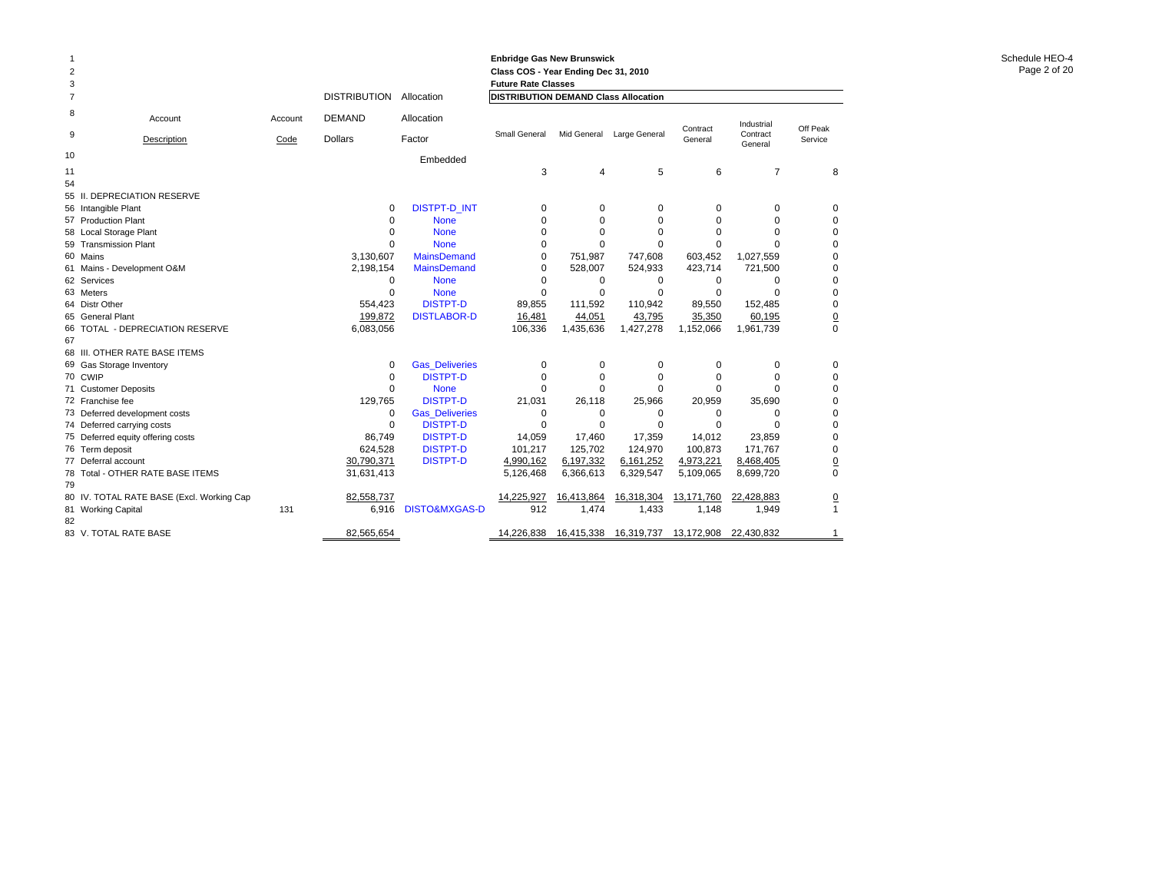#### **Enbridge Gas New Brunswick Class COS - Year Ending Dec 31, 2010 Future Rate Classes**

| 3              |                                           |         |                     |                       | <b>Future Rate Classes</b>                  |            |                           |            |                     |                |
|----------------|-------------------------------------------|---------|---------------------|-----------------------|---------------------------------------------|------------|---------------------------|------------|---------------------|----------------|
| $\overline{7}$ |                                           |         | <b>DISTRIBUTION</b> | Allocation            | <b>DISTRIBUTION DEMAND Class Allocation</b> |            |                           |            |                     |                |
| 8              | Account                                   | Account | <b>DEMAND</b>       | Allocation            |                                             |            |                           | Contract   | Industrial          | Off Peak       |
| 9              | Description                               | Code    | <b>Dollars</b>      | Factor                | <b>Small General</b>                        |            | Mid General Large General | General    | Contract<br>General | Service        |
| 10             |                                           |         |                     | Embedded              |                                             |            |                           |            |                     |                |
| 11             |                                           |         |                     |                       | 3                                           | 4          | 5                         | 6          | $\overline{7}$      | 8              |
| 54             |                                           |         |                     |                       |                                             |            |                           |            |                     |                |
|                | 55 II. DEPRECIATION RESERVE               |         |                     |                       |                                             |            |                           |            |                     |                |
|                | 56 Intangible Plant                       |         | 0                   | <b>DISTPT-D INT</b>   | 0                                           | 0          | 0                         | 0          | 0                   | 0              |
|                | 57 Production Plant                       |         | $\Omega$            | <b>None</b>           | $\Omega$                                    | 0          | $\Omega$                  | $\Omega$   | $\Omega$            | $\Omega$       |
|                | 58 Local Storage Plant                    |         | $\Omega$            | <b>None</b>           | 0                                           | 0          | $\Omega$                  | $\Omega$   | $\Omega$            | 0              |
|                | 59 Transmission Plant                     |         | $\Omega$            | <b>None</b>           | $\Omega$                                    | $\Omega$   | $\Omega$                  | $\Omega$   | $\Omega$            | $\mathbf 0$    |
|                | 60 Mains                                  |         | 3,130,607           | <b>MainsDemand</b>    | 0                                           | 751,987    | 747,608                   | 603,452    | 1,027,559           | 0              |
|                | 61 Mains - Development O&M                |         | 2,198,154           | <b>MainsDemand</b>    | $\Omega$                                    | 528,007    | 524,933                   | 423,714    | 721,500             | 0              |
|                | 62 Services                               |         | 0                   | <b>None</b>           | 0                                           | 0          | 0                         | $\Omega$   | $\Omega$            | $\mathbf 0$    |
|                | 63 Meters                                 |         | $\Omega$            | <b>None</b>           | $\Omega$                                    | $\Omega$   | $\Omega$                  | $\Omega$   | $\Omega$            | 0              |
|                | 64 Distr Other                            |         | 554,423             | <b>DISTPT-D</b>       | 89,855                                      | 111,592    | 110,942                   | 89,550     | 152,485             | $\mathbf 0$    |
|                | 65 General Plant                          |         | 199,872             | <b>DISTLABOR-D</b>    | 16,481                                      | 44,051     | 43,795                    | 35,350     | 60,195              | $\overline{0}$ |
|                | 66 TOTAL - DEPRECIATION RESERVE           |         | 6,083,056           |                       | 106,336                                     | 1,435,636  | 1,427,278                 | 1,152,066  | 1,961,739           | $\Omega$       |
| 67             |                                           |         |                     |                       |                                             |            |                           |            |                     |                |
|                | 68 III. OTHER RATE BASE ITEMS             |         |                     |                       |                                             |            |                           |            |                     |                |
|                | 69 Gas Storage Inventory                  |         | 0                   | <b>Gas Deliveries</b> | 0                                           | $\Omega$   | $\Omega$                  | $\Omega$   | $\Omega$            | 0              |
|                | 70 CWIP                                   |         | 0                   | <b>DISTPT-D</b>       | <sup>0</sup>                                | 0          | $\Omega$                  | $\Omega$   | $\Omega$            | $\Omega$       |
|                | 71 Customer Deposits                      |         | $\Omega$            | <b>None</b>           | $\Omega$                                    | $\Omega$   | $\Omega$                  | $\Omega$   | O                   | $\Omega$       |
|                | 72 Franchise fee                          |         | 129,765             | <b>DISTPT-D</b>       | 21,031                                      | 26,118     | 25,966                    | 20,959     | 35,690              | $\Omega$       |
|                | 73 Deferred development costs             |         | 0                   | <b>Gas Deliveries</b> | 0                                           | $\Omega$   | $\Omega$                  | $\Omega$   | $\Omega$            | $\Omega$       |
|                | 74 Deferred carrying costs                |         | 0                   | <b>DISTPT-D</b>       | 0                                           | $\Omega$   | $\Omega$                  | $\Omega$   | $\Omega$            | $\mathbf 0$    |
|                | 75 Deferred equity offering costs         |         | 86,749              | <b>DISTPT-D</b>       | 14,059                                      | 17,460     | 17,359                    | 14,012     | 23,859              | $\mathbf 0$    |
|                | 76 Term deposit                           |         | 624.528             | <b>DISTPT-D</b>       | 101,217                                     | 125.702    | 124,970                   | 100,873    | 171,767             | $\mathbf 0$    |
|                | 77 Deferral account                       |         | 30,790,371          | <b>DISTPT-D</b>       | 4,990,162                                   | 6,197,332  | 6,161,252                 | 4,973,221  | 8,468,405           | $\overline{0}$ |
| 79             | 78 Total - OTHER RATE BASE ITEMS          |         | 31,631,413          |                       | 5,126,468                                   | 6,366,613  | 6,329,547                 | 5,109,065  | 8,699,720           | $\Omega$       |
|                | 80 IV. TOTAL RATE BASE (Excl. Working Cap |         | 82,558,737          |                       | 14,225,927                                  | 16,413,864 | 16,318,304                | 13,171,760 | 22,428,883          | $\overline{0}$ |
|                | 81 Working Capital                        | 131     | 6,916               | DISTO&MXGAS-D         | 912                                         | 1,474      | 1,433                     | 1,148      | 1,949               | $\mathbf{1}$   |
| 82             |                                           |         |                     |                       |                                             |            |                           |            |                     |                |
|                | 83 V. TOTAL RATE BASE                     |         | 82.565.654          |                       | 14.226.838                                  | 16,415,338 | 16,319,737                | 13.172.908 | 22.430.832          |                |

1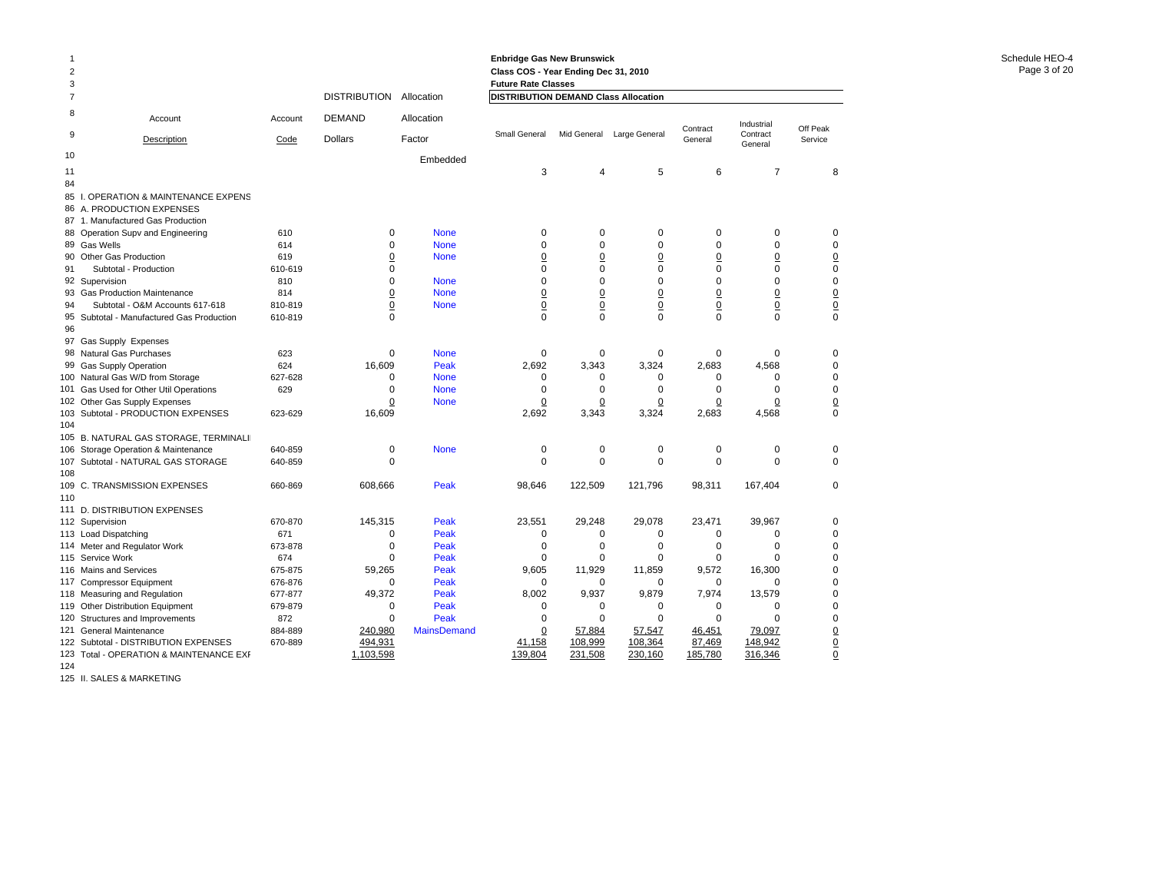| 3              |                                                 |                |                                    |                    | <b>Future Rate Classes</b>           |                                   |                            |                                |                     |                            |
|----------------|-------------------------------------------------|----------------|------------------------------------|--------------------|--------------------------------------|-----------------------------------|----------------------------|--------------------------------|---------------------|----------------------------|
| $\overline{7}$ |                                                 |                | <b>DISTRIBUTION</b>                | Allocation         | DISTRIBUTION DEMAND Class Allocation |                                   |                            |                                |                     |                            |
| 8              | Account                                         | Account        | <b>DEMAND</b>                      | Allocation         |                                      |                                   |                            | Contract                       | Industrial          | Off Peak                   |
| 9              | Description                                     | Code           | <b>Dollars</b>                     | Factor             | Small General                        | Mid General                       | Large General              | General                        | Contract<br>General | Service                    |
| 10             |                                                 |                |                                    | Embedded           |                                      |                                   |                            |                                |                     |                            |
| 11             |                                                 |                |                                    |                    | 3                                    | 4                                 | 5                          | 6                              | $\overline{7}$      | 8                          |
| 84             |                                                 |                |                                    |                    |                                      |                                   |                            |                                |                     |                            |
| 85             | <b>OPERATION &amp; MAINTENANCE EXPENS</b>       |                |                                    |                    |                                      |                                   |                            |                                |                     |                            |
|                | 86 A. PRODUCTION EXPENSES                       |                |                                    |                    |                                      |                                   |                            |                                |                     |                            |
|                | 87 1. Manufactured Gas Production               |                |                                    |                    |                                      |                                   |                            |                                |                     |                            |
| 88             | Operation Supv and Engineering                  | 610            | $\mathbf 0$                        | <b>None</b>        | $\mathbf 0$                          | $\mathbf 0$                       | 0                          | $\mathbf 0$                    | 0                   | $\mathbf 0$                |
|                | 89 Gas Wells                                    | 614            | $\mathbf 0$                        | <b>None</b>        | $\mathbf 0$                          | $\mathbf 0$                       | 0                          | $\mathbf 0$                    | 0                   | $\mathbf 0$                |
| 90             | <b>Other Gas Production</b>                     | 619            | $\overline{0}$<br>$\mathbf 0$      | <b>None</b>        | $\underline{0}$<br>$\mathbf 0$       | $\overline{0}$<br>$\mathbf 0$     | $\overline{0}$<br>$\Omega$ | $\underline{0}$<br>$\mathbf 0$ | $\overline{0}$<br>0 | $\overline{0}$             |
| 91             | Subtotal - Production                           | 610-619<br>810 | $\mathbf 0$                        | <b>None</b>        | $\Omega$                             | $\Omega$                          | $\Omega$                   | $\Omega$                       | $\Omega$            | $\mathbf 0$<br>$\mathbf 0$ |
|                | 92 Supervision<br>93 Gas Production Maintenance | 814            |                                    | <b>None</b>        |                                      |                                   | $\underline{0}$            | $\overline{0}$                 | $\underline{0}$     |                            |
| 94             | Subtotal - O&M Accounts 617-618                 | 810-819        | $\underline{0}$<br>$\underline{0}$ | <b>None</b>        | $\underline{0}$<br>$\underline{0}$   | $\underline{0}$<br>$\overline{0}$ | $\underline{0}$            | $\overline{0}$                 | $\underline{0}$     | $\overline{0}$             |
| 95             | Subtotal - Manufactured Gas Production          | 610-819        | $\Omega$                           |                    | $\Omega$                             | $\Omega$                          | $\Omega$                   | $\Omega$                       | $\Omega$            | $\frac{0}{0}$              |
| 96             |                                                 |                |                                    |                    |                                      |                                   |                            |                                |                     |                            |
|                | 97 Gas Supply Expenses                          |                |                                    |                    |                                      |                                   |                            |                                |                     |                            |
|                | 98 Natural Gas Purchases                        | 623            | $\mathbf 0$                        | <b>None</b>        | $\mathbf 0$                          | $\mathbf 0$                       | $\mathbf 0$                | $\mathbf 0$                    | 0                   | $\mathbf 0$                |
| 99             | <b>Gas Supply Operation</b>                     | 624            | 16.609                             | Peak               | 2,692                                | 3,343                             | 3,324                      | 2,683                          | 4,568               | $\mathbf 0$                |
|                | 100 Natural Gas W/D from Storage                | 627-628        | 0                                  | <b>None</b>        | 0                                    | 0                                 | 0                          | 0                              | 0                   | $\mathbf 0$                |
| 101            | Gas Used for Other Util Operations              | 629            | $\Omega$                           | <b>None</b>        | 0                                    | $\mathbf 0$                       | 0                          | $\Omega$                       | $\Omega$            | $\mathbf 0$                |
|                | 102 Other Gas Supply Expenses                   |                | 0                                  | <b>None</b>        | 0                                    | $\pmb{0}$                         | 0                          | 0                              | 0                   | $\overline{0}$             |
| 103            | Subtotal - PRODUCTION EXPENSES                  | 623-629        | 16,609                             |                    | 2,692                                | 3,343                             | 3,324                      | 2,683                          | 4,568               | $\mathbf 0$                |
| 104            |                                                 |                |                                    |                    |                                      |                                   |                            |                                |                     |                            |
| 105            | B. NATURAL GAS STORAGE, TERMINALI               |                |                                    |                    |                                      |                                   |                            |                                |                     |                            |
| 106            | Storage Operation & Maintenance                 | 640-859        | 0                                  | <b>None</b>        | $\mathbf 0$                          | $\mathbf 0$                       | $\mathbf 0$                | $\mathbf 0$                    | 0                   | $\mathbf 0$                |
| 107            | Subtotal - NATURAL GAS STORAGE                  | 640-859        | $\Omega$                           |                    | $\Omega$                             | $\mathbf 0$                       | $\mathbf 0$                | 0                              | $\Omega$            | $\Omega$                   |
| 108            |                                                 |                |                                    |                    |                                      |                                   |                            |                                |                     |                            |
| 109            | C. TRANSMISSION EXPENSES                        | 660-869        | 608,666                            | Peak               | 98,646                               | 122,509                           | 121,796                    | 98,311                         | 167,404             | 0                          |
| 110            |                                                 |                |                                    |                    |                                      |                                   |                            |                                |                     |                            |
|                | 111 D. DISTRIBUTION EXPENSES                    | 670-870        | 145.315                            | Peak               | 23,551                               | 29,248                            | 29,078                     | 23,471                         | 39,967              | $\mathbf 0$                |
|                | 112 Supervision<br>113 Load Dispatching         | 671            | $\mathbf 0$                        | Peak               | $\mathbf 0$                          | $\mathbf 0$                       | 0                          | $\mathbf 0$                    | 0                   | $\mathbf 0$                |
|                | 114 Meter and Regulator Work                    | 673-878        | $\Omega$                           | Peak               | $\mathbf 0$                          | $\mathbf 0$                       | $\mathbf 0$                | $\mathbf 0$                    | $\Omega$            | $\mathbf 0$                |
|                | 115 Service Work                                | 674            | $\Omega$                           | Peak               | $\mathbf 0$                          | $\Omega$                          | $\Omega$                   | $\Omega$                       | $\Omega$            | $\mathbf 0$                |
| 116            | Mains and Services                              | 675-875        | 59,265                             | Peak               | 9,605                                | 11,929                            | 11,859                     | 9,572                          | 16,300              | $\mathbf 0$                |
|                | 117 Compressor Equipment                        | 676-876        | $\Omega$                           | Peak               | $\Omega$                             | $\Omega$                          | $\Omega$                   | $\Omega$                       | $\Omega$            | $\mathbf 0$                |
| 118            | Measuring and Regulation                        | 677-877        | 49,372                             | Peak               | 8,002                                | 9,937                             | 9,879                      | 7,974                          | 13,579              | $\mathbf 0$                |
| 119            | Other Distribution Equipment                    | 679-879        | $\mathbf 0$                        | Peak               | $\mathbf 0$                          | $\mathbf 0$                       | 0                          | $\mathbf 0$                    | 0                   | $\mathbf 0$                |
| 120            | Structures and Improvements                     | 872            | 0                                  | Peak               | $\mathbf 0$                          | $\Omega$                          | $\Omega$                   | $\Omega$                       | $\Omega$            | $\mathbf 0$                |
| 121            | <b>General Maintenance</b>                      | 884-889        | 240.980                            | <b>MainsDemand</b> | 0                                    | 57.884                            | 57,547                     | 46,451                         | 79,097              | $\overline{0}$             |
|                | 122 Subtotal - DISTRIBUTION EXPENSES            | 670-889        | 494,931                            |                    | 41,158                               | 108,999                           | 108,364                    | 87,469                         | 148,942             | $\underline{0}$            |
|                | 123 Total - OPERATION & MAINTENANCE EXF         |                | 1,103,598                          |                    | 139,804                              | 231,508                           | 230,160                    | 185,780                        | 316,346             | $\underline{0}$            |
|                |                                                 |                |                                    |                    |                                      |                                   |                            |                                |                     |                            |

124

1

2

125 II. SALES & MARKETING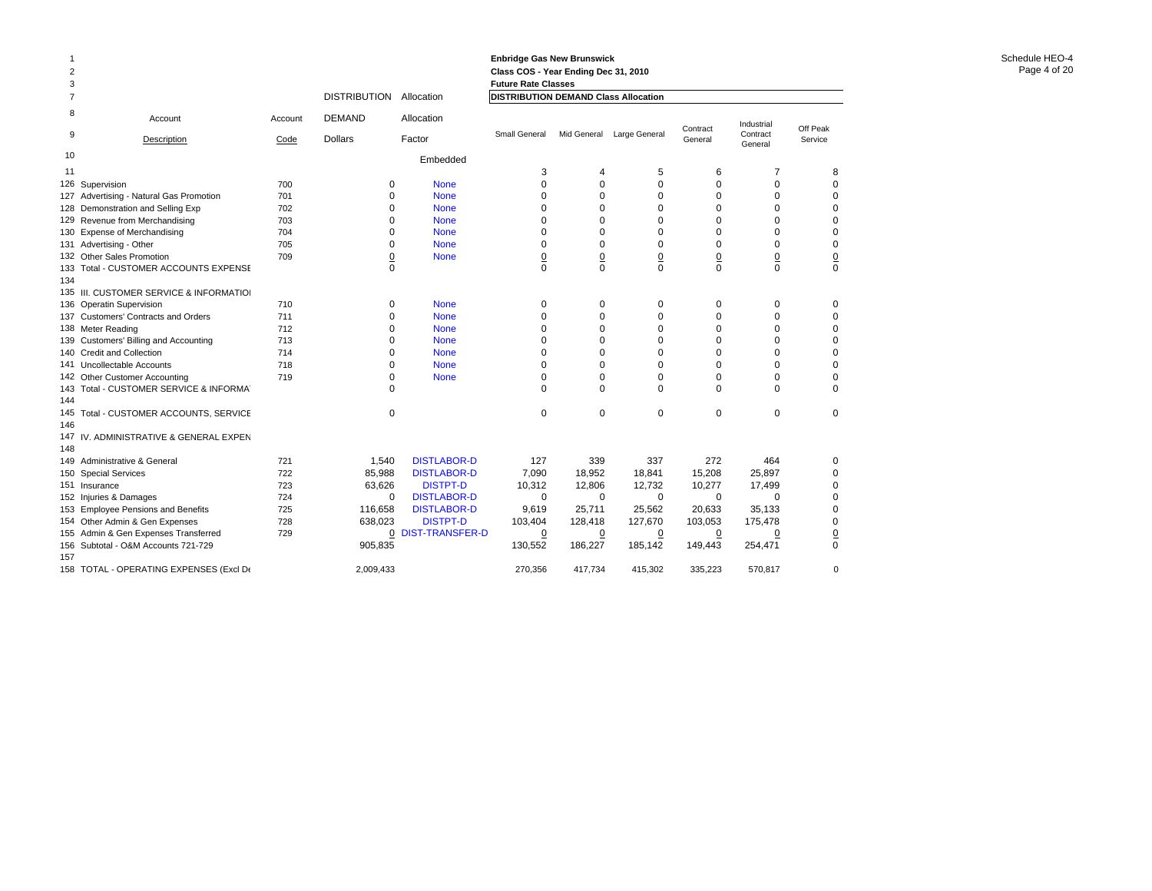| 3              |                                          |         |                     |                        | <b>Future Rate Classes</b>                  |                 |                 |                     |                                   |                     |
|----------------|------------------------------------------|---------|---------------------|------------------------|---------------------------------------------|-----------------|-----------------|---------------------|-----------------------------------|---------------------|
| $\overline{7}$ |                                          |         | <b>DISTRIBUTION</b> | Allocation             | <b>DISTRIBUTION DEMAND Class Allocation</b> |                 |                 |                     |                                   |                     |
| 8              | Account                                  | Account | <b>DEMAND</b>       | Allocation             |                                             |                 |                 |                     |                                   |                     |
| 9              | Description                              | Code    | <b>Dollars</b>      | Factor                 | Small General                               | Mid General     | Large General   | Contract<br>General | Industrial<br>Contract<br>General | Off Peak<br>Service |
| 10             |                                          |         |                     | Embedded               |                                             |                 |                 |                     |                                   |                     |
| 11             |                                          |         |                     |                        | 3                                           | 4               | 5               | 6                   | 7                                 | 8                   |
| 126            | Supervision                              | 700     | 0                   | <b>None</b>            | $\mathbf 0$                                 | 0               | 0               | $\mathbf 0$         | $\mathbf 0$                       | 0                   |
| 127            | Advertising - Natural Gas Promotion      | 701     | 0                   | <b>None</b>            | $\mathbf 0$                                 | 0               | 0               | 0                   | 0                                 | 0                   |
| 128            | Demonstration and Selling Exp            | 702     | $\Omega$            | <b>None</b>            | $\mathbf 0$                                 | 0               | 0               | $\mathbf 0$         | 0                                 | 0                   |
| 129            | Revenue from Merchandising               | 703     | $\Omega$            | <b>None</b>            | $\Omega$                                    | $\Omega$        | 0               | $\mathbf 0$         | $\Omega$                          | $\mathbf 0$         |
| 130            | <b>Expense of Merchandising</b>          | 704     | $\Omega$            | <b>None</b>            | $\Omega$                                    | $\Omega$        | 0               | $\Omega$            | $\Omega$                          | 0                   |
| 131            | Advertising - Other                      | 705     | 0                   | <b>None</b>            | $\mathbf 0$                                 | $\Omega$        | 0               | $\mathbf 0$         | $\mathbf 0$                       | 0                   |
| 132            | Other Sales Promotion                    | 709     | $\overline{0}$      | <b>None</b>            | $\overline{0}$                              | $\underline{0}$ | $\underline{0}$ | $\underline{0}$     | $\overline{0}$                    | $\underline{0}$     |
| 133            | <b>Total - CUSTOMER ACCOUNTS EXPENSE</b> |         | $\Omega$            |                        | $\Omega$                                    | $\Omega$        | $\Omega$        | $\Omega$            | $\Omega$                          | $\Omega$            |
| 134            |                                          |         |                     |                        |                                             |                 |                 |                     |                                   |                     |
| 135            | III. CUSTOMER SERVICE & INFORMATIOI      |         |                     |                        |                                             |                 |                 |                     |                                   |                     |
| 136            | <b>Operatin Supervision</b>              | 710     | 0                   | <b>None</b>            | 0                                           | 0               | 0               | 0                   | 0                                 | 0                   |
| 137            | <b>Customers' Contracts and Orders</b>   | 711     | 0                   | <b>None</b>            | $\mathbf 0$                                 | 0               | 0               | $\mathbf 0$         | 0                                 | $\mathbf 0$         |
| 138            | Meter Reading                            | 712     | $\Omega$            | <b>None</b>            | $\Omega$                                    | $\Omega$        | 0               | 0                   | $\Omega$                          | $\mathbf 0$         |
| 139            | Customers' Billing and Accounting        | 713     | $\Omega$            | <b>None</b>            | $\Omega$                                    | $\Omega$        | 0               | 0                   | 0                                 | 0                   |
| 140            | <b>Credit and Collection</b>             | 714     | $\Omega$            | <b>None</b>            | $\mathbf 0$                                 | $\Omega$        | 0               | $\mathbf 0$         | 0                                 | 0                   |
| 141            | Uncollectable Accounts                   | 718     | $\Omega$            | <b>None</b>            | $\mathbf 0$                                 | $\Omega$        | 0               | 0                   | $\Omega$                          | 0                   |
| 142            | Other Customer Accounting                | 719     | 0                   | <b>None</b>            | $\mathbf 0$                                 | $\Omega$        | 0               | 0                   | 0                                 | 0                   |
| 143            | Total - CUSTOMER SERVICE & INFORMAT      |         | $\Omega$            |                        | $\Omega$                                    | $\Omega$        | 0               | $\Omega$            | $\Omega$                          | $\Omega$            |
| 144            |                                          |         |                     |                        |                                             |                 |                 |                     |                                   |                     |
| 145            | Total - CUSTOMER ACCOUNTS, SERVICE       |         | $\Omega$            |                        | $\mathbf 0$                                 | 0               | 0               | $\mathbf 0$         | 0                                 | $\mathbf 0$         |
| 146            |                                          |         |                     |                        |                                             |                 |                 |                     |                                   |                     |
| 147            | IV. ADMINISTRATIVE & GENERAL EXPEN       |         |                     |                        |                                             |                 |                 |                     |                                   |                     |
| 148            |                                          |         |                     |                        |                                             |                 |                 |                     |                                   |                     |
| 149            | Administrative & General                 | 721     | 1,540               | <b>DISTLABOR-D</b>     | 127                                         | 339             | 337             | 272                 | 464                               | 0                   |
| 150            | <b>Special Services</b>                  | 722     | 85,988              | <b>DISTLABOR-D</b>     | 7,090                                       | 18,952          | 18,841          | 15,208              | 25,897                            | $\Omega$            |
|                | 151 Insurance                            | 723     | 63,626              | <b>DISTPT-D</b>        | 10,312                                      | 12,806          | 12,732          | 10,277              | 17,499                            | $\Omega$            |
| 152            | Injuries & Damages                       | 724     | $\Omega$            | <b>DISTLABOR-D</b>     | $\Omega$                                    | $\Omega$        | $\Omega$        | $\Omega$            | $\Omega$                          | $\mathbf 0$         |
| 153            | <b>Employee Pensions and Benefits</b>    | 725     | 116,658             | <b>DISTLABOR-D</b>     | 9,619                                       | 25,711          | 25,562          | 20,633              | 35,133                            | $\mathbf 0$         |
| 154            | Other Admin & Gen Expenses               | 728     | 638,023             | <b>DISTPT-D</b>        | 103,404                                     | 128,418         | 127,670         | 103,053             | 175,478                           | 0                   |
| 155            | Admin & Gen Expenses Transferred         | 729     | $\overline{0}$      | <b>DIST-TRANSFER-D</b> | $\overline{0}$                              | $\overline{0}$  | $\overline{0}$  | $\overline{0}$      | $\overline{0}$                    | $\overline{0}$      |
| 156            | Subtotal - O&M Accounts 721-729          |         | 905,835             |                        | 130,552                                     | 186,227         | 185,142         | 149,443             | 254,471                           | $\mathbf 0$         |
| 157            |                                          |         |                     |                        |                                             |                 |                 |                     |                                   |                     |
| 158            | TOTAL - OPERATING EXPENSES (Excl De      |         | 2.009.433           |                        | 270.356                                     | 417.734         | 415.302         | 335.223             | 570.817                           | $\mathbf 0$         |

1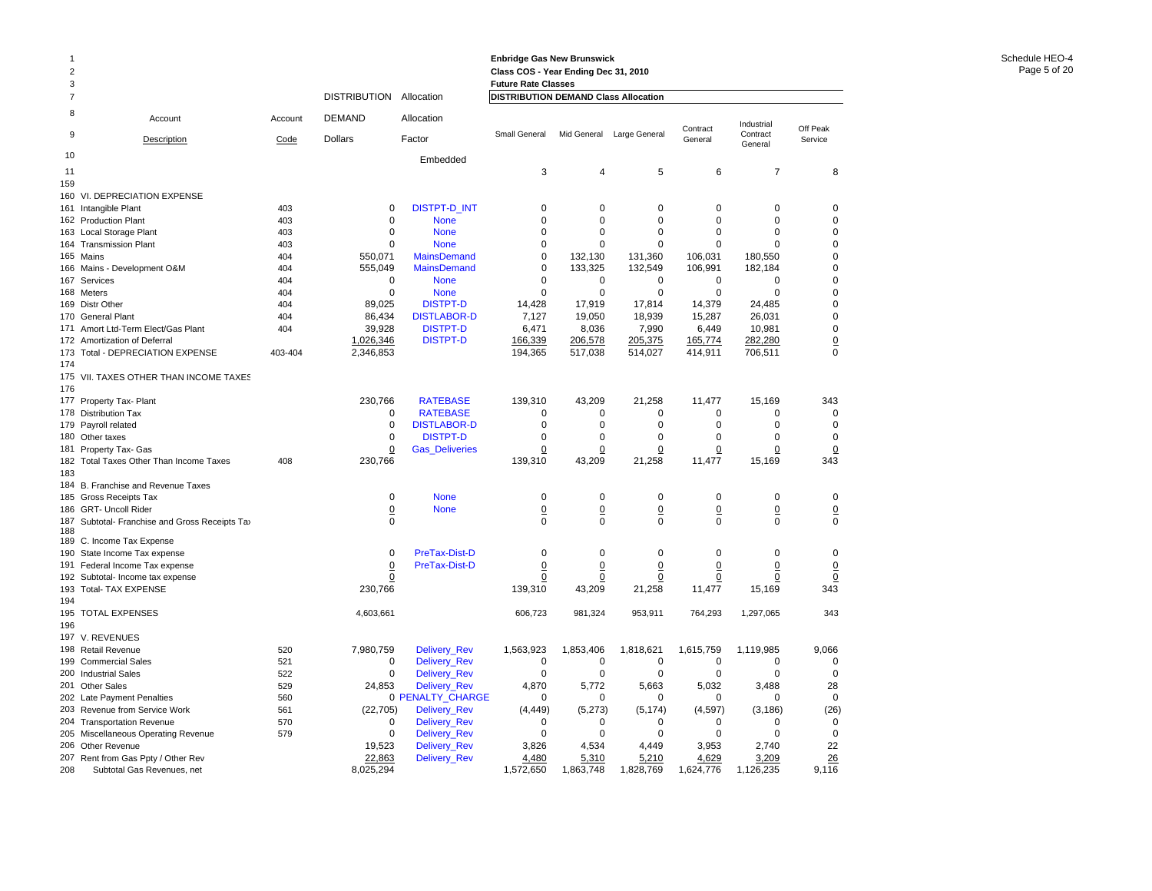| 3              |                                                             |            |                     |                                            | <b>Future Rate Classes</b>           |                         |                           |                            |                         |                     |
|----------------|-------------------------------------------------------------|------------|---------------------|--------------------------------------------|--------------------------------------|-------------------------|---------------------------|----------------------------|-------------------------|---------------------|
| $\overline{7}$ |                                                             |            | <b>DISTRIBUTION</b> | Allocation                                 | DISTRIBUTION DEMAND Class Allocation |                         |                           |                            |                         |                     |
| 8              | Account                                                     | Account    | <b>DEMAND</b>       | Allocation                                 |                                      |                         |                           | Contract                   | Industrial              | Off Peak            |
| 9              | Description                                                 | Code       | <b>Dollars</b>      | Factor                                     | Small General                        |                         | Mid General Large General | General                    | Contract<br>General     | Service             |
| 10             |                                                             |            |                     | Embedded                                   |                                      |                         |                           |                            |                         |                     |
| 11             |                                                             |            |                     |                                            | 3                                    | 4                       | 5                         | 6                          | $\overline{7}$          | 8                   |
| 159            |                                                             |            |                     |                                            |                                      |                         |                           |                            |                         |                     |
| 160            | VI. DEPRECIATION EXPENSE                                    |            |                     |                                            |                                      |                         |                           |                            |                         |                     |
| 161            | Intangible Plant                                            | 403        | 0                   | <b>DISTPT-D_INT</b>                        | $\mathbf 0$                          | $\Omega$                | $\Omega$                  | $\Omega$                   | $\Omega$                | $\Omega$            |
|                | 162 Production Plant                                        | 403        | $\mathbf 0$         | <b>None</b>                                | $\mathbf 0$                          | $\mathbf 0$             | $\mathbf 0$               | $\mathbf 0$                | $\mathbf 0$             | $\mathbf 0$         |
| 163            | Local Storage Plant                                         | 403        | $\mathbf 0$         | <b>None</b>                                | $\mathbf 0$                          | $\Omega$                | $\mathbf 0$               | $\mathbf 0$                | $\mathbf 0$             | $\mathbf 0$         |
| 164            | <b>Transmission Plant</b>                                   | 403        | $\Omega$            | <b>None</b>                                | $\mathbf 0$                          | $\Omega$                | 0                         | $\Omega$                   | $\Omega$                | $\mathbf 0$         |
| 165            | Mains                                                       | 404        | 550,071             | <b>MainsDemand</b>                         | $\pmb{0}$                            | 132,130                 | 131,360                   | 106,031                    | 180,550                 | $\mathbf 0$         |
| 166            | Mains - Development O&M                                     | 404        | 555,049             | <b>MainsDemand</b>                         | $\mathbf 0$                          | 133,325                 | 132,549                   | 106,991                    | 182,184                 | $\mathbf 0$         |
| 167            | Services                                                    | 404        | $\mathbf 0$         | <b>None</b>                                | $\Omega$                             | $\mathbf 0$             | $\mathbf 0$               | $\mathbf 0$                | $\mathbf 0$             | $\mathbf 0$         |
|                | 168 Meters                                                  | 404        | 0                   | <b>None</b>                                | $\mathbf 0$                          | $\mathbf 0$             | $\mathbf 0$               | $\mathbf 0$                | $\mathbf 0$             | $\mathbf 0$         |
|                | 169 Distr Other                                             | 404        | 89,025              | <b>DISTPT-D</b>                            | 14,428                               | 17,919                  | 17,814                    | 14,379                     | 24,485                  | $\mathbf 0$         |
| 170            | <b>General Plant</b>                                        | 404        | 86,434              | <b>DISTLABOR-D</b>                         | 7,127                                | 19,050                  | 18,939                    | 15,287                     | 26,031                  | $\mathbf 0$         |
| 171            | Amort Ltd-Term Elect/Gas Plant                              | 404        | 39,928              | <b>DISTPT-D</b>                            | 6,471                                | 8,036                   | 7,990                     | 6,449                      | 10,981                  | $\mathbf 0$         |
| 172            | Amortization of Deferral                                    |            | 1,026,346           | <b>DISTPT-D</b>                            | 166,339                              | 206,578                 | 205,375                   | 165,774                    | 282,280                 | $\underline{0}$     |
| 173            | Total - DEPRECIATION EXPENSE                                | 403-404    | 2,346,853           |                                            | 194,365                              | 517,038                 | 514,027                   | 414,911                    | 706,511                 | $\mathbf 0$         |
| 174            |                                                             |            |                     |                                            |                                      |                         |                           |                            |                         |                     |
| 175            | VII. TAXES OTHER THAN INCOME TAXES                          |            |                     |                                            |                                      |                         |                           |                            |                         |                     |
| 176            |                                                             |            |                     |                                            |                                      |                         |                           |                            |                         |                     |
| 177            | Property Tax- Plant                                         |            | 230,766             | <b>RATEBASE</b>                            | 139,310                              | 43,209                  | 21,258                    | 11,477                     | 15,169                  | 343                 |
| 178            | <b>Distribution Tax</b>                                     |            | 0                   | <b>RATEBASE</b>                            | $\mathbf 0$                          | $\mathbf 0$             | $\mathbf 0$               | $\mathbf 0$                | $\mathbf 0$             | $\mathbf 0$         |
| 179            | Payroll related                                             |            | 0                   | <b>DISTLABOR-D</b>                         | $\mathbf 0$                          | $\mathbf 0$             | $\mathbf 0$               | $\mathbf 0$                | $\mathbf 0$             | $\mathbf 0$         |
| 180            | Other taxes                                                 |            | $\mathbf 0$         | <b>DISTPT-D</b>                            | $\mathbf 0$                          | $\mathbf 0$             | $\mathbf 0$               | $\mathbf 0$                | $\mathbf 0$             | $\mathbf 0$         |
| 181            | Property Tax- Gas                                           |            | $\pmb{0}$           | <b>Gas Deliveries</b>                      | 0                                    | $\overline{0}$          | 0                         | $\overline{0}$             | 0                       | $\overline{0}$      |
| 182            | Total Taxes Other Than Income Taxes                         | 408        | 230,766             |                                            | 139,310                              | 43,209                  | 21,258                    | 11,477                     | 15,169                  | 343                 |
| 183<br>184     |                                                             |            |                     |                                            |                                      |                         |                           |                            |                         |                     |
| 185            | B. Franchise and Revenue Taxes<br><b>Gross Receipts Tax</b> |            | $\mathbf 0$         | <b>None</b>                                | $\mathbf 0$                          | $\mathbf 0$             | $\mathbf 0$               | $\mathbf 0$                | $\mathbf 0$             | $\mathbf 0$         |
| 186            | <b>GRT- Uncoll Rider</b>                                    |            | 0                   | <b>None</b>                                | $\overline{0}$                       | $\overline{0}$          | $\overline{0}$            | $\overline{0}$             | $\overline{0}$          | $\overline{0}$      |
| 187            | Subtotal- Franchise and Gross Receipts Tax                  |            | $\Omega$            |                                            | $\Omega$                             | $\Omega$                | $\Omega$                  | $\Omega$                   | $\Omega$                | $\Omega$            |
| 188            |                                                             |            |                     |                                            |                                      |                         |                           |                            |                         |                     |
| 189            | C. Income Tax Expense                                       |            |                     |                                            |                                      |                         |                           |                            |                         |                     |
| 190            | State Income Tax expense                                    |            | $\mathbf 0$         | <b>PreTax-Dist-D</b>                       | $\mathbf 0$                          | $\mathbf 0$             | $\mathbf 0$               | $\mathbf 0$                | $\mathbf 0$             | $\mathbf 0$         |
| 191            | Federal Income Tax expense                                  |            | $\overline{0}$      | <b>PreTax-Dist-D</b>                       | $\overline{0}$                       | $\overline{0}$          | $\overline{0}$            | $\overline{0}$             | $\overline{0}$          | $\overline{0}$      |
| 192            | Subtotal- Income tax expense                                |            | 0                   |                                            | 0                                    | 0                       | $\pmb{0}$                 | 0                          | 0                       | $\overline{0}$      |
| 193            | <b>Total- TAX EXPENSE</b>                                   |            | 230,766             |                                            | 139,310                              | 43,209                  | 21,258                    | 11,477                     | 15,169                  | 343                 |
| 194            |                                                             |            |                     |                                            |                                      |                         |                           |                            |                         |                     |
| 195            | <b>TOTAL EXPENSES</b>                                       |            | 4,603,661           |                                            | 606,723                              | 981,324                 | 953,911                   | 764,293                    | 1,297,065               | 343                 |
| 196            |                                                             |            |                     |                                            |                                      |                         |                           |                            |                         |                     |
| 197            | V. REVENUES                                                 |            |                     |                                            |                                      |                         |                           |                            |                         |                     |
| 198            | <b>Retail Revenue</b>                                       | 520        | 7,980,759           | Delivery_Rev                               | 1,563,923                            | 1,853,406               | 1,818,621                 | 1,615,759                  | 1,119,985               | 9,066               |
| 199            | <b>Commercial Sales</b>                                     | 521        | 0                   | Delivery_Rev                               | $\mathbf 0$                          | $\mathbf 0$             | $\mathbf 0$               | $\mathbf 0$                | $\mathbf 0$             | $\mathbf 0$         |
| 200            | <b>Industrial Sales</b>                                     | 522        | $\mathbf 0$         | Delivery_Rev                               | $\mathbf 0$                          | $\mathbf 0$             | $\mathbf 0$               | $\mathbf 0$                | $\mathbf 0$             | $\mathbf 0$         |
| 201            | <b>Other Sales</b>                                          | 529        | 24.853              | Delivery_Rev                               | 4.870                                | 5.772                   | 5.663                     | 5.032                      | 3.488                   | 28                  |
| 202            | Late Payment Penalties                                      | 560        |                     | 0 PENALTY_CHARGE                           | $\mathbf 0$                          | 0                       | $\mathbf 0$               | 0                          | $\mathbf 0$             | $\mathbf 0$         |
| 203            | Revenue from Service Work                                   | 561        | (22, 705)           | Delivery_Rev                               | (4, 449)                             | (5, 273)<br>$\mathbf 0$ | (5, 174)                  | (4, 597)                   | (3, 186)                | (26)<br>$\mathbf 0$ |
| 204<br>205     | <b>Transportation Revenue</b>                               | 570<br>579 | 0<br>0              | <b>Delivery Rev</b><br><b>Delivery Rev</b> | $\mathbf 0$<br>0                     | $\Omega$                | $\mathbf 0$<br>0          | $\mathbf 0$<br>$\mathbf 0$ | $\mathbf 0$<br>$\Omega$ | $\mathbf 0$         |
| 206            | Miscellaneous Operating Revenue<br>Other Revenue            |            | 19,523              | Delivery_Rev                               | 3,826                                | 4,534                   | 4,449                     | 3,953                      | 2,740                   | 22                  |
| 207            | Rent from Gas Ppty / Other Rev                              |            | 22,863              | Delivery_Rev                               | 4,480                                | 5,310                   | 5,210                     | 4,629                      | 3,209                   | 26                  |
| 208            | Subtotal Gas Revenues, net                                  |            | 8,025,294           |                                            | 1,572,650                            | 1,863,748               | 1,828,769                 | 1,624,776                  | 1,126,235               | 9,116               |
|                |                                                             |            |                     |                                            |                                      |                         |                           |                            |                         |                     |

1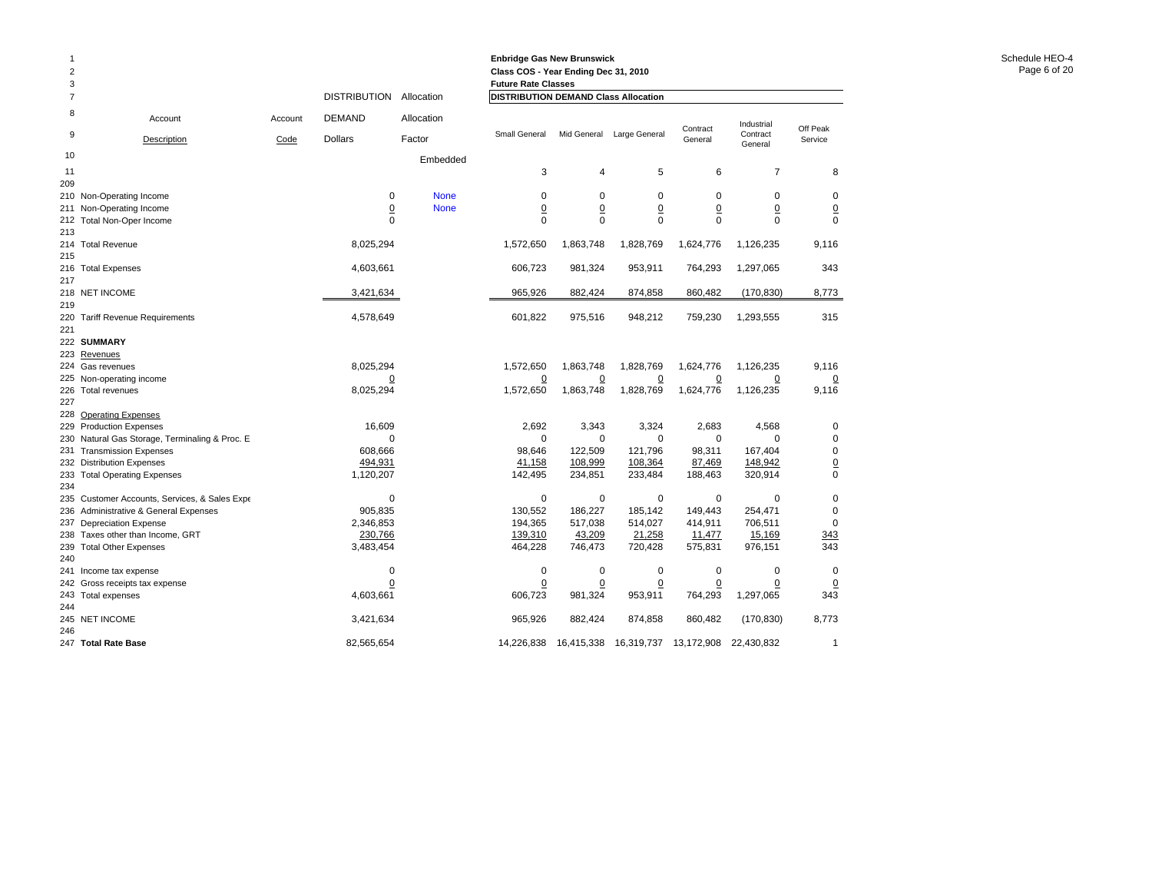| 3              |                                                              |         |                             |             | <b>Future Rate Classes</b>           |                             |                             |                   |                             |                             |
|----------------|--------------------------------------------------------------|---------|-----------------------------|-------------|--------------------------------------|-----------------------------|-----------------------------|-------------------|-----------------------------|-----------------------------|
| $\overline{7}$ |                                                              |         | DISTRIBUTION Allocation     |             | DISTRIBUTION DEMAND Class Allocation |                             |                             |                   |                             |                             |
| 8              | Account                                                      | Account | <b>DEMAND</b>               | Allocation  |                                      |                             |                             | Contract          | Industrial                  | Off Peak                    |
| 9              | Description                                                  | Code    | <b>Dollars</b>              | Factor      | Small General                        | Mid General                 | Large General               | General           | Contract<br>General         | Service                     |
| 10             |                                                              |         |                             | Embedded    |                                      |                             |                             |                   |                             |                             |
| 11             |                                                              |         |                             |             | 3                                    | $\overline{4}$              | 5                           | 6                 | 7                           | 8                           |
| 209            |                                                              |         |                             |             |                                      |                             |                             |                   |                             |                             |
|                | 210 Non-Operating Income                                     |         | 0                           | <b>None</b> | $\mathbf 0$                          | $\mathbf 0$                 | 0                           | 0                 | 0                           | $\mathbf 0$                 |
|                | 211 Non-Operating Income                                     |         | $\Omega$<br>$\Omega$        | <b>None</b> | $\overline{0}$<br>$\Omega$           | $\underline{0}$<br>$\Omega$ | $\underline{0}$<br>$\Omega$ | 0<br>$\Omega$     | $\overline{0}$<br>$\Omega$  | $\underline{0}$<br>$\Omega$ |
| 213            | 212 Total Non-Oper Income                                    |         |                             |             |                                      |                             |                             |                   |                             |                             |
|                | 214 Total Revenue                                            |         | 8,025,294                   |             | 1,572,650                            | 1,863,748                   | 1,828,769                   | 1,624,776         | 1,126,235                   | 9,116                       |
| 215            |                                                              |         |                             |             |                                      |                             |                             |                   |                             |                             |
|                | 216 Total Expenses                                           |         | 4,603,661                   |             | 606,723                              | 981,324                     | 953,911                     | 764,293           | 1,297,065                   | 343                         |
| 217            |                                                              |         |                             |             |                                      |                             |                             |                   |                             |                             |
|                | 218 NET INCOME                                               |         | 3,421,634                   |             | 965,926                              | 882,424                     | 874,858                     | 860,482           | (170, 830)                  | 8,773                       |
| 219            |                                                              |         |                             |             |                                      |                             |                             |                   |                             |                             |
|                | 220 Tariff Revenue Requirements                              |         | 4,578,649                   |             | 601,822                              | 975,516                     | 948,212                     | 759,230           | 1,293,555                   | 315                         |
| 221            |                                                              |         |                             |             |                                      |                             |                             |                   |                             |                             |
|                | 222 SUMMARY                                                  |         |                             |             |                                      |                             |                             |                   |                             |                             |
|                | 223 Revenues                                                 |         |                             |             |                                      |                             |                             |                   |                             |                             |
|                | 224 Gas revenues                                             |         | 8,025,294                   |             | 1,572,650                            | 1,863,748                   | 1,828,769                   | 1,624,776         | 1,126,235                   | 9,116                       |
|                | 225 Non-operating income<br>226 Total revenues               |         | $\overline{0}$<br>8,025,294 |             | $\overline{0}$<br>1,572,650          | $\overline{0}$<br>1,863,748 | $\overline{0}$<br>1,828,769 | 0<br>1,624,776    | $\overline{0}$<br>1,126,235 | $\overline{0}$<br>9,116     |
| 227            |                                                              |         |                             |             |                                      |                             |                             |                   |                             |                             |
|                | 228 Operating Expenses                                       |         |                             |             |                                      |                             |                             |                   |                             |                             |
|                | 229 Production Expenses                                      |         | 16,609                      |             | 2,692                                | 3,343                       | 3,324                       | 2,683             | 4,568                       | 0                           |
|                | 230 Natural Gas Storage, Terminaling & Proc. E.              |         | 0                           |             | 0                                    | $\mathbf 0$                 | 0                           | 0                 | $\Omega$                    | $\mathbf 0$                 |
|                | 231 Transmission Expenses                                    |         | 608,666                     |             | 98,646                               | 122,509                     | 121,796                     | 98,311            | 167,404                     | $\mathbf 0$                 |
|                | 232 Distribution Expenses                                    |         | 494,931                     |             | 41,158                               | 108,999                     | 108,364                     | 87,469            | 148,942                     | $\frac{0}{0}$               |
|                | 233 Total Operating Expenses                                 |         | 1,120,207                   |             | 142,495                              | 234,851                     | 233,484                     | 188,463           | 320,914                     |                             |
| 234            |                                                              |         |                             |             |                                      |                             |                             |                   |                             |                             |
|                | 235 Customer Accounts, Services, & Sales Expe                |         | $\mathbf 0$                 |             | $\mathbf 0$                          | 0                           | $\mathbf 0$                 | $\mathbf 0$       | $\mathbf 0$                 | $\mathbf 0$                 |
|                | 236 Administrative & General Expenses                        |         | 905,835                     |             | 130,552                              | 186,227                     | 185,142                     | 149,443           | 254,471                     | $\mathbf 0$                 |
|                | 237 Depreciation Expense                                     |         | 2,346,853                   |             | 194,365                              | 517,038                     | 514,027                     | 414,911           | 706,511                     | $\mathbf 0$                 |
|                | 238 Taxes other than Income, GRT<br>239 Total Other Expenses |         | 230,766<br>3,483,454        |             | 139,310<br>464,228                   | 43,209<br>746,473           | 21,258<br>720,428           | 11,477<br>575,831 | 15,169<br>976,151           | 343<br>343                  |
| 240            |                                                              |         |                             |             |                                      |                             |                             |                   |                             |                             |
|                | 241 Income tax expense                                       |         | 0                           |             | $\mathbf 0$                          | $\mathbf 0$                 | $\mathbf 0$                 | $\mathbf 0$       | 0                           | $\mathbf 0$                 |
|                | 242 Gross receipts tax expense                               |         | 0                           |             | $\overline{0}$                       |                             | $\overline{0}$              | 0                 | 0                           | $\overline{0}$              |
|                | 243 Total expenses                                           |         | 4,603,661                   |             | 606,723                              | 981,324                     | 953,911                     | 764,293           | 1,297,065                   | 343                         |
| 244            |                                                              |         |                             |             |                                      |                             |                             |                   |                             |                             |
|                | 245 NET INCOME                                               |         | 3,421,634                   |             | 965,926                              | 882,424                     | 874,858                     | 860,482           | (170, 830)                  | 8,773                       |
| 246            |                                                              |         |                             |             |                                      |                             |                             |                   |                             |                             |
|                | 247 Total Rate Base                                          |         | 82,565,654                  |             | 14,226,838                           | 16,415,338                  | 16,319,737                  | 13,172,908        | 22,430,832                  | $\mathbf{1}$                |

1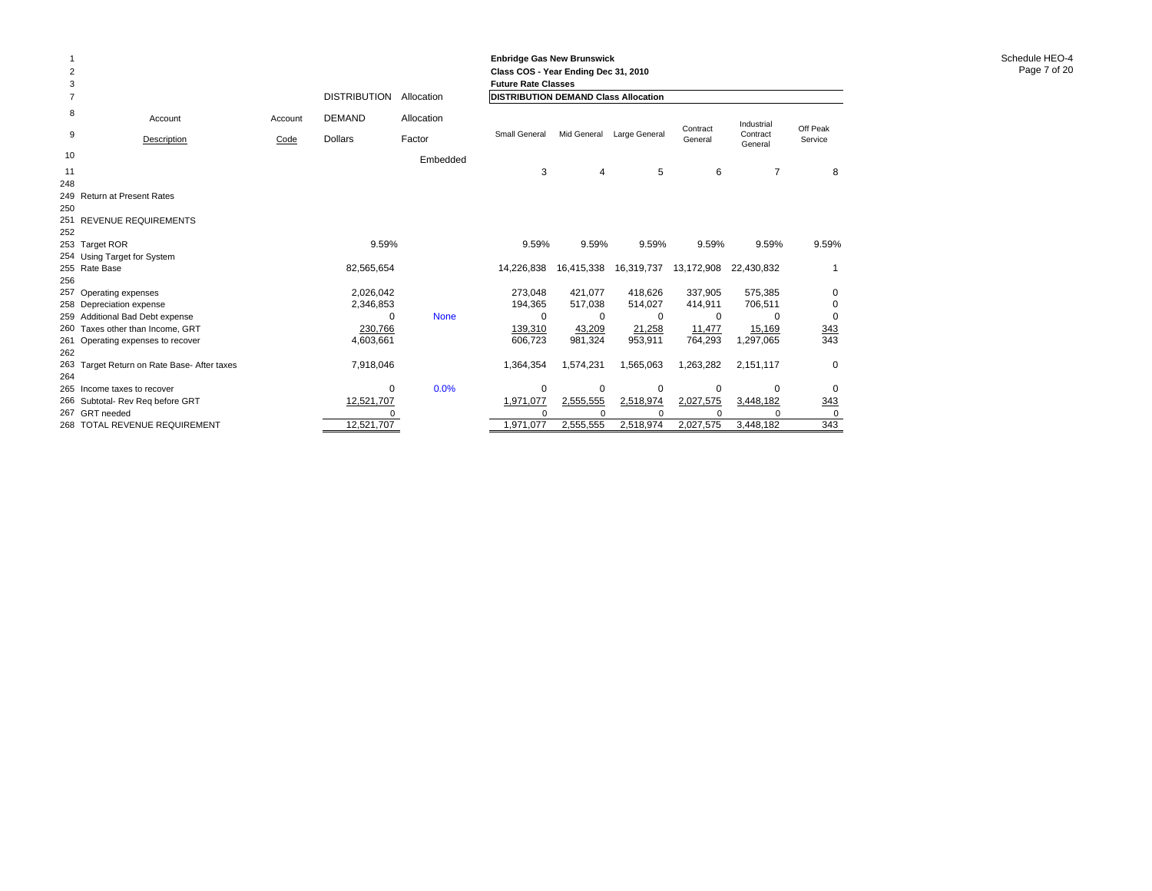| 2<br>3     |                                         |         |                     |             | <b>Enbridge Gas New Brunswick</b><br>Class COS - Year Ending Dec 31, 2010<br><b>Future Rate Classes</b> |             |               |                     |                     |                     |
|------------|-----------------------------------------|---------|---------------------|-------------|---------------------------------------------------------------------------------------------------------|-------------|---------------|---------------------|---------------------|---------------------|
|            |                                         |         | <b>DISTRIBUTION</b> | Allocation  | <b>DISTRIBUTION DEMAND Class Allocation</b>                                                             |             |               |                     |                     |                     |
| 8          | Account                                 | Account | <b>DEMAND</b>       | Allocation  |                                                                                                         |             |               |                     | Industrial          |                     |
| 9          | Description                             | Code    | <b>Dollars</b>      | Factor      | Small General                                                                                           | Mid General | Large General | Contract<br>General | Contract<br>General | Off Peak<br>Service |
| 10         |                                         |         |                     | Embedded    |                                                                                                         |             |               |                     |                     |                     |
| 11         |                                         |         |                     |             | 3                                                                                                       | 4           | 5             | 6                   | 7                   | 8                   |
| 248        |                                         |         |                     |             |                                                                                                         |             |               |                     |                     |                     |
|            | 249 Return at Present Rates             |         |                     |             |                                                                                                         |             |               |                     |                     |                     |
| 250        |                                         |         |                     |             |                                                                                                         |             |               |                     |                     |                     |
| 251        | REVENUE REQUIREMENTS                    |         |                     |             |                                                                                                         |             |               |                     |                     |                     |
| 252        |                                         |         |                     |             |                                                                                                         |             |               |                     |                     |                     |
|            | 253 Target ROR                          |         | 9.59%               |             | 9.59%                                                                                                   | 9.59%       | 9.59%         | 9.59%               | 9.59%               | 9.59%               |
|            | 254 Using Target for System             |         |                     |             |                                                                                                         |             |               |                     |                     |                     |
|            | 255 Rate Base                           |         | 82,565,654          |             | 14,226,838                                                                                              | 16,415,338  | 16,319,737    | 13,172,908          | 22,430,832          |                     |
| 256        |                                         |         |                     |             |                                                                                                         |             |               |                     |                     |                     |
| 257        | Operating expenses                      |         | 2,026,042           |             | 273.048                                                                                                 | 421.077     | 418.626       | 337.905             | 575,385             | $\Omega$            |
|            | 258 Depreciation expense                |         | 2,346,853           |             | 194,365                                                                                                 | 517,038     | 514,027       | 414,911             | 706,511             | 0                   |
| 259        | Additional Bad Debt expense             |         | $\Omega$            | <b>None</b> | $\Omega$                                                                                                | $\Omega$    | 0             | $\Omega$            | $\Omega$            | $\mathbf 0$         |
| 260        | Taxes other than Income, GRT            |         | 230,766             |             | 139,310                                                                                                 | 43,209      | 21,258        | 11,477              | 15,169              | 343                 |
| 261<br>262 | Operating expenses to recover           |         | 4,603,661           |             | 606,723                                                                                                 | 981,324     | 953,911       | 764,293             | 1,297,065           | 343                 |
| 263        |                                         |         | 7,918,046           |             | 1,364,354                                                                                               | 1,574,231   |               | 1,263,282           | 2,151,117           | $\mathbf 0$         |
| 264        | Target Return on Rate Base- After taxes |         |                     |             |                                                                                                         |             | 1,565,063     |                     |                     |                     |
| 265        | Income taxes to recover                 |         | $\Omega$            | 0.0%        | 0                                                                                                       | $\Omega$    | $\mathbf 0$   | $\mathbf 0$         | $\Omega$            | $\Omega$            |
|            | 266 Subtotal- Rev Reg before GRT        |         | 12,521,707          |             | 1,971,077                                                                                               | 2,555,555   | 2,518,974     | 2,027,575           | 3,448,182           |                     |
|            | 267 GRT needed                          |         |                     |             | $\Omega$                                                                                                |             |               |                     |                     | 343<br>$\Omega$     |
|            | 268 TOTAL REVENUE REQUIREMENT           |         | 12,521,707          |             | 1.971.077                                                                                               | 2.555.555   | 2,518,974     | 2,027,575           | 3,448,182           | 343                 |
|            |                                         |         |                     |             |                                                                                                         |             |               |                     |                     |                     |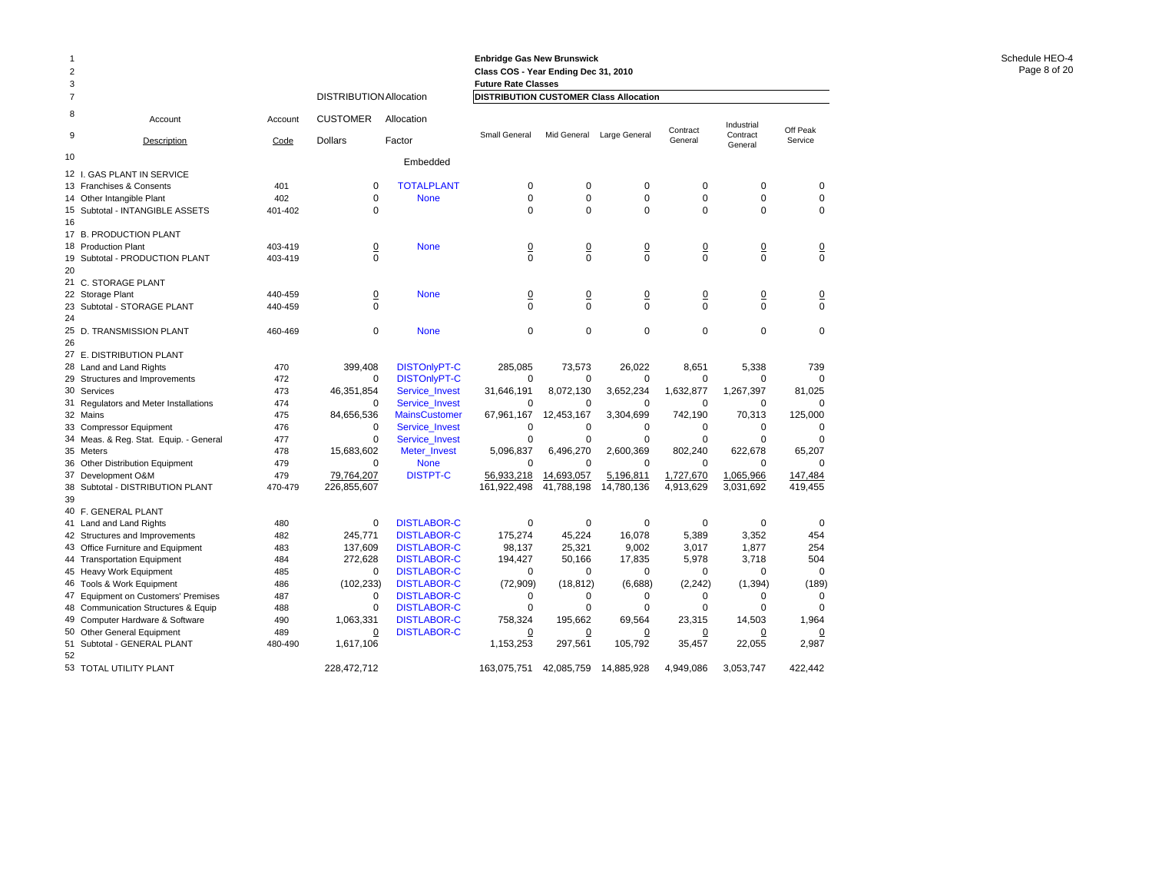|                |                                                                     |            |                                |                     | <b>Enbridge Gas New Brunswick</b>      |                |                 |                |                     |                |
|----------------|---------------------------------------------------------------------|------------|--------------------------------|---------------------|----------------------------------------|----------------|-----------------|----------------|---------------------|----------------|
| $\overline{c}$ |                                                                     |            |                                |                     | Class COS - Year Ending Dec 31, 2010   |                |                 |                |                     |                |
| 3              |                                                                     |            |                                |                     | <b>Future Rate Classes</b>             |                |                 |                |                     |                |
| 7              |                                                                     |            | <b>DISTRIBUTION Allocation</b> |                     | DISTRIBUTION CUSTOMER Class Allocation |                |                 |                |                     |                |
| 8              | Account                                                             | Account    | <b>CUSTOMER</b>                | Allocation          |                                        |                |                 | Contract       | Industrial          | Off Peak       |
| 9              | Description                                                         | Code       | <b>Dollars</b>                 | Factor              | Small General                          | Mid General    | Large General   | General        | Contract<br>General | Service        |
| 10             |                                                                     |            |                                | Embedded            |                                        |                |                 |                |                     |                |
|                | 12 I. GAS PLANT IN SERVICE                                          |            |                                |                     |                                        |                |                 |                |                     |                |
|                | 13 Franchises & Consents                                            | 401        | $\mathbf 0$                    | <b>TOTALPLANT</b>   | $\mathbf 0$                            | 0              | 0               | $\mathbf 0$    | $\mathbf 0$         | $\Omega$       |
|                | 14 Other Intangible Plant                                           | 402        | 0                              | <b>None</b>         | $\mathbf 0$                            | 0              | $\mathbf 0$     | $\mathbf 0$    | $\mathbf 0$         | $\mathbf 0$    |
|                | 15 Subtotal - INTANGIBLE ASSETS                                     | 401-402    | 0                              |                     | $\mathbf 0$                            | 0              | $\mathbf 0$     | $\mathbf 0$    | $\mathbf 0$         | $\Omega$       |
| 16             |                                                                     |            |                                |                     |                                        |                |                 |                |                     |                |
|                | 17 B. PRODUCTION PLANT                                              |            |                                |                     |                                        |                |                 |                |                     |                |
|                | 18 Production Plant                                                 | 403-419    | $\overline{0}$                 | <b>None</b>         | $\overline{0}$                         | 0              | $\underline{0}$ | $\overline{0}$ | $\overline{0}$      | $\overline{0}$ |
| 19             | Subtotal - PRODUCTION PLANT                                         | 403-419    | $\Omega$                       |                     | $\Omega$                               | $\Omega$       | $\Omega$        | $\Omega$       | $\Omega$            | $\Omega$       |
| 20             |                                                                     |            |                                |                     |                                        |                |                 |                |                     |                |
|                | 21 C. STORAGE PLANT                                                 |            |                                |                     |                                        |                |                 |                |                     |                |
|                | 22 Storage Plant                                                    | 440-459    | $\overline{0}$                 | <b>None</b>         | $\overline{0}$                         | $\overline{0}$ | $\overline{0}$  | $\overline{0}$ | $\overline{0}$      | $\overline{0}$ |
| 23             | Subtotal - STORAGE PLANT                                            | 440-459    | 0                              |                     | $\Omega$                               | $\Omega$       | 0               | $\Omega$       | $\mathbf 0$         | 0              |
| 24             |                                                                     |            |                                |                     |                                        |                |                 |                |                     |                |
|                | 25 D. TRANSMISSION PLANT                                            | 460-469    | $\mathbf 0$                    | <b>None</b>         | $\mathbf 0$                            | $\mathbf 0$    | $\mathbf 0$     | $\Omega$       | $\mathbf 0$         | $\mathbf 0$    |
| 26             |                                                                     |            |                                |                     |                                        |                |                 |                |                     |                |
|                | 27 E. DISTRIBUTION PLANT                                            |            |                                |                     |                                        |                |                 |                |                     |                |
| 28             | Land and Land Rights                                                | 470        | 399,408                        | <b>DISTOnlyPT-C</b> | 285,085                                | 73,573         | 26.022          | 8.651          | 5,338               | 739            |
|                | 29 Structures and Improvements                                      | 472        | $\Omega$                       | <b>DISTOnlyPT-C</b> | $\Omega$                               | 0              | 0               | 0              | $\Omega$            |                |
|                | 30 Services                                                         | 473        | 46,351,854                     | Service Invest      | 31,646,191                             | 8,072,130      | 3,652,234       | 1,632,877      | 1,267,397           | 81,025         |
|                | 31 Regulators and Meter Installations                               | 474        | $\Omega$                       | Service_Invest      | 0                                      | $\Omega$       | 0               | 0              | $\mathbf 0$         |                |
|                | 32 Mains                                                            | 475        | 84,656,536                     | MainsCustomer       | 67,961,167                             | 12,453,167     | 3,304,699       | 742,190        | 70,313              | 125,000        |
|                | 33 Compressor Equipment                                             | 476        | $\mathbf 0$                    | Service_Invest      | $\mathbf 0$                            | 0              | $\mathbf 0$     | 0              | $\mathbf 0$         | $\Omega$       |
|                | 34 Meas. & Reg. Stat. Equip. - General                              | 477        | $\mathbf 0$                    | Service_Invest      | $\mathbf 0$                            | 0              | 0               | 0              | $\mathbf 0$         | 0              |
|                | 35 Meters                                                           | 478        | 15,683,602                     | Meter_Invest        | 5,096,837                              | 6,496,270      | 2,600,369       | 802,240        | 622,678             | 65,207         |
|                | 36 Other Distribution Equipment                                     | 479<br>479 | $\Omega$                       | <b>None</b>         | $\Omega$                               | $\Omega$       | $\Omega$        | $\Omega$       | $\Omega$            |                |
| 37             | Development O&M                                                     |            | 79,764,207                     | <b>DISTPT-C</b>     | 56,933,218                             | 14,693,057     | 5,196,811       | 1,727,670      | 1,065,966           | 147,484        |
| 38<br>39       | Subtotal - DISTRIBUTION PLANT                                       | 470-479    | 226.855.607                    |                     | 161.922.498                            | 41.788.198     | 14,780,136      | 4,913,629      | 3,031,692           | 419.455        |
|                |                                                                     |            |                                |                     |                                        |                |                 |                |                     |                |
|                | 40 F. GENERAL PLANT                                                 |            | $\mathbf 0$                    | <b>DISTLABOR-C</b>  | 0                                      | 0              | 0               | $\mathbf 0$    | $\mathbf 0$         | $\mathbf 0$    |
|                | 41 Land and Land Rights                                             | 480<br>482 | 245,771                        | <b>DISTLABOR-C</b>  | 175,274                                | 45,224         | 16,078          | 5,389          |                     | 454            |
|                | 42 Structures and Improvements<br>43 Office Furniture and Equipment | 483        | 137,609                        | <b>DISTLABOR-C</b>  | 98,137                                 | 25,321         | 9,002           | 3,017          | 3,352<br>1,877      | 254            |
|                | 44 Transportation Equipment                                         | 484        | 272,628                        | <b>DISTLABOR-C</b>  | 194,427                                | 50,166         | 17,835          | 5,978          | 3,718               | 504            |
|                | 45 Heavy Work Equipment                                             | 485        | 0                              | <b>DISTLABOR-C</b>  | 0                                      | $\Omega$       | 0               | $\Omega$       | $\mathbf 0$         | $\mathbf 0$    |
|                | 46 Tools & Work Equipment                                           | 486        | (102, 233)                     | <b>DISTLABOR-C</b>  | (72,909)                               | (18, 812)      | (6,688)         | (2, 242)       | (1, 394)            | (189)          |
|                | 47 Equipment on Customers' Premises                                 | 487        | $\Omega$                       | <b>DISTLABOR-C</b>  | $\Omega$                               | $\Omega$       | $\Omega$        | $\Omega$       | $\Omega$            | $\Omega$       |
| 48             | Communication Structures & Equip                                    | 488        | $\mathbf 0$                    | <b>DISTLABOR-C</b>  | $\mathbf 0$                            | $\Omega$       | 0               | $\Omega$       | $\mathbf 0$         | $\Omega$       |
|                | 49 Computer Hardware & Software                                     | 490        | 1,063,331                      | <b>DISTLABOR-C</b>  | 758,324                                | 195,662        | 69,564          | 23,315         | 14,503              | 1,964          |
| 50             | <b>Other General Equipment</b>                                      | 489        | $\overline{0}$                 | <b>DISTLABOR-C</b>  | $\overline{0}$                         | $\overline{0}$ | <u>0</u>        | 0              | 0                   | 0              |
|                | 51 Subtotal - GENERAL PLANT                                         | 480-490    | 1,617,106                      |                     | 1,153,253                              | 297,561        | 105,792         | 35,457         | 22,055              | 2,987          |
| 52             |                                                                     |            |                                |                     |                                        |                |                 |                |                     |                |
|                | 53 TOTAL UTILITY PLANT                                              |            | 228.472.712                    |                     | 163,075,751                            | 42,085,759     | 14,885,928      | 4.949.086      | 3.053.747           | 422.442        |
|                |                                                                     |            |                                |                     |                                        |                |                 |                |                     |                |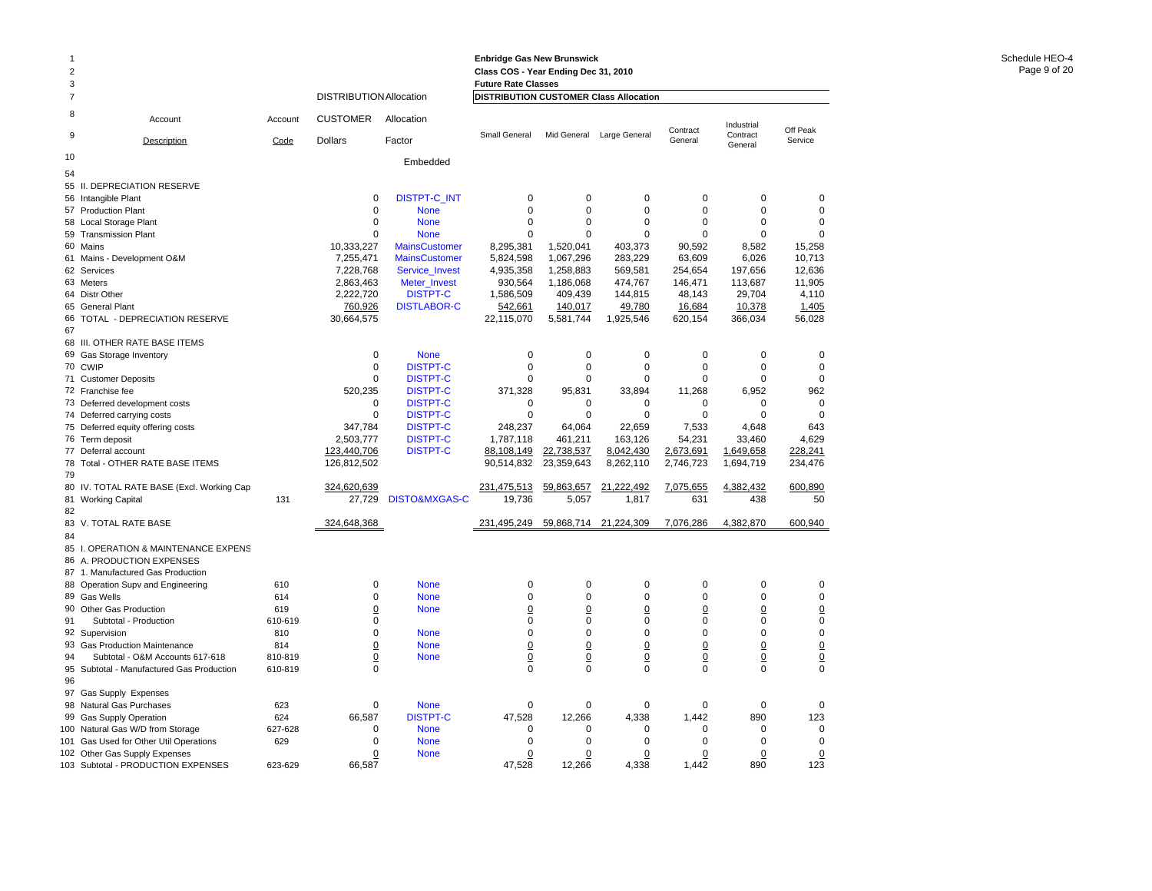|                     |                                            |         |                                |                             | <b>Enbridge Gas New Brunswick</b>                                           |                |                 |                 |                        |                 |
|---------------------|--------------------------------------------|---------|--------------------------------|-----------------------------|-----------------------------------------------------------------------------|----------------|-----------------|-----------------|------------------------|-----------------|
| 2                   |                                            |         |                                |                             | Class COS - Year Ending Dec 31, 2010                                        |                |                 |                 |                        |                 |
| 3<br>$\overline{7}$ |                                            |         | <b>DISTRIBUTION Allocation</b> |                             | <b>Future Rate Classes</b><br><b>DISTRIBUTION CUSTOMER Class Allocation</b> |                |                 |                 |                        |                 |
|                     |                                            |         |                                |                             |                                                                             |                |                 |                 |                        |                 |
| 8<br>9              | Account                                    | Account | <b>CUSTOMER</b>                | Allocation                  | Small General                                                               | Mid General    | Large General   | Contract        | Industrial<br>Contract | Off Peak        |
|                     | Description                                | Code    | <b>Dollars</b>                 | Factor                      |                                                                             |                |                 | General         | General                | Service         |
| 10                  |                                            |         |                                | Embedded                    |                                                                             |                |                 |                 |                        |                 |
| 54                  |                                            |         |                                |                             |                                                                             |                |                 |                 |                        |                 |
|                     | 55 II. DEPRECIATION RESERVE                |         | $\mathbf 0$                    |                             | 0                                                                           | 0              | 0               | $\mathbf 0$     | 0                      | $\mathbf 0$     |
|                     | 56 Intangible Plant<br>57 Production Plant |         | $\mathbf 0$                    | DISTPT-C_INT<br><b>None</b> | $\mathbf 0$                                                                 | 0              | $\mathbf 0$     | $\mathbf 0$     | 0                      | $\mathbf 0$     |
|                     | 58 Local Storage Plant                     |         | $\Omega$                       | <b>None</b>                 | $\Omega$                                                                    | $\Omega$       | $\Omega$        | $\Omega$        | $\Omega$               | $\Omega$        |
|                     | 59 Transmission Plant                      |         | $\Omega$                       | <b>None</b>                 | $\Omega$                                                                    | $\Omega$       | $\Omega$        | $\Omega$        | $\Omega$               | $\Omega$        |
|                     | 60 Mains                                   |         | 10,333,227                     | <b>MainsCustomer</b>        | 8,295,381                                                                   | 1,520,041      | 403,373         | 90,592          | 8,582                  | 15,258          |
|                     | 61 Mains - Development O&M                 |         | 7,255,471                      | <b>MainsCustomer</b>        | 5,824,598                                                                   | 1,067,296      | 283,229         | 63,609          | 6,026                  | 10,713          |
|                     | 62 Services                                |         | 7,228,768                      | Service_Invest              | 4,935,358                                                                   | 1,258,883      | 569,581         | 254,654         | 197,656                | 12,636          |
|                     | 63 Meters                                  |         | 2,863,463                      | Meter_Invest                | 930,564                                                                     | 1,186,068      | 474,767         | 146,471         | 113,687                | 11,905          |
|                     | 64 Distr Other                             |         | 2,222,720                      | <b>DISTPT-C</b>             | 1,586,509                                                                   | 409,439        | 144,815         | 48,143          | 29,704                 | 4,110           |
|                     | 65 General Plant                           |         | 760,926                        | <b>DISTLABOR-C</b>          | 542,661                                                                     | 140,017        | 49,780          | 16,684          | 10,378                 | 1,405           |
|                     | 66 TOTAL - DEPRECIATION RESERVE            |         | 30,664,575                     |                             | 22,115,070                                                                  | 5,581,744      | 1,925,546       | 620,154         | 366,034                | 56,028          |
| 67                  |                                            |         |                                |                             |                                                                             |                |                 |                 |                        |                 |
|                     | 68 III. OTHER RATE BASE ITEMS              |         |                                |                             |                                                                             |                |                 |                 |                        |                 |
| 69                  | Gas Storage Inventory                      |         | $\mathbf 0$                    | <b>None</b>                 | $\mathbf 0$                                                                 | 0              | $\mathbf 0$     | $\mathbf 0$     | $\mathbf 0$            | $\mathbf 0$     |
|                     | 70 CWIP                                    |         | $\mathbf 0$                    | <b>DISTPT-C</b>             | $\mathbf 0$                                                                 | $\mathbf 0$    | $\mathbf 0$     | $\mathbf 0$     | $\Omega$               | $\mathbf 0$     |
|                     | 71 Customer Deposits                       |         | $\mathbf 0$                    | <b>DISTPT-C</b>             | 0                                                                           | 0              | $\mathbf 0$     | $\mathbf 0$     | 0                      | $\mathbf 0$     |
|                     | 72 Franchise fee                           |         | 520,235                        | <b>DISTPT-C</b>             | 371,328                                                                     | 95,831         | 33,894          | 11,268          | 6,952                  | 962             |
|                     | 73 Deferred development costs              |         | $\mathbf 0$                    | <b>DISTPT-C</b>             | 0                                                                           | 0              | 0               | 0               | 0                      | 0               |
|                     | 74 Deferred carrying costs                 |         | 0                              | <b>DISTPT-C</b>             | 0                                                                           | 0              | 0               | $\mathbf 0$     | $\Omega$               | 0               |
|                     | 75 Deferred equity offering costs          |         | 347,784                        | <b>DISTPT-C</b>             | 248,237                                                                     | 64,064         | 22,659          | 7,533           | 4,648                  | 643             |
|                     | 76 Term deposit                            |         | 2,503,777                      | <b>DISTPT-C</b>             | 1,787,118                                                                   | 461,211        | 163,126         | 54,231          | 33,460                 | 4,629           |
|                     | 77 Deferral account                        |         | 123,440,706                    | <b>DISTPT-C</b>             | 88,108,149                                                                  | 22,738,537     | 8,042,430       | 2,673,691       | 1,649,658              | 228,241         |
| 78                  | Total - OTHER RATE BASE ITEMS              |         | 126,812,502                    |                             | 90,514,832                                                                  | 23,359,643     | 8,262,110       | 2,746,723       | 1,694,719              | 234,476         |
| 79                  |                                            |         |                                |                             |                                                                             |                |                 |                 |                        |                 |
|                     | 80 IV. TOTAL RATE BASE (Excl. Working Cap  |         | 324,620,639                    |                             | 231,475,513                                                                 | 59,863,657     | 21,222,492      | 7,075,655       | 4,382,432              | 600,890         |
|                     | 81 Working Capital                         | 131     | 27,729                         | DISTO&MXGAS-C               | 19,736                                                                      | 5,057          | 1,817           | 631             | 438                    | 50              |
| 82                  |                                            |         |                                |                             |                                                                             |                |                 |                 |                        |                 |
|                     | 83 V. TOTAL RATE BASE                      |         | 324,648,368                    |                             | 231,495,249                                                                 | 59,868,714     | 21,224,309      | 7,076,286       | 4,382,870              | 600,940         |
| 84                  |                                            |         |                                |                             |                                                                             |                |                 |                 |                        |                 |
|                     | 85 I. OPERATION & MAINTENANCE EXPENS       |         |                                |                             |                                                                             |                |                 |                 |                        |                 |
|                     | 86 A. PRODUCTION EXPENSES                  |         |                                |                             |                                                                             |                |                 |                 |                        |                 |
|                     | 87 1. Manufactured Gas Production          |         |                                |                             |                                                                             |                |                 |                 |                        |                 |
|                     | 88 Operation Supv and Engineering          | 610     | $\mathbf 0$                    | <b>None</b>                 | $\mathbf 0$                                                                 | 0              | 0               | $\mathbf 0$     | $\mathbf 0$            | 0               |
|                     | 89 Gas Wells                               | 614     | $\mathbf 0$                    | <b>None</b>                 | $\mathbf 0$                                                                 | 0              | 0               | $\mathbf 0$     | $\Omega$               | 0               |
|                     | 90 Other Gas Production                    | 619     | $\overline{0}$                 | <b>None</b>                 | $\overline{0}$                                                              | $\Omega$       | $\overline{0}$  | $\underline{0}$ | $\overline{0}$         | $\underline{0}$ |
| 91                  | Subtotal - Production                      | 610-619 | $\mathbf 0$                    |                             | $\mathbf 0$                                                                 | $\mathbf 0$    | $\mathbf 0$     | $\mathbf 0$     | $\Omega$               | $\mathbf 0$     |
|                     | 92 Supervision                             | 810     | $\mathbf 0$                    | <b>None</b>                 | $\mathbf 0$                                                                 | $\mathbf 0$    | $\mathbf 0$     | $\mathbf 0$     | $\Omega$               | $\mathbf 0$     |
|                     | 93 Gas Production Maintenance              | 814     | $\overline{0}$                 | <b>None</b>                 | $\overline{0}$                                                              | $\overline{0}$ | $\overline{0}$  | $\underline{0}$ | 0                      | $\underline{0}$ |
| 94                  | Subtotal - O&M Accounts 617-618            | 810-819 | $\underline{0}$                | <b>None</b>                 | $\underline{0}$                                                             | $\overline{0}$ | $\underline{0}$ | $\underline{0}$ | $\overline{0}$         | 0               |
|                     | 95 Subtotal - Manufactured Gas Production  | 610-819 | $\mathbf 0$                    |                             | $\Omega$                                                                    | 0              | $\mathbf 0$     | $\Omega$        | $\Omega$               | $\mathbf 0$     |
| 96                  |                                            |         |                                |                             |                                                                             |                |                 |                 |                        |                 |
|                     | 97 Gas Supply Expenses                     |         |                                |                             |                                                                             |                |                 |                 |                        |                 |
|                     | 98 Natural Gas Purchases                   | 623     | $\mathbf 0$                    | <b>None</b>                 | $\mathbf 0$                                                                 | 0              | $\mathbf 0$     | $\mathbf 0$     | $\mathbf 0$            | 0               |
| 99                  | <b>Gas Supply Operation</b>                | 624     | 66,587                         | <b>DISTPT-C</b>             | 47,528                                                                      | 12,266         | 4,338           | 1,442           | 890                    | 123             |
|                     | 100 Natural Gas W/D from Storage           | 627-628 | $\Omega$                       | <b>None</b>                 | $\Omega$                                                                    | $\Omega$       | $\Omega$        | $\Omega$        | $\Omega$               | $\mathbf 0$     |
| 101                 | Gas Used for Other Util Operations         | 629     | $\mathbf 0$                    | <b>None</b>                 | $\mathbf 0$                                                                 | 0              | $\mathbf 0$     | $\Omega$        | $\Omega$               | $\mathbf 0$     |
|                     | 102 Other Gas Supply Expenses              |         | $\mathbf 0$                    | <b>None</b>                 | $\mathbf 0$                                                                 | 0              | 0               | $\mathbf 0$     | 0                      | 0               |
|                     | 103 Subtotal - PRODUCTION EXPENSES         | 623-629 | 66,587                         |                             | 47,528                                                                      | 12,266         | 4,338           | 1,442           | 890                    | 123             |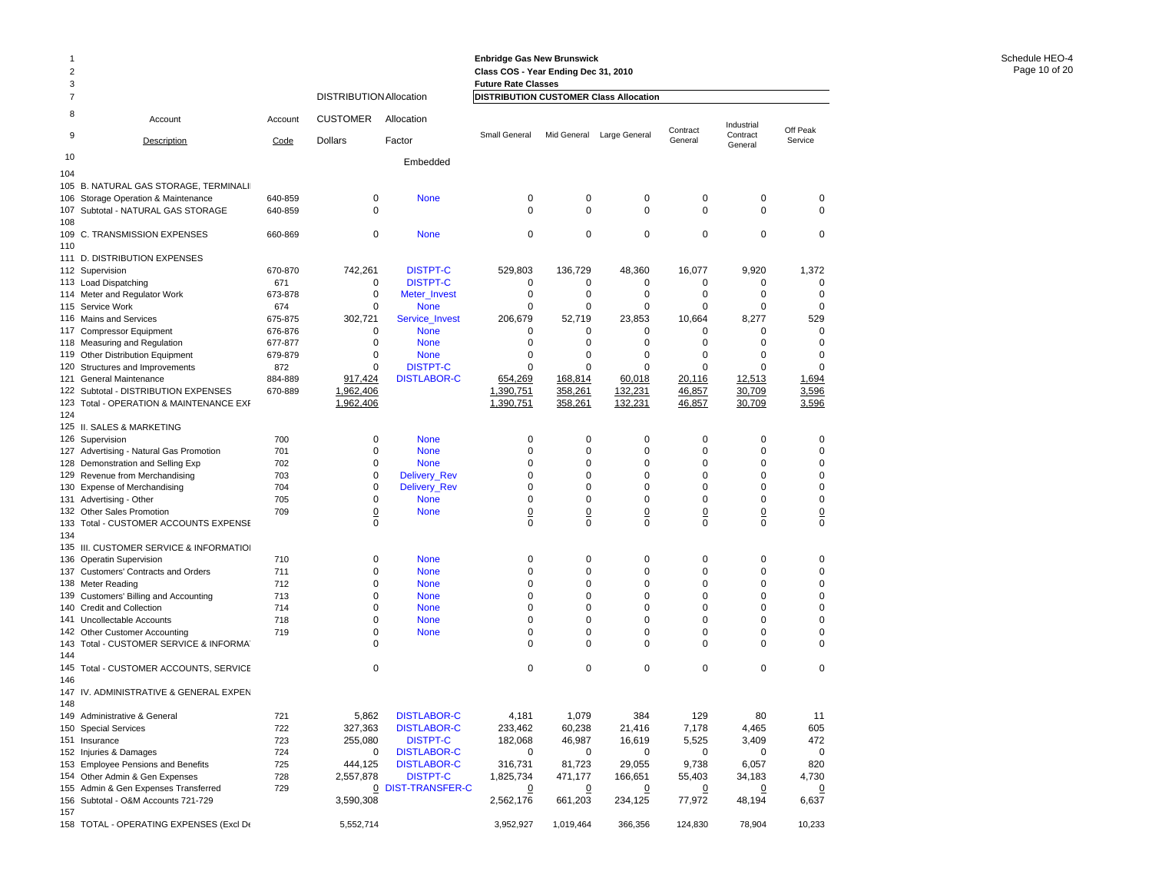| $\overline{c}$<br>3 |                                                                             |                |                                |                                       | <b>Enbridge Gas New Brunswick</b><br>Class COS - Year Ending Dec 31, 2010<br><b>Future Rate Classes</b> |                     |                           |                    |                            |                         |
|---------------------|-----------------------------------------------------------------------------|----------------|--------------------------------|---------------------------------------|---------------------------------------------------------------------------------------------------------|---------------------|---------------------------|--------------------|----------------------------|-------------------------|
| 7                   |                                                                             |                | <b>DISTRIBUTION Allocation</b> |                                       | <b>DISTRIBUTION CUSTOMER Class Allocation</b>                                                           |                     |                           |                    |                            |                         |
| 8                   | Account                                                                     | Account        | <b>CUSTOMER</b>                | Allocation                            |                                                                                                         |                     |                           | Contract           | Industrial                 | Off Peak                |
| 9                   | Description                                                                 | Code           | <b>Dollars</b>                 | Factor                                | Small General                                                                                           | Mid General         | Large General             | General            | Contract<br>General        | Service                 |
| 10                  |                                                                             |                |                                | Embedded                              |                                                                                                         |                     |                           |                    |                            |                         |
| 104                 | 105 B. NATURAL GAS STORAGE, TERMINALII                                      |                |                                |                                       |                                                                                                         |                     |                           |                    |                            |                         |
| 106                 | Storage Operation & Maintenance                                             | 640-859        | 0                              | <b>None</b>                           | 0                                                                                                       | $\mathbf 0$         | 0                         | 0                  | $\mathbf 0$                | 0                       |
| 107                 | Subtotal - NATURAL GAS STORAGE                                              | 640-859        | 0                              |                                       | $\Omega$                                                                                                | $\Omega$            | $\mathbf 0$               | 0                  | $\mathbf 0$                | 0                       |
| 108                 |                                                                             |                |                                |                                       |                                                                                                         |                     |                           |                    |                            |                         |
|                     | 109 C. TRANSMISSION EXPENSES                                                | 660-869        | 0                              | <b>None</b>                           | 0                                                                                                       | 0                   | 0                         | 0                  | $\mathbf 0$                | 0                       |
| 110                 |                                                                             |                |                                |                                       |                                                                                                         |                     |                           |                    |                            |                         |
|                     | 111 D. DISTRIBUTION EXPENSES<br>112 Supervision                             | 670-870        | 742,261                        | <b>DISTPT-C</b>                       | 529,803                                                                                                 | 136,729             | 48,360                    | 16,077             | 9,920                      | 1,372                   |
|                     | 113 Load Dispatching                                                        | 671            | 0                              | <b>DISTPT-C</b>                       | 0                                                                                                       | 0                   | 0                         | 0                  | 0                          | 0                       |
|                     | 114 Meter and Regulator Work                                                | 673-878        | $\mathbf 0$                    | Meter_Invest                          | 0                                                                                                       | $\mathbf 0$         | 0                         | 0                  | $\mathbf 0$                | 0                       |
|                     | 115 Service Work                                                            | 674            | 0                              | <b>None</b>                           | $\Omega$                                                                                                | 0                   | 0                         | 0                  | $\mathbf 0$                | 0                       |
|                     | 116 Mains and Services                                                      | 675-875        | 302,721                        | Service_Invest                        | 206,679                                                                                                 | 52,719              | 23,853                    | 10,664             | 8,277                      | 529                     |
|                     | 117 Compressor Equipment                                                    | 676-876        | 0                              | <b>None</b>                           | 0                                                                                                       | 0                   | 0                         | 0                  | $\mathbf 0$                | 0                       |
|                     | 118 Measuring and Regulation                                                | 677-877        | $\mathbf 0$                    | <b>None</b>                           | $\Omega$                                                                                                | 0                   | 0                         | 0                  | $\Omega$                   | 0                       |
| 119                 | Other Distribution Equipment                                                | 679-879        | 0                              | <b>None</b>                           | 0                                                                                                       | $\mathbf 0$         | 0                         | 0                  | $\mathbf 0$                | 0                       |
| 120<br>121          | Structures and Improvements<br>General Maintenance                          | 872<br>884-889 | 0<br>917,424                   | <b>DISTPT-C</b><br><b>DISTLABOR-C</b> | $\Omega$<br>654,269                                                                                     | 0<br>168,814        | $\Omega$<br>60,018        | $\Omega$<br>20,116 | $\Omega$<br>12,513         | $\Omega$<br>1,694       |
|                     | 122 Subtotal - DISTRIBUTION EXPENSES                                        | 670-889        | 1,962,406                      |                                       | 1,390,751                                                                                               | 358,261             | 132,231                   | 46,857             | 30,709                     | 3,596                   |
| 123                 | Total - OPERATION & MAINTENANCE EXF                                         |                | 1,962,406                      |                                       | 1,390,751                                                                                               | 358,261             | 132,231                   | 46,857             | 30,709                     | 3,596                   |
| 124                 |                                                                             |                |                                |                                       |                                                                                                         |                     |                           |                    |                            |                         |
|                     | 125 II. SALES & MARKETING                                                   |                |                                |                                       |                                                                                                         |                     |                           |                    |                            |                         |
|                     | 126 Supervision                                                             | 700            | 0                              | <b>None</b>                           | 0                                                                                                       | 0                   | 0                         | 0                  | $\mathbf 0$                | 0                       |
|                     | 127 Advertising - Natural Gas Promotion                                     | 701            | $\mathbf 0$                    | <b>None</b>                           | 0                                                                                                       | $\mathbf 0$         | 0                         | 0                  | $\mathbf 0$                | 0                       |
|                     | 128 Demonstration and Selling Exp                                           | 702            | 0<br>$\mathbf 0$               | <b>None</b>                           | 0<br>0                                                                                                  | 0<br>0              | 0<br>0                    | 0<br>0             | $\mathbf 0$<br>$\mathbf 0$ | 0<br>0                  |
|                     | 129 Revenue from Merchandising<br>130 Expense of Merchandising              | 703<br>704     | 0                              | Delivery_Rev<br>Delivery_Rev          | 0                                                                                                       | 0                   | 0                         | 0                  | $\mathbf 0$                | 0                       |
|                     | 131 Advertising - Other                                                     | 705            | 0                              | <b>None</b>                           | 0                                                                                                       | 0                   | 0                         | 0                  | $\mathbf 0$                | 0                       |
|                     | 132 Other Sales Promotion                                                   | 709            | 0                              | <b>None</b>                           | $\overline{0}$                                                                                          | 0                   | 0                         | $\overline{0}$     | $\overline{0}$             | <u>0</u>                |
| 133                 | Total - CUSTOMER ACCOUNTS EXPENSE                                           |                | 0                              |                                       | $\mathbf 0$                                                                                             | $\mathbf 0$         | $\mathbf 0$               | 0                  | $\mathbf 0$                | 0                       |
| 134                 |                                                                             |                |                                |                                       |                                                                                                         |                     |                           |                    |                            |                         |
|                     | 135 III. CUSTOMER SERVICE & INFORMATIOI                                     |                |                                |                                       |                                                                                                         |                     |                           |                    |                            |                         |
| 136                 | <b>Operatin Supervision</b>                                                 | 710            | 0                              | <b>None</b>                           | 0                                                                                                       | 0                   | 0                         | 0                  | $\mathbf 0$                | 0                       |
|                     | 137 Customers' Contracts and Orders                                         | 711            | 0                              | <b>None</b>                           | 0                                                                                                       | 0                   | 0                         | 0                  | $\mathbf 0$                | 0                       |
| 139                 | 138 Meter Reading<br>Customers' Billing and Accounting                      | 712<br>713     | 0<br>0                         | <b>None</b><br><b>None</b>            | 0<br>0                                                                                                  | $\mathbf 0$<br>0    | 0<br>0                    | 0<br>0             | $\mathbf 0$<br>$\mathbf 0$ | 0<br>0                  |
| 140                 | <b>Credit and Collection</b>                                                | 714            | 0                              | <b>None</b>                           | 0                                                                                                       | 0                   | 0                         | 0                  | $\mathbf 0$                | 0                       |
|                     | 141 Uncollectable Accounts                                                  | 718            | 0                              | <b>None</b>                           | 0                                                                                                       | 0                   | 0                         | 0                  | $\mathbf 0$                | 0                       |
|                     | 142 Other Customer Accounting                                               | 719            | 0                              | <b>None</b>                           | 0                                                                                                       | 0                   | 0                         | 0                  | $\mathbf 0$                | 0                       |
| 143                 | Total - CUSTOMER SERVICE & INFORMAT                                         |                | $\Omega$                       |                                       | $\Omega$                                                                                                | $\Omega$            | 0                         | 0                  | $\mathbf 0$                | 0                       |
| 144                 |                                                                             |                |                                |                                       |                                                                                                         |                     |                           |                    |                            |                         |
| 145                 | Total - CUSTOMER ACCOUNTS, SERVICE                                          |                | 0                              |                                       | 0                                                                                                       | 0                   | 0                         | 0                  | $\mathbf 0$                | 0                       |
| 146                 |                                                                             |                |                                |                                       |                                                                                                         |                     |                           |                    |                            |                         |
| 148                 | 147 IV. ADMINISTRATIVE & GENERAL EXPEN                                      |                |                                |                                       |                                                                                                         |                     |                           |                    |                            |                         |
|                     | 149 Administrative & General                                                | 721            | 5,862                          | <b>DISTLABOR-C</b>                    | 4,181                                                                                                   | 1,079               | 384                       | 129                | 80                         | 11                      |
|                     | 150 Special Services                                                        | 722            | 327,363                        | <b>DISTLABOR-C</b>                    | 233,462                                                                                                 | 60,238              | 21,416                    | 7,178              | 4,465                      | 605                     |
|                     | 151 Insurance                                                               | 723            | 255,080                        | <b>DISTPT-C</b>                       | 182,068                                                                                                 | 46,987              | 16,619                    | 5,525              | 3,409                      | 472                     |
|                     | 152 Injuries & Damages                                                      | 724            | 0                              | <b>DISTLABOR-C</b>                    | 0                                                                                                       | 0                   | 0                         | 0                  | 0                          | 0                       |
|                     | 153 Employee Pensions and Benefits                                          | 725            | 444,125                        | <b>DISTLABOR-C</b>                    | 316,731                                                                                                 | 81,723              | 29,055                    | 9,738              | 6,057                      | 820                     |
|                     | 154 Other Admin & Gen Expenses                                              | 728            | 2,557,878                      | <b>DISTPT-C</b>                       | 1,825,734                                                                                               | 471,177             | 166,651                   | 55,403             | 34,183                     | 4,730                   |
|                     | 155 Admin & Gen Expenses Transferred<br>156 Subtotal - O&M Accounts 721-729 | 729            | 3,590,308                      | 0 DIST-TRANSFER-C                     | $\Omega$<br>2,562,176                                                                                   | $\Omega$<br>661,203 | $\overline{0}$<br>234,125 | 0<br>77,972        | $\overline{0}$<br>48,194   | $\overline{0}$<br>6,637 |
| 157                 |                                                                             |                |                                |                                       |                                                                                                         |                     |                           |                    |                            |                         |

158 TOTAL - OPERATING EXPENSES (Excl D $\epsilon$  5,552,714 5,552,714 3,952,927 1,019,464 366,356 124,830 78,904 10,233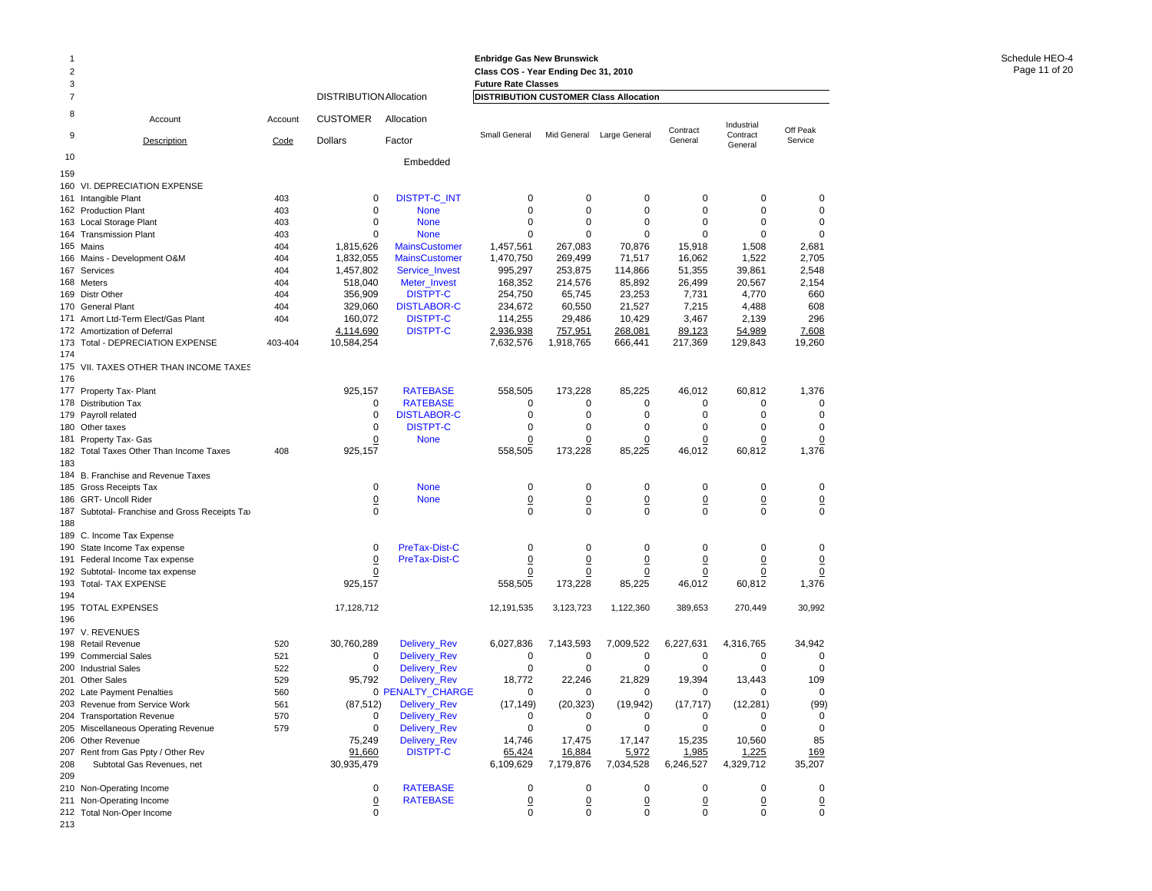| 1              |                                                  |            |                                |                                  | <b>Enbridge Gas New Brunswick</b>      |                 |                            |                |                     |                 |
|----------------|--------------------------------------------------|------------|--------------------------------|----------------------------------|----------------------------------------|-----------------|----------------------------|----------------|---------------------|-----------------|
| $\overline{2}$ |                                                  |            |                                |                                  | Class COS - Year Ending Dec 31, 2010   |                 |                            |                |                     |                 |
| 3              |                                                  |            |                                |                                  | <b>Future Rate Classes</b>             |                 |                            |                |                     |                 |
| 7              |                                                  |            | <b>DISTRIBUTION Allocation</b> |                                  | DISTRIBUTION CUSTOMER Class Allocation |                 |                            |                |                     |                 |
| 8              | Account                                          | Account    | <b>CUSTOMER</b>                | Allocation                       |                                        |                 |                            | Contract       | Industrial          | Off Peak        |
| 9              | Description                                      | Code       | Dollars                        | Factor                           | Small General                          | Mid General     | Large General              | General        | Contract<br>General | Service         |
| 10             |                                                  |            |                                | Embedded                         |                                        |                 |                            |                |                     |                 |
| 159            |                                                  |            |                                |                                  |                                        |                 |                            |                |                     |                 |
|                | 160 VI. DEPRECIATION EXPENSE                     |            |                                |                                  |                                        |                 |                            |                |                     |                 |
|                | 161 Intangible Plant                             | 403        | 0                              | <b>DISTPT-C_INT</b>              | 0                                      | 0               | 0                          | 0              | $\mathbf 0$         | 0               |
|                | 162 Production Plant                             | 403        | 0                              | <b>None</b>                      | 0                                      | 0               | 0                          | 0              | 0                   | 0               |
|                | 163 Local Storage Plant                          | 403        | $\mathbf 0$                    | <b>None</b>                      | 0                                      | $\mathbf 0$     | $\mathbf 0$                | 0              | $\Omega$            | $\mathbf 0$     |
|                | 164 Transmission Plant                           | 403        | $\mathbf 0$                    | <b>None</b>                      | 0                                      | 0               | $\mathbf 0$                | $\Omega$       | $\Omega$            | 0               |
|                | 165 Mains                                        | 404        | 1,815,626                      | <b>MainsCustomer</b>             | 1,457,561                              | 267,083         | 70,876                     | 15,918         | 1,508               | 2,681           |
|                | 166 Mains - Development O&M                      | 404        | 1,832,055                      | <b>MainsCustomer</b>             | 1,470,750                              | 269,499         | 71,517                     | 16,062         | 1,522               | 2,705           |
|                | 167 Services                                     | 404        | 1,457,802                      | Service_Invest                   | 995,297                                | 253,875         | 114,866                    | 51,355         | 39,861              | 2,548           |
|                | 168 Meters                                       | 404        | 518,040                        | Meter_Invest                     | 168,352                                | 214,576         | 85,892                     | 26,499         | 20,567              | 2,154           |
|                | 169 Distr Other                                  | 404        | 356,909                        | <b>DISTPT-C</b>                  | 254,750                                | 65,745          | 23,253                     | 7,731          | 4,770               | 660             |
| 170            | <b>General Plant</b>                             | 404        | 329,060                        | <b>DISTLABOR-C</b>               | 234,672                                | 60,550          | 21,527                     | 7,215          | 4,488               | 608             |
|                | 171 Amort Ltd-Term Elect/Gas Plant               | 404        | 160,072                        | <b>DISTPT-C</b>                  | 114,255                                | 29,486          | 10,429                     | 3,467          | 2,139               | 296             |
|                | 172 Amortization of Deferral                     |            | 4,114,690                      | <b>DISTPT-C</b>                  | 2,936,938                              | 757,951         | 268,081                    | 89,123         | 54,989              | 7,608           |
| 174            | 173 Total - DEPRECIATION EXPENSE                 | 403-404    | 10,584,254                     |                                  | 7,632,576                              | 1,918,765       | 666,441                    | 217,369        | 129,843             | 19,260          |
|                |                                                  |            |                                |                                  |                                        |                 |                            |                |                     |                 |
| 176            | 175 VII. TAXES OTHER THAN INCOME TAXES           |            |                                |                                  |                                        |                 |                            |                |                     |                 |
|                | 177 Property Tax- Plant                          |            | 925,157                        | <b>RATEBASE</b>                  | 558,505                                | 173,228         | 85,225                     | 46,012         | 60,812              | 1,376           |
| 178            | <b>Distribution Tax</b>                          |            | 0                              | <b>RATEBASE</b>                  | 0                                      | 0               | 0                          | 0              | 0                   | 0               |
|                | 179 Payroll related                              |            | 0                              | <b>DISTLABOR-C</b>               | 0                                      | 0               | 0                          | 0              | $\mathbf 0$         | 0               |
|                | 180 Other taxes                                  |            | $\mathbf 0$                    | <b>DISTPT-C</b>                  | 0                                      | 0               | $\mathbf 0$                | 0              | $\mathbf 0$         | 0               |
|                | 181 Property Tax- Gas                            |            | 0                              | <b>None</b>                      | 0                                      | 0               | 0                          | 0              | 0                   | $\overline{0}$  |
|                | 182 Total Taxes Other Than Income Taxes          | 408        | 925,157                        |                                  | 558,505                                | 173,228         | 85,225                     | 46,012         | 60,812              | 1,376           |
| 183            |                                                  |            |                                |                                  |                                        |                 |                            |                |                     |                 |
|                | 184 B. Franchise and Revenue Taxes               |            |                                |                                  |                                        |                 |                            |                |                     |                 |
|                | 185 Gross Receipts Tax                           |            | 0                              | <b>None</b>                      | 0                                      | 0               | 0                          | 0              | 0                   | 0               |
|                | 186 GRT- Uncoll Rider                            |            | $\underline{0}$                | <b>None</b>                      | 0                                      | $\underline{0}$ | $\underline{0}$            | $\overline{0}$ | $\overline{0}$      | $\underline{0}$ |
|                | 187 Subtotal- Franchise and Gross Receipts Tax   |            | $\mathbf 0$                    |                                  | 0                                      | $\mathbf 0$     | $\mathbf 0$                | 0              | 0                   | $\mathbf 0$     |
| 188            |                                                  |            |                                |                                  |                                        |                 |                            |                |                     |                 |
|                | 189 C. Income Tax Expense                        |            |                                |                                  |                                        |                 |                            |                |                     |                 |
|                | 190 State Income Tax expense                     |            | 0                              | PreTax-Dist-C                    | 0                                      | 0               | 0                          | 0              | 0                   | 0               |
| 191            | Federal Income Tax expense                       |            | $\overline{0}$                 | PreTax-Dist-C                    | <u>0</u>                               | $\overline{0}$  | $\overline{0}$             | $\overline{0}$ | $\overline{0}$      | $\overline{0}$  |
|                | 192 Subtotal- Income tax expense                 |            | $\overline{0}$                 |                                  | 0                                      | $\overline{0}$  | $\overline{0}$             | 0              | 0                   | $\overline{0}$  |
|                | 193 Total- TAX EXPENSE                           |            | 925,157                        |                                  | 558,505                                | 173,228         | 85,225                     | 46,012         | 60,812              | 1,376           |
| 194            |                                                  |            |                                |                                  |                                        |                 |                            |                |                     |                 |
|                | 195 TOTAL EXPENSES                               |            | 17,128,712                     |                                  | 12,191,535                             | 3,123,723       | 1,122,360                  | 389,653        | 270,449             | 30,992          |
| 196            |                                                  |            |                                |                                  |                                        |                 |                            |                |                     |                 |
|                | 197 V. REVENUES                                  |            |                                |                                  |                                        |                 |                            |                |                     |                 |
|                | 198 Retail Revenue                               | 520        | 30,760,289                     | <b>Delivery Rev</b>              | 6,027,836                              | 7,143,593       | 7,009,522                  | 6,227,631      | 4,316,765           | 34,942          |
| 199            | <b>Commercial Sales</b>                          | 521        | 0<br>0                         | <b>Delivery Rev</b>              | 0<br>0                                 | 0               | $\mathbf 0$<br>$\mathbf 0$ | 0              | $\mathbf 0$         | 0               |
| 201            | 200 Industrial Sales                             | 522<br>529 | 95.792                         | Delivery_Rev                     | 18,772                                 | 0<br>22,246     | 21,829                     | 0<br>19,394    | 0<br>13,443         | 0<br>109        |
|                | <b>Other Sales</b><br>202 Late Payment Penalties | 560        |                                | Delivery_Rev<br>0 PENALTY_CHARGE | 0                                      | 0               | $\mathbf 0$                | 0              | $\Omega$            | 0               |
|                | 203 Revenue from Service Work                    | 561        | (87, 512)                      |                                  | (17, 149)                              | (20, 323)       | (19, 942)                  | (17, 717)      | (12, 281)           | (99)            |
|                | 204 Transportation Revenue                       | 570        | 0                              | Delivery_Rev<br>Delivery_Rev     | 0                                      | 0               | 0                          | 0              | 0                   | 0               |
|                | 205 Miscellaneous Operating Revenue              | 579        | $\mathbf 0$                    | Delivery_Rev                     | 0                                      | 0               | $\mathbf 0$                | 0              | 0                   | $\mathbf 0$     |
|                | 206 Other Revenue                                |            | 75,249                         | Delivery_Rev                     | 14,746                                 | 17,475          | 17,147                     | 15,235         | 10,560              | 85              |
|                | 207 Rent from Gas Ppty / Other Rev               |            | 91,660                         | <b>DISTPT-C</b>                  | 65,424                                 | 16,884          | 5,972                      | 1,985          | 1,225               | <u>169</u>      |
| 208            | Subtotal Gas Revenues, net                       |            | 30,935,479                     |                                  | 6,109,629                              | 7,179,876       | 7,034,528                  | 6,246,527      | 4,329,712           | 35,207          |
| 209            |                                                  |            |                                |                                  |                                        |                 |                            |                |                     |                 |
|                | 210 Non-Operating Income                         |            | 0                              | <b>RATEBASE</b>                  | $\pmb{0}$                              | 0               | $\pmb{0}$                  | $\pmb{0}$      | 0                   | 0               |
|                | 211 Non-Operating Income                         |            | $\underline{0}$                | <b>RATEBASE</b>                  | $\underline{0}$                        | 0               | $\overline{0}$             | $\overline{0}$ | <u>0</u>            | $\overline{0}$  |
|                | 212 Total Non-Oper Income                        |            | $\pmb{0}$                      |                                  | 0                                      | 0               | $\mathbf 0$                | 0              | 0                   | 0               |

213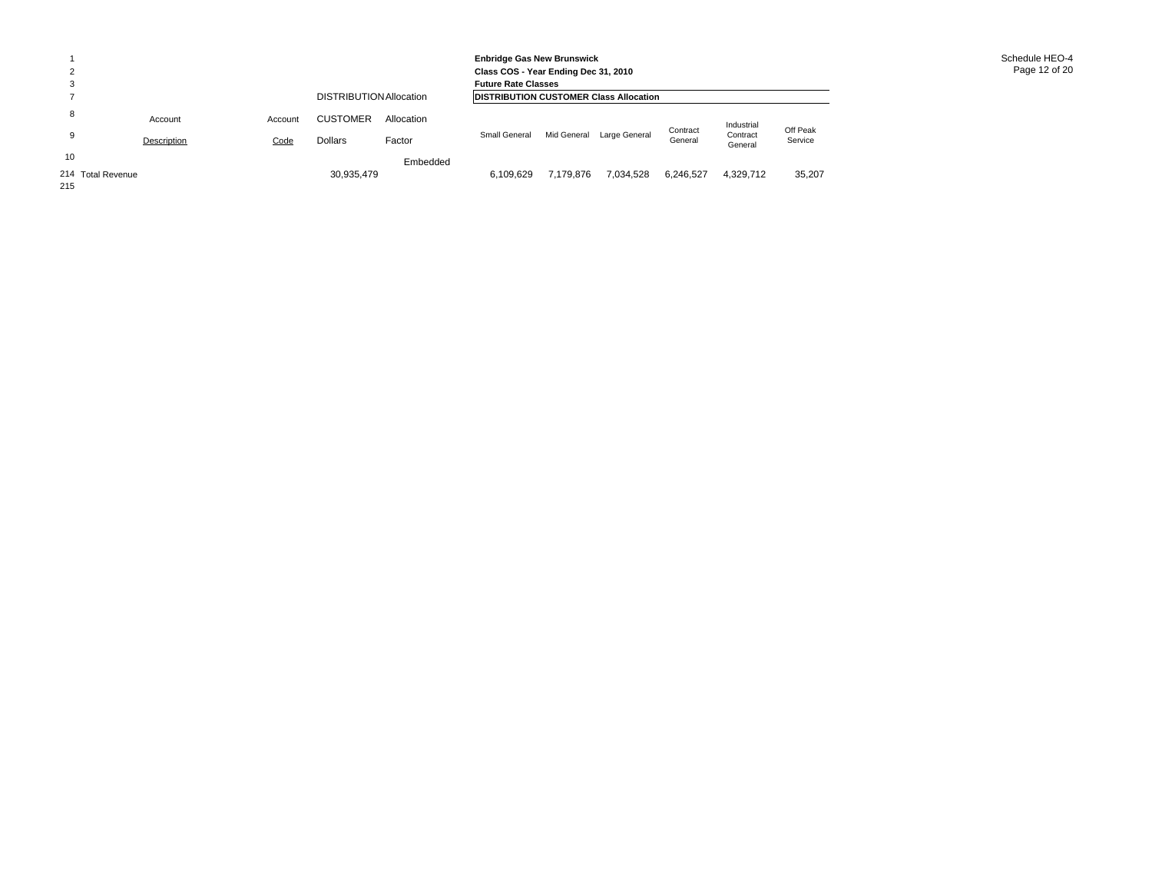| Schedule HEO-4 |
|----------------|
| Page 12 of 20  |

|     |                   |             |         |                                                |            | <b>Enbridge Gas New Brunswick</b><br>Class COS - Year Ending Dec 31, 2010<br><b>Future Rate Classes</b> |             |               |           |                     |          |  |  |
|-----|-------------------|-------------|---------|------------------------------------------------|------------|---------------------------------------------------------------------------------------------------------|-------------|---------------|-----------|---------------------|----------|--|--|
|     |                   |             |         | <b>IDISTRIBUTION CUSTOMER Class Allocation</b> |            |                                                                                                         |             |               |           |                     |          |  |  |
| 8   |                   | Account     | Account | <b>CUSTOMER</b>                                | Allocation |                                                                                                         |             |               | Contract  | Industrial          | Off Peak |  |  |
|     |                   | Description | Code    | <b>Dollars</b>                                 | Factor     | Small General                                                                                           | Mid General | Large General | General   | Contract<br>General | Service  |  |  |
| 10  |                   |             |         |                                                | Embedded   |                                                                                                         |             |               |           |                     |          |  |  |
| 215 | 214 Total Revenue |             |         | 30,935,479                                     |            | 6,109,629                                                                                               | 7.179.876   | 7,034,528     | 6,246,527 | 4,329,712           | 35,207   |  |  |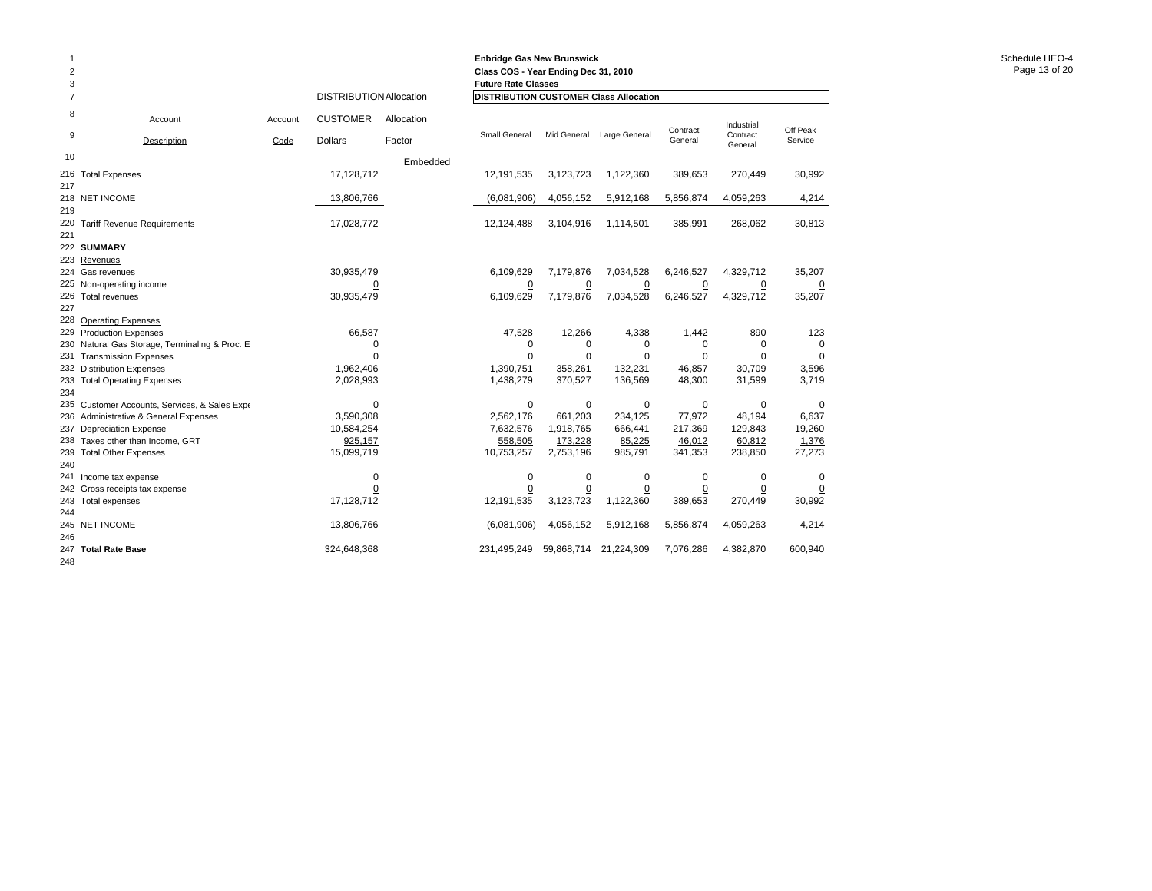| $\mathbf{1}$<br>$\overline{\mathbf{c}}$<br>3 |                                                 |         |                         |            | <b>Enbridge Gas New Brunswick</b><br>Class COS - Year Ending Dec 31, 2010<br><b>Future Rate Classes</b> |                |                |                |                     |             |
|----------------------------------------------|-------------------------------------------------|---------|-------------------------|------------|---------------------------------------------------------------------------------------------------------|----------------|----------------|----------------|---------------------|-------------|
| $\overline{7}$                               |                                                 |         | DISTRIBUTION Allocation |            | <b>DISTRIBUTION CUSTOMER Class Allocation</b>                                                           |                |                |                |                     |             |
| 8                                            | Account                                         | Account | <b>CUSTOMER</b>         | Allocation |                                                                                                         |                |                | Contract       | Industrial          | Off Peak    |
| 9                                            | Description                                     | Code    | <b>Dollars</b>          | Factor     | Small General                                                                                           | Mid General    | Large General  | General        | Contract<br>General | Service     |
| 10                                           |                                                 |         |                         | Embedded   |                                                                                                         |                |                |                |                     |             |
| 216<br>217                                   | <b>Total Expenses</b>                           |         | 17,128,712              |            | 12,191,535                                                                                              | 3,123,723      | 1,122,360      | 389,653        | 270,449             | 30,992      |
|                                              | 218 NET INCOME                                  |         | 13,806,766              |            | (6,081,906)                                                                                             | 4,056,152      | 5,912,168      | 5,856,874      | 4,059,263           | 4,214       |
| 219                                          |                                                 |         |                         |            |                                                                                                         |                |                |                |                     |             |
| 220<br>221                                   | <b>Tariff Revenue Requirements</b>              |         | 17,028,772              |            | 12,124,488                                                                                              | 3,104,916      | 1,114,501      | 385,991        | 268,062             | 30,813      |
|                                              | 222 SUMMARY                                     |         |                         |            |                                                                                                         |                |                |                |                     |             |
|                                              | 223 Revenues                                    |         |                         |            |                                                                                                         |                |                |                |                     |             |
|                                              | 224 Gas revenues                                |         | 30,935,479              |            | 6,109,629                                                                                               | 7,179,876      | 7,034,528      | 6,246,527      | 4,329,712           | 35,207      |
|                                              | 225 Non-operating income                        |         | 0                       |            | 0                                                                                                       | $\overline{0}$ | $\overline{0}$ | $\overline{0}$ | $\overline{0}$      | <u>0</u>    |
| 226<br>227                                   | Total revenues                                  |         | 30,935,479              |            | 6,109,629                                                                                               | 7,179,876      | 7,034,528      | 6,246,527      | 4,329,712           | 35,207      |
| 228                                          | <b>Operating Expenses</b>                       |         |                         |            |                                                                                                         |                |                |                |                     |             |
|                                              | 229 Production Expenses                         |         | 66.587                  |            | 47.528                                                                                                  | 12,266         | 4,338          | 1,442          | 890                 | 123         |
|                                              | 230 Natural Gas Storage, Terminaling & Proc. E. |         | 0                       |            | 0                                                                                                       | $\mathbf 0$    | 0              | 0              | 0                   | $\Omega$    |
| 231                                          | <b>Transmission Expenses</b>                    |         | $\Omega$                |            | $\Omega$                                                                                                | $\mathbf 0$    | $\Omega$       | $\Omega$       | $\Omega$            | $\Omega$    |
| 232                                          | <b>Distribution Expenses</b>                    |         | 1.962.406               |            | 1.390.751                                                                                               | 358,261        | 132,231        | 46,857         | 30,709              | 3,596       |
|                                              | 233 Total Operating Expenses                    |         | 2,028,993               |            | 1,438,279                                                                                               | 370,527        | 136,569        | 48,300         | 31,599              | 3,719       |
| 234                                          |                                                 |         |                         |            |                                                                                                         |                |                |                |                     |             |
| 235                                          | Customer Accounts, Services, & Sales Expe       |         | $\Omega$                |            | $\Omega$                                                                                                | $\mathbf 0$    | $\Omega$       | 0              | $\Omega$            | $\Omega$    |
|                                              | 236 Administrative & General Expenses           |         | 3.590.308               |            | 2,562,176                                                                                               | 661,203        | 234,125        | 77,972         | 48,194              | 6,637       |
| 237                                          | <b>Depreciation Expense</b>                     |         | 10,584,254              |            | 7,632,576                                                                                               | 1,918,765      | 666,441        | 217,369        | 129,843             | 19,260      |
| 238                                          | Taxes other than Income, GRT                    |         | 925,157                 |            | 558,505                                                                                                 | 173,228        | 85,225         | 46,012         | 60,812              | 1,376       |
| 239                                          | <b>Total Other Expenses</b>                     |         | 15,099,719              |            | 10,753,257                                                                                              | 2,753,196      | 985,791        | 341,353        | 238,850             | 27,273      |
| 240                                          |                                                 |         |                         |            |                                                                                                         |                |                |                |                     |             |
| 241                                          | Income tax expense                              |         | 0                       |            | $\mathbf 0$                                                                                             | $\mathbf 0$    | $\mathbf 0$    | 0              | $\mathbf 0$         | $\mathbf 0$ |
|                                              | 242 Gross receipts tax expense                  |         | 0                       |            | 0                                                                                                       | $\pmb{0}$      | 0              | 0              | 0                   | 0           |
| 243                                          | Total expenses                                  |         | 17,128,712              |            | 12,191,535                                                                                              | 3,123,723      | 1,122,360      | 389,653        | 270,449             | 30,992      |
| 244                                          |                                                 |         |                         |            |                                                                                                         |                |                |                |                     |             |
| 246                                          | 245 NET INCOME                                  |         | 13,806,766              |            | (6,081,906)                                                                                             | 4,056,152      | 5,912,168      | 5,856,874      | 4,059,263           | 4,214       |
| 247                                          | <b>Total Rate Base</b>                          |         | 324,648,368             |            | 231,495,249                                                                                             | 59,868,714     | 21,224,309     | 7,076,286      | 4,382,870           | 600,940     |
| 248                                          |                                                 |         |                         |            |                                                                                                         |                |                |                |                     |             |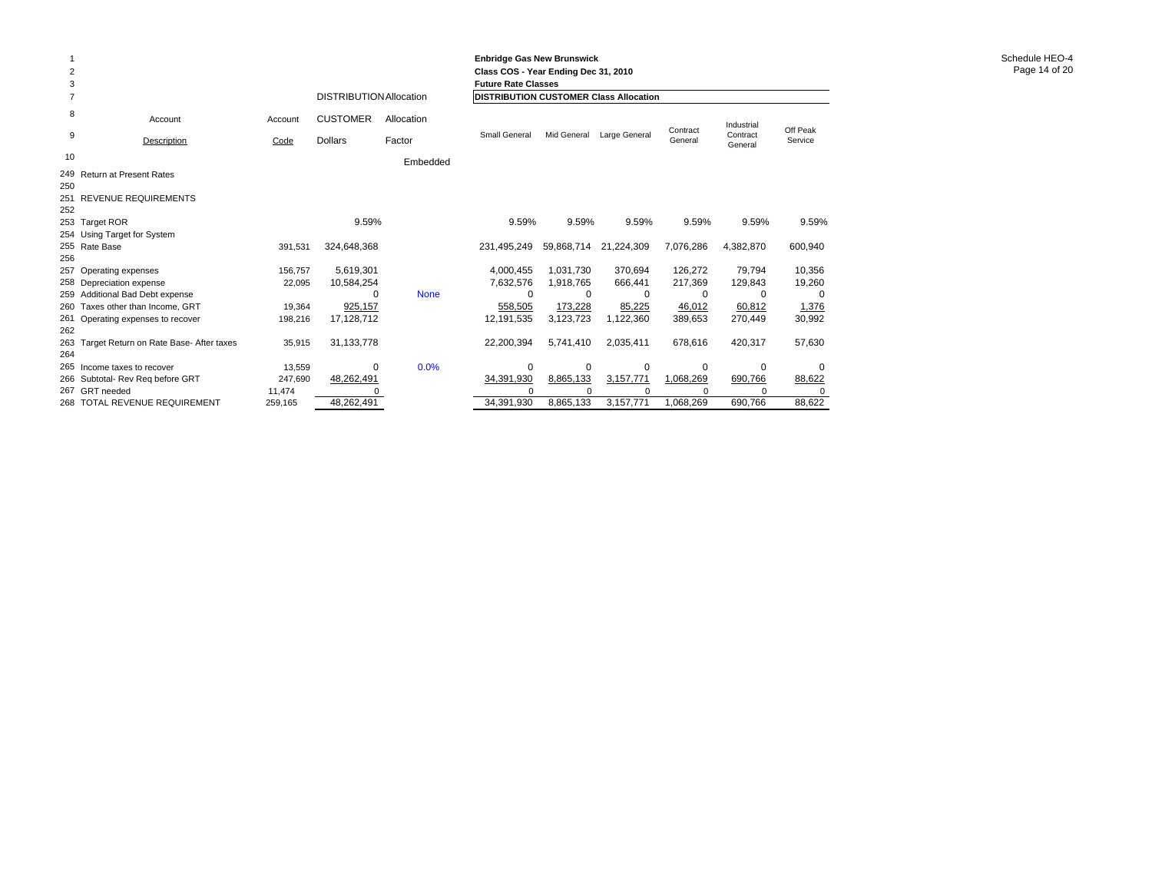| 2<br>3<br>7 |                                             |         | <b>DISTRIBUTION Allocation</b> |             | <b>Enbridge Gas New Brunswick</b><br>Class COS - Year Ending Dec 31, 2010<br><b>Future Rate Classes</b><br><b>DISTRIBUTION CUSTOMER Class Allocation</b> |             |               |                     |                     |          |
|-------------|---------------------------------------------|---------|--------------------------------|-------------|----------------------------------------------------------------------------------------------------------------------------------------------------------|-------------|---------------|---------------------|---------------------|----------|
| 8           |                                             |         |                                |             |                                                                                                                                                          |             |               |                     |                     |          |
|             | Account                                     | Account | <b>CUSTOMER</b>                | Allocation  |                                                                                                                                                          |             |               |                     | Industrial          | Off Peak |
| 9           | Description                                 | Code    | <b>Dollars</b>                 | Factor      | <b>Small General</b>                                                                                                                                     | Mid General | Large General | Contract<br>General | Contract<br>General | Service  |
| 10          |                                             |         |                                | Embedded    |                                                                                                                                                          |             |               |                     |                     |          |
|             | 249 Return at Present Rates                 |         |                                |             |                                                                                                                                                          |             |               |                     |                     |          |
| 250         |                                             |         |                                |             |                                                                                                                                                          |             |               |                     |                     |          |
|             | 251 REVENUE REQUIREMENTS                    |         |                                |             |                                                                                                                                                          |             |               |                     |                     |          |
| 252         |                                             |         |                                |             |                                                                                                                                                          |             |               |                     |                     |          |
|             | 253 Target ROR                              |         | 9.59%                          |             | 9.59%                                                                                                                                                    | 9.59%       | 9.59%         | 9.59%               | 9.59%               | 9.59%    |
|             | 254 Using Target for System                 |         |                                |             |                                                                                                                                                          |             |               |                     |                     |          |
|             | 255 Rate Base                               | 391,531 | 324,648,368                    |             | 231,495,249                                                                                                                                              | 59,868,714  | 21,224,309    | 7,076,286           | 4,382,870           | 600,940  |
| 256         |                                             |         |                                |             |                                                                                                                                                          |             |               |                     |                     |          |
|             | 257 Operating expenses                      | 156.757 | 5,619,301                      |             | 4,000,455                                                                                                                                                | 1.031.730   | 370.694       | 126,272             | 79,794              | 10,356   |
|             | 258 Depreciation expense                    | 22,095  | 10,584,254                     |             | 7,632,576                                                                                                                                                | 1,918,765   | 666.441       | 217,369             | 129,843             | 19,260   |
|             | 259 Additional Bad Debt expense             |         | 0                              | <b>None</b> | $\Omega$                                                                                                                                                 | 0           | $\Omega$      | $\Omega$            | O                   | $\Omega$ |
|             | 260 Taxes other than Income, GRT            | 19,364  | 925,157                        |             | 558,505                                                                                                                                                  | 173,228     | 85,225        | 46,012              | 60,812              | 1,376    |
|             | 261 Operating expenses to recover           | 198,216 | 17,128,712                     |             | 12,191,535                                                                                                                                               | 3,123,723   | 1,122,360     | 389,653             | 270,449             | 30,992   |
| 262         |                                             |         |                                |             |                                                                                                                                                          |             |               |                     |                     |          |
|             | 263 Target Return on Rate Base- After taxes | 35,915  | 31, 133, 778                   |             | 22,200,394                                                                                                                                               | 5,741,410   | 2,035,411     | 678,616             | 420,317             | 57,630   |
| 264         |                                             |         |                                |             |                                                                                                                                                          |             |               |                     |                     |          |
|             | 265 Income taxes to recover                 | 13,559  | 0                              | 0.0%        | 0                                                                                                                                                        | 0           | 0             | $\mathbf 0$         | 0                   | $\Omega$ |
|             | 266 Subtotal- Rev Reg before GRT            | 247,690 | 48,262,491                     |             | 34,391,930                                                                                                                                               | 8,865,133   | 3,157,771     | 1,068,269           | 690,766             | 88,622   |
|             | 267 GRT needed                              | 11,474  | $\Omega$                       |             | O                                                                                                                                                        | C           |               | $\Omega$            | $\Omega$            |          |
|             | 268 TOTAL REVENUE REQUIREMENT               | 259,165 | 48,262,491                     |             | 34,391,930                                                                                                                                               | 8,865,133   | 3,157,771     | 1,068,269           | 690,766             | 88,622   |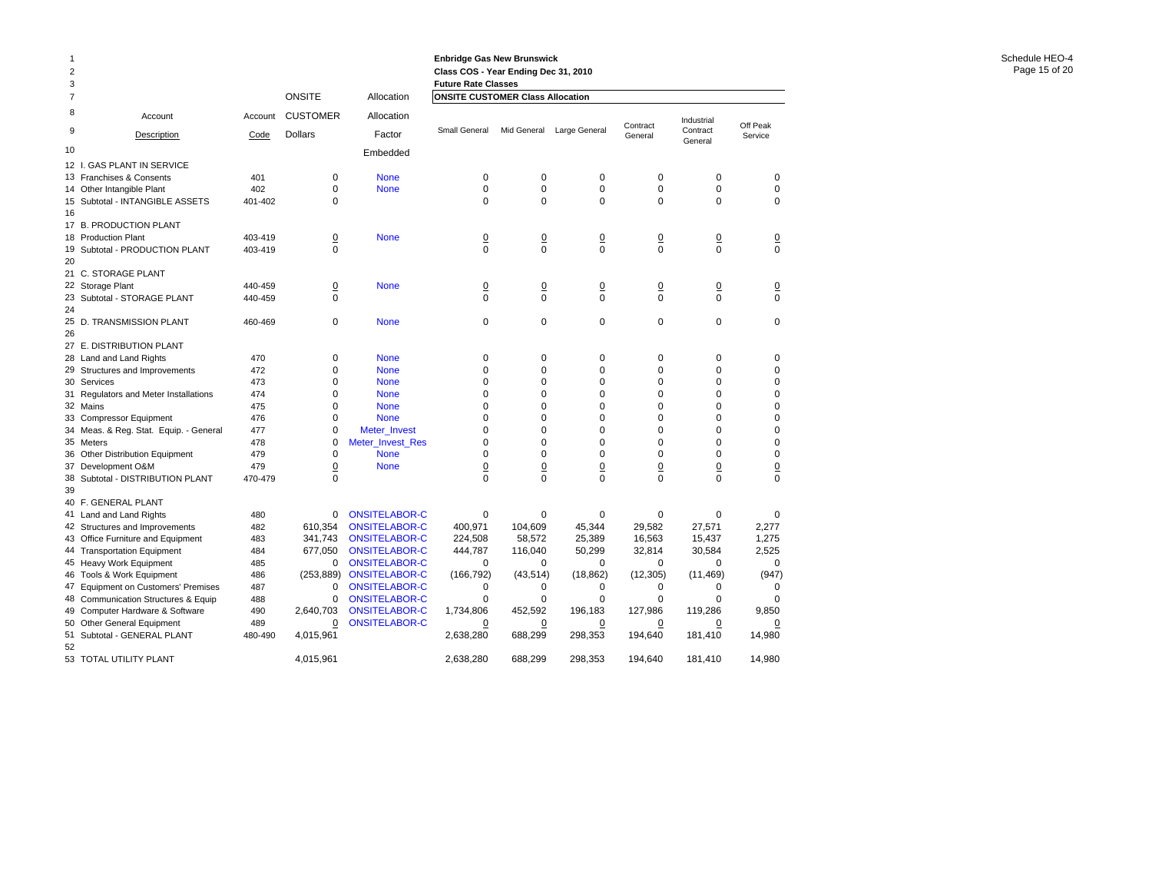|                | Industrial                                                                                                                                                                                                                                                                                                                | Off Peak                                                                                                                                                                                                                                                                                                                                               |
|----------------|---------------------------------------------------------------------------------------------------------------------------------------------------------------------------------------------------------------------------------------------------------------------------------------------------------------------------|--------------------------------------------------------------------------------------------------------------------------------------------------------------------------------------------------------------------------------------------------------------------------------------------------------------------------------------------------------|
| General        | Contract                                                                                                                                                                                                                                                                                                                  | Service                                                                                                                                                                                                                                                                                                                                                |
|                |                                                                                                                                                                                                                                                                                                                           |                                                                                                                                                                                                                                                                                                                                                        |
|                |                                                                                                                                                                                                                                                                                                                           |                                                                                                                                                                                                                                                                                                                                                        |
| 0              | 0                                                                                                                                                                                                                                                                                                                         | 0                                                                                                                                                                                                                                                                                                                                                      |
|                |                                                                                                                                                                                                                                                                                                                           | $\mathbf 0$                                                                                                                                                                                                                                                                                                                                            |
|                |                                                                                                                                                                                                                                                                                                                           | $\mathbf 0$                                                                                                                                                                                                                                                                                                                                            |
|                |                                                                                                                                                                                                                                                                                                                           |                                                                                                                                                                                                                                                                                                                                                        |
|                |                                                                                                                                                                                                                                                                                                                           |                                                                                                                                                                                                                                                                                                                                                        |
| $\overline{0}$ | $\overline{0}$                                                                                                                                                                                                                                                                                                            | $\overline{0}$                                                                                                                                                                                                                                                                                                                                         |
|                |                                                                                                                                                                                                                                                                                                                           | $\mathbf 0$                                                                                                                                                                                                                                                                                                                                            |
|                |                                                                                                                                                                                                                                                                                                                           |                                                                                                                                                                                                                                                                                                                                                        |
| $\overline{0}$ | $\overline{0}$                                                                                                                                                                                                                                                                                                            | $\overline{0}$                                                                                                                                                                                                                                                                                                                                         |
| 0              | $\mathbf 0$                                                                                                                                                                                                                                                                                                               | $\mathbf 0$                                                                                                                                                                                                                                                                                                                                            |
| 0              | $\mathbf 0$                                                                                                                                                                                                                                                                                                               | $\mathbf 0$                                                                                                                                                                                                                                                                                                                                            |
|                |                                                                                                                                                                                                                                                                                                                           |                                                                                                                                                                                                                                                                                                                                                        |
|                |                                                                                                                                                                                                                                                                                                                           | $\mathbf 0$                                                                                                                                                                                                                                                                                                                                            |
|                |                                                                                                                                                                                                                                                                                                                           | $\mathbf 0$                                                                                                                                                                                                                                                                                                                                            |
|                |                                                                                                                                                                                                                                                                                                                           | $\mathbf 0$                                                                                                                                                                                                                                                                                                                                            |
|                |                                                                                                                                                                                                                                                                                                                           | $\mathbf 0$                                                                                                                                                                                                                                                                                                                                            |
|                |                                                                                                                                                                                                                                                                                                                           |                                                                                                                                                                                                                                                                                                                                                        |
|                |                                                                                                                                                                                                                                                                                                                           | $\mathbf 0$<br>$\mathbf 0$                                                                                                                                                                                                                                                                                                                             |
|                |                                                                                                                                                                                                                                                                                                                           |                                                                                                                                                                                                                                                                                                                                                        |
|                |                                                                                                                                                                                                                                                                                                                           | 0<br>$\Omega$                                                                                                                                                                                                                                                                                                                                          |
|                |                                                                                                                                                                                                                                                                                                                           | $\mathbf 0$                                                                                                                                                                                                                                                                                                                                            |
|                |                                                                                                                                                                                                                                                                                                                           |                                                                                                                                                                                                                                                                                                                                                        |
|                |                                                                                                                                                                                                                                                                                                                           | $\overline{0}$<br>$\mathbf 0$                                                                                                                                                                                                                                                                                                                          |
|                |                                                                                                                                                                                                                                                                                                                           |                                                                                                                                                                                                                                                                                                                                                        |
|                |                                                                                                                                                                                                                                                                                                                           |                                                                                                                                                                                                                                                                                                                                                        |
|                |                                                                                                                                                                                                                                                                                                                           | $\mathbf 0$                                                                                                                                                                                                                                                                                                                                            |
|                |                                                                                                                                                                                                                                                                                                                           | 2,277                                                                                                                                                                                                                                                                                                                                                  |
|                |                                                                                                                                                                                                                                                                                                                           | 1,275                                                                                                                                                                                                                                                                                                                                                  |
|                |                                                                                                                                                                                                                                                                                                                           | 2,525                                                                                                                                                                                                                                                                                                                                                  |
|                |                                                                                                                                                                                                                                                                                                                           | $\mathbf 0$                                                                                                                                                                                                                                                                                                                                            |
|                |                                                                                                                                                                                                                                                                                                                           | (947)                                                                                                                                                                                                                                                                                                                                                  |
|                |                                                                                                                                                                                                                                                                                                                           | 0                                                                                                                                                                                                                                                                                                                                                      |
|                |                                                                                                                                                                                                                                                                                                                           | $\mathbf 0$                                                                                                                                                                                                                                                                                                                                            |
|                |                                                                                                                                                                                                                                                                                                                           | 9,850                                                                                                                                                                                                                                                                                                                                                  |
|                |                                                                                                                                                                                                                                                                                                                           | 0                                                                                                                                                                                                                                                                                                                                                      |
|                |                                                                                                                                                                                                                                                                                                                           | 14,980                                                                                                                                                                                                                                                                                                                                                 |
|                |                                                                                                                                                                                                                                                                                                                           |                                                                                                                                                                                                                                                                                                                                                        |
|                |                                                                                                                                                                                                                                                                                                                           | 14,980                                                                                                                                                                                                                                                                                                                                                 |
|                | Contract<br>$\mathbf 0$<br>$\mathbf 0$<br>$\mathbf 0$<br>$\mathbf 0$<br>$\mathbf 0$<br>$\mathbf 0$<br>$\Omega$<br>$\mathbf 0$<br>$\Omega$<br>$\mathbf 0$<br>$\Omega$<br>$\mathbf 0$<br>$\overline{0}$<br>$\mathbf 0$<br>0<br>29,582<br>16,563<br>32,814<br>0<br>(12, 305)<br>0<br>0<br>127,986<br>0<br>194,640<br>194.640 | General<br>$\mathbf 0$<br>$\mathbf 0$<br>$\mathbf 0$<br>$\mathbf 0$<br>$\mathbf 0$<br>$\mathbf 0$<br>$\mathbf 0$<br>$\mathbf 0$<br>$\mathbf 0$<br>$\mathbf 0$<br>$\Omega$<br>$\Omega$<br>$\overline{0}$<br>$\Omega$<br>$\mathbf 0$<br>27,571<br>15,437<br>30,584<br>$\mathbf 0$<br>(11, 469)<br>0<br>$\mathbf 0$<br>119,286<br>0<br>181,410<br>181,410 |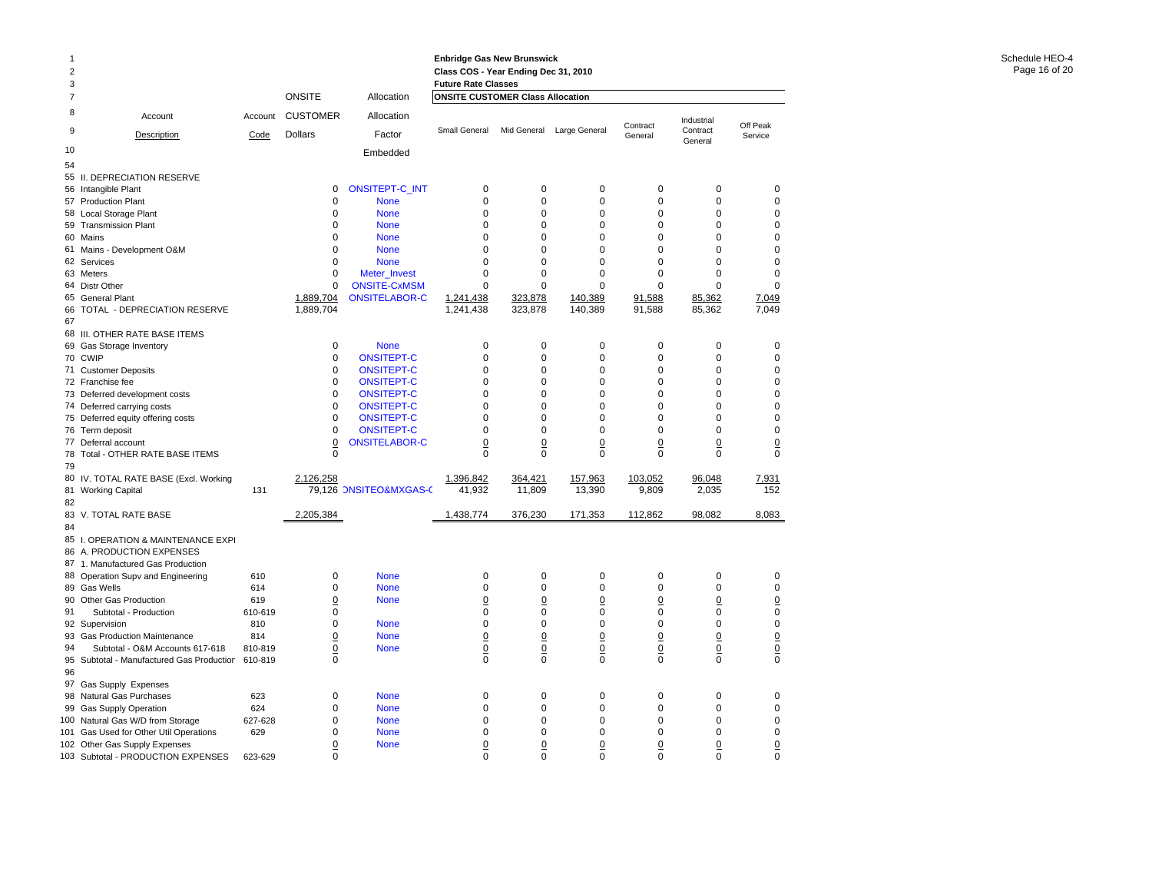| $\overline{c}$ |                                                      |                |                          |                        | <b>Enbridge Gas New Brunswick</b><br>Class COS - Year Ending Dec 31, 2010 |                                |                               |                                |                                   |                                |
|----------------|------------------------------------------------------|----------------|--------------------------|------------------------|---------------------------------------------------------------------------|--------------------------------|-------------------------------|--------------------------------|-----------------------------------|--------------------------------|
| 3<br>7         |                                                      |                | <b>ONSITE</b>            | Allocation             | <b>Future Rate Classes</b><br><b>ONSITE CUSTOMER Class Allocation</b>     |                                |                               |                                |                                   |                                |
| 8              | Account                                              | Account        | <b>CUSTOMER</b>          | Allocation             |                                                                           |                                |                               |                                |                                   |                                |
| 9              | Description                                          | Code           | <b>Dollars</b>           | Factor                 | Small General                                                             | Mid General                    | Large General                 | Contract<br>General            | Industrial<br>Contract<br>General | Off Peak<br>Service            |
| 10             |                                                      |                |                          | Embedded               |                                                                           |                                |                               |                                |                                   |                                |
| 54             |                                                      |                |                          |                        |                                                                           |                                |                               |                                |                                   |                                |
| 55             | II. DEPRECIATION RESERVE                             |                |                          |                        |                                                                           |                                |                               |                                |                                   |                                |
|                | 56 Intangible Plant                                  |                | $\mathbf 0$              | ONSITEPT-C_INT         | 0                                                                         | $\mathbf 0$                    | $\mathbf 0$                   | $\mathbf 0$                    | $\mathbf 0$                       | 0                              |
|                | 57 Production Plant                                  |                | $\mathbf 0$              | <b>None</b>            | $\Omega$                                                                  | $\Omega$                       | $\Omega$                      | $\Omega$                       | $\Omega$                          | $\mathbf 0$                    |
|                | 58 Local Storage Plant                               |                | $\mathbf 0$              | <b>None</b>            | $\mathbf 0$                                                               | $\mathbf 0$                    | $\mathbf 0$                   | 0                              | $\mathbf 0$                       | $\mathbf 0$                    |
|                | 59 Transmission Plant                                |                | $\mathbf 0$              | <b>None</b>            | 0                                                                         | $\mathbf 0$                    | $\mathbf 0$                   | 0                              | $\mathbf 0$                       | $\mathbf 0$                    |
| 60             | Mains                                                |                | $\mathbf 0$              | <b>None</b>            | 0                                                                         | $\Omega$                       | $\Omega$                      | $\Omega$                       | $\Omega$                          | $\mathbf 0$                    |
| 61             | Mains - Development O&M                              |                | $\mathbf 0$              | <b>None</b>            | 0                                                                         | $\Omega$                       | $\Omega$                      | $\Omega$                       | $\Omega$                          | $\mathbf 0$                    |
| 62             | Services                                             |                | $\mathbf 0$              | <b>None</b>            | $\mathbf 0$                                                               | $\mathbf 0$                    | $\mathbf 0$                   | $\Omega$                       | $\Omega$                          | $\mathbf 0$                    |
|                | 63 Meters                                            |                | $\mathbf 0$              | Meter Invest           | $\mathbf 0$                                                               | $\mathbf 0$                    | $\mathbf 0$                   | 0                              | $\Omega$                          | $\mathbf 0$                    |
|                | 64 Distr Other                                       |                | $\mathbf 0$<br>1.889.704 | <b>ONSITE-CxMSM</b>    | 0                                                                         | 0                              | 0                             | 0                              | 0                                 | $\mathbf 0$                    |
| 65<br>66       | <b>General Plant</b><br>TOTAL - DEPRECIATION RESERVE |                | 1,889,704                | <b>ONSITELABOR-C</b>   | 1,241,438<br>1,241,438                                                    | 323,878<br>323,878             | 140,389<br>140,389            | 91,588<br>91,588               | 85,362<br>85,362                  | 7,049<br>7,049                 |
| 67             |                                                      |                |                          |                        |                                                                           |                                |                               |                                |                                   |                                |
|                | 68 III. OTHER RATE BASE ITEMS                        |                |                          |                        |                                                                           |                                |                               |                                |                                   |                                |
| 69             | Gas Storage Inventory                                |                | $\mathbf 0$              | <b>None</b>            | 0                                                                         | $\mathbf 0$                    | $\mathbf 0$                   | $\mathbf 0$                    | $\mathbf 0$                       | 0                              |
|                | 70 CWIP                                              |                | $\mathbf 0$              | <b>ONSITEPT-C</b>      | $\mathbf 0$                                                               | $\mathbf 0$                    | $\mathbf 0$                   | $\mathbf 0$                    | $\mathbf 0$                       | $\mathbf 0$                    |
|                | 71 Customer Deposits                                 |                | 0                        | <b>ONSITEPT-C</b>      | 0                                                                         | $\mathbf 0$                    | $\mathbf 0$                   | 0                              | $\mathbf 0$                       | $\mathbf 0$                    |
|                | 72 Franchise fee                                     |                | $\pmb{0}$                | <b>ONSITEPT-C</b>      | $\Omega$                                                                  | $\Omega$                       | $\Omega$                      | $\Omega$                       | $\Omega$                          | $\mathbf 0$                    |
|                | 73 Deferred development costs                        |                | $\mathbf 0$              | <b>ONSITEPT-C</b>      | $\mathbf 0$                                                               | $\mathbf 0$                    | $\mathbf 0$                   | 0                              | $\mathbf 0$                       | $\mathbf 0$                    |
|                | 74 Deferred carrying costs                           |                | $\mathbf 0$              | <b>ONSITEPT-C</b>      | 0                                                                         | 0                              | 0                             | 0                              | $\mathbf 0$                       | $\mathbf 0$                    |
|                | 75 Deferred equity offering costs                    |                | $\Omega$                 | <b>ONSITEPT-C</b>      | $\Omega$                                                                  | $\Omega$                       | $\Omega$                      | $\Omega$                       | $\Omega$                          | $\mathbf 0$                    |
|                | 76 Term deposit                                      |                | $\mathbf 0$              | <b>ONSITEPT-C</b>      | $\mathbf 0$                                                               | $\Omega$                       | $\Omega$                      | $\Omega$                       | $\Omega$                          | $\mathbf 0$                    |
|                | 77 Deferral account                                  |                | $\overline{0}$           | <b>ONSITELABOR-C</b>   | $\overline{0}$                                                            | $\overline{0}$                 | $\overline{0}$                | $\overline{0}$                 | $\overline{0}$                    | $\underline{0}$                |
| 78             | Total - OTHER RATE BASE ITEMS                        |                | $\mathbf 0$              |                        | $\Omega$                                                                  | $\Omega$                       | $\Omega$                      | $\Omega$                       | $\Omega$                          | $\mathbf 0$                    |
| 79             |                                                      |                |                          |                        |                                                                           |                                |                               |                                |                                   |                                |
| 80             | IV. TOTAL RATE BASE (Excl. Working                   |                | 2,126,258                |                        | 1,396,842                                                                 | 364,421                        | 157,963                       | 103,052                        | 96,048                            | 7,931                          |
| 81             | <b>Working Capital</b>                               | 131            |                          | 79,126 ONSITEO&MXGAS-C | 41,932                                                                    | 11,809                         | 13,390                        | 9,809                          | 2,035                             | 152                            |
| 82             |                                                      |                |                          |                        |                                                                           |                                |                               |                                |                                   |                                |
| 83             | V. TOTAL RATE BASE                                   |                | 2,205,384                |                        | 1,438,774                                                                 | 376,230                        | 171,353                       | 112,862                        | 98,082                            | 8,083                          |
| 84             |                                                      |                |                          |                        |                                                                           |                                |                               |                                |                                   |                                |
|                | 85 I. OPERATION & MAINTENANCE EXPI                   |                |                          |                        |                                                                           |                                |                               |                                |                                   |                                |
|                | 86 A. PRODUCTION EXPENSES                            |                |                          |                        |                                                                           |                                |                               |                                |                                   |                                |
| 87             | 1. Manufactured Gas Production                       |                |                          |                        |                                                                           |                                |                               |                                |                                   |                                |
|                | 88 Operation Supv and Engineering                    | 610            | $\mathbf 0$              | <b>None</b>            | 0                                                                         | $\mathbf 0$                    | $\mathbf 0$                   | $\mathbf 0$                    | $\mathbf 0$                       | $\mathbf 0$                    |
| 90             | 89 Gas Wells                                         | 614            | $\mathbf 0$              | <b>None</b>            | $\mathbf 0$                                                               | $\Omega$                       | $\mathbf 0$                   | 0                              | $\mathbf 0$                       | $\mathbf 0$                    |
| 91             | Other Gas Production                                 | 619            | $\underline{0}$<br>0     | <b>None</b>            | $\underline{0}$<br>$\mathbf 0$                                            | $\underline{0}$<br>$\mathbf 0$ | $\overline{0}$<br>$\mathbf 0$ | $\underline{0}$<br>$\mathbf 0$ | $\overline{0}$<br>$\mathbf 0$     | $\underline{0}$<br>$\mathbf 0$ |
|                | Subtotal - Production<br>92 Supervision              | 610-619<br>810 | 0                        | <b>None</b>            | 0                                                                         | $\mathbf 0$                    | $\mathbf 0$                   | 0                              | $\mathbf 0$                       | $\mathbf 0$                    |
| 93             | Gas Production Maintenance                           | 814            | $\underline{0}$          | <b>None</b>            | $\underline{0}$                                                           | $\underline{0}$                | $\overline{0}$                | $\underline{0}$                | $\pmb{0}$                         |                                |
| 94             | Subtotal - O&M Accounts 617-618                      | 810-819        | $\overline{0}$           | <b>None</b>            | $\overline{0}$                                                            | $\underline{0}$                | $\underline{0}$               | $\underline{0}$                | $\underline{0}$                   | $\frac{0}{0}$                  |
| 95             | Subtotal - Manufactured Gas Production               | 610-819        | $\Omega$                 |                        | $\Omega$                                                                  | $\Omega$                       | $\Omega$                      | $\Omega$                       | $\Omega$                          | $\Omega$                       |
| 96             |                                                      |                |                          |                        |                                                                           |                                |                               |                                |                                   |                                |
|                | 97 Gas Supply Expenses                               |                |                          |                        |                                                                           |                                |                               |                                |                                   |                                |
| 98             | Natural Gas Purchases                                | 623            | $\mathbf 0$              | <b>None</b>            | $\mathbf 0$                                                               | $\mathbf 0$                    | $\mathbf 0$                   | $\mathbf 0$                    | $\mathbf 0$                       | $\mathbf 0$                    |
| 99             | <b>Gas Supply Operation</b>                          | 624            | 0                        | <b>None</b>            | $\mathbf 0$                                                               | $\mathbf 0$                    | $\mathbf 0$                   | $\mathbf 0$                    | $\mathbf 0$                       | $\mathbf 0$                    |
| 100            | Natural Gas W/D from Storage                         | 627-628        | $\pmb{0}$                | <b>None</b>            | $\Omega$                                                                  | $\Omega$                       | $\Omega$                      | $\Omega$                       | $\Omega$                          | $\mathbf 0$                    |
| 101            | Gas Used for Other Util Operations                   | 629            | $\mathbf 0$              | <b>None</b>            | 0                                                                         | $\mathbf 0$                    | $\mathbf 0$                   | 0                              | $\mathbf 0$                       | $\mathbf 0$                    |
|                | 102 Other Gas Supply Expenses                        |                | 0                        | <b>None</b>            | $\overline{0}$                                                            | 0                              | $\overline{0}$                | $\overline{0}$                 | 0                                 | $\underline{0}$                |
|                | 103 Subtotal - PRODUCTION EXPENSES                   | 623-629        | $\Omega$                 |                        | $\Omega$                                                                  | O                              | $\Omega$                      | $\Omega$                       | U                                 | $\Omega$                       |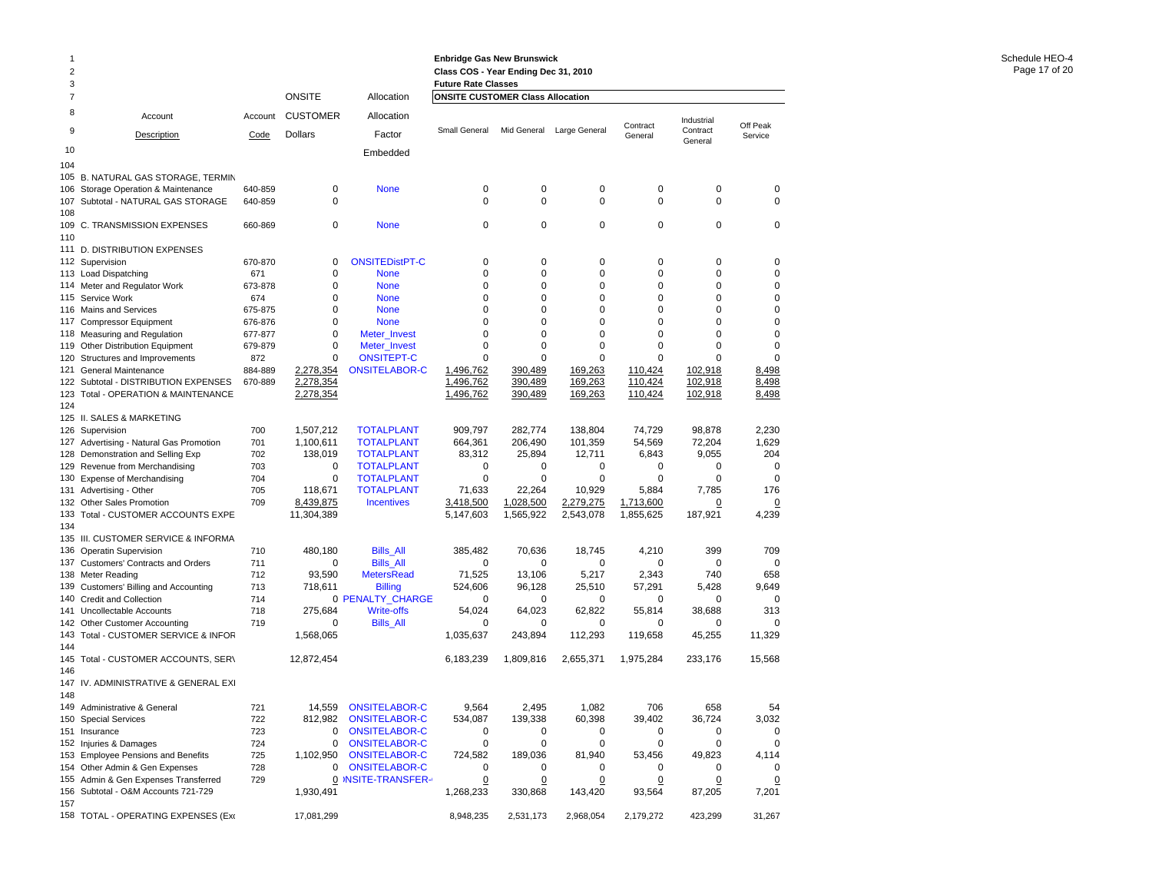| 1              |                                                                              |                |                      |                                               | <b>Enbridge Gas New Brunswick</b>       |                   |                   |                  |                        |                  |
|----------------|------------------------------------------------------------------------------|----------------|----------------------|-----------------------------------------------|-----------------------------------------|-------------------|-------------------|------------------|------------------------|------------------|
| $\overline{2}$ |                                                                              |                |                      |                                               | Class COS - Year Ending Dec 31, 2010    |                   |                   |                  |                        |                  |
| 3              |                                                                              |                |                      |                                               | <b>Future Rate Classes</b>              |                   |                   |                  |                        |                  |
| 7              |                                                                              |                | <b>ONSITE</b>        | Allocation                                    | <b>ONSITE CUSTOMER Class Allocation</b> |                   |                   |                  |                        |                  |
| 8<br>9         | Account                                                                      | Account        | <b>CUSTOMER</b>      | Allocation                                    | Small General                           | Mid General       | Large General     | Contract         | Industrial<br>Contract | Off Peak         |
|                | <b>Description</b>                                                           | Code           | <b>Dollars</b>       | Factor                                        |                                         |                   |                   | General          | General                | Service          |
| 10             |                                                                              |                |                      | Embedded                                      |                                         |                   |                   |                  |                        |                  |
| 104            |                                                                              |                |                      |                                               |                                         |                   |                   |                  |                        |                  |
| 106            | 105 B. NATURAL GAS STORAGE, TERMIN<br>Storage Operation & Maintenance        | 640-859        | 0                    | <b>None</b>                                   | 0                                       | $\mathbf 0$       | $\pmb{0}$         | $\pmb{0}$        | 0                      | 0                |
| 107            | Subtotal - NATURAL GAS STORAGE                                               | 640-859        | 0                    |                                               | 0                                       | 0                 | $\mathbf 0$       | $\mathbf 0$      | 0                      | 0                |
| 108            |                                                                              |                |                      |                                               |                                         |                   |                   |                  |                        |                  |
| 109            | C. TRANSMISSION EXPENSES                                                     | 660-869        | 0                    | <b>None</b>                                   | 0                                       | $\mathbf 0$       | $\mathbf 0$       | $\pmb{0}$        | 0                      | 0                |
| 110            |                                                                              |                |                      |                                               |                                         |                   |                   |                  |                        |                  |
|                | 111 D. DISTRIBUTION EXPENSES                                                 |                | 0                    |                                               | 0                                       | $\mathbf 0$       | 0                 | $\mathbf 0$      | 0                      | 0                |
|                | 112 Supervision<br>113 Load Dispatching                                      | 670-870<br>671 | 0                    | <b>ONSITEDistPT-C</b><br><b>None</b>          | 0                                       | 0                 | 0                 | 0                | 0                      | 0                |
|                | 114 Meter and Regulator Work                                                 | 673-878        | 0                    | <b>None</b>                                   | 0                                       | 0                 | 0                 | 0                | 0                      | 0                |
|                | 115 Service Work                                                             | 674            | 0                    | <b>None</b>                                   | 0                                       | 0                 | 0                 | 0                | 0                      | 0                |
|                | 116 Mains and Services                                                       | 675-875        | 0                    | <b>None</b>                                   | 0                                       | $\mathbf 0$       | 0                 | 0                | 0                      | 0                |
| 117            | <b>Compressor Equipment</b>                                                  | 676-876        | 0                    | <b>None</b>                                   | 0                                       | 0                 | 0                 | 0                | 0                      | 0                |
|                | 118 Measuring and Regulation                                                 | 677-877        | 0                    | Meter_Invest                                  | 0                                       | 0                 | 0                 | 0                | $\Omega$               | 0                |
| 119<br>120     | Other Distribution Equipment<br>Structures and Improvements                  | 679-879<br>872 | 0<br>0               | Meter_Invest<br><b>ONSITEPT-C</b>             | 0<br>0                                  | 0<br>$\mathbf 0$  | 0<br>0            | 0<br>$\mathbf 0$ | $\Omega$<br>$\Omega$   | 0<br>$\mathbf 0$ |
| 121            | General Maintenance                                                          | 884-889        | 2,278,354            | <b>ONSITELABOR-C</b>                          | 1,496,762                               | 390,489           | 169,263           | 110,424          | 102,918                | 8,498            |
|                | 122 Subtotal - DISTRIBUTION EXPENSES                                         | 670-889        | 2,278,354            |                                               | 1,496,762                               | 390,489           | 169,263           | 110,424          | 102,918                | 8,498            |
| 123            | Total - OPERATION & MAINTENANCE                                              |                | 2,278,354            |                                               | 1,496,762                               | 390,489           | 169,263           | 110,424          | 102,918                | 8,498            |
| 124            |                                                                              |                |                      |                                               |                                         |                   |                   |                  |                        |                  |
|                | 125 II. SALES & MARKETING                                                    |                |                      |                                               |                                         |                   |                   |                  |                        |                  |
|                | 126 Supervision                                                              | 700            | 1,507,212            | <b>TOTALPLANT</b>                             | 909,797                                 | 282,774           | 138,804           | 74,729           | 98,878                 | 2,230            |
|                | 127 Advertising - Natural Gas Promotion<br>128 Demonstration and Selling Exp | 701<br>702     | 1,100,611<br>138,019 | <b>TOTALPLANT</b><br><b>TOTALPLANT</b>        | 664,361<br>83,312                       | 206,490<br>25,894 | 101,359<br>12,711 | 54,569<br>6,843  | 72,204<br>9,055        | 1,629<br>204     |
| 129            | Revenue from Merchandising                                                   | 703            | $\mathbf 0$          | <b>TOTALPLANT</b>                             | 0                                       | 0                 | 0                 | 0                | 0                      | 0                |
| 130            | <b>Expense of Merchandising</b>                                              | 704            | 0                    | <b>TOTALPLANT</b>                             | 0                                       | $\mathbf 0$       | 0                 | 0                | $\mathbf 0$            | $\mathbf 0$      |
|                | 131 Advertising - Other                                                      | 705            | 118,671              | <b>TOTALPLANT</b>                             | 71,633                                  | 22,264            | 10,929            | 5,884            | 7,785                  | 176              |
|                | 132 Other Sales Promotion                                                    | 709            | 8,439,875            | <b>Incentives</b>                             | 3,418,500                               | 1,028,500         | 2,279,275         | 1,713,600        | 0                      | 0                |
| 133            | Total - CUSTOMER ACCOUNTS EXPE                                               |                | 11,304,389           |                                               | 5,147,603                               | 1,565,922         | 2,543,078         | 1,855,625        | 187,921                | 4,239            |
| 134            |                                                                              |                |                      |                                               |                                         |                   |                   |                  |                        |                  |
| 136            | 135 III. CUSTOMER SERVICE & INFORMA<br><b>Operatin Supervision</b>           | 710            | 480,180              | <b>Bills_All</b>                              | 385,482                                 | 70,636            | 18,745            | 4,210            | 399                    | 709              |
|                | 137 Customers' Contracts and Orders                                          | 711            | 0                    | <b>Bills_All</b>                              | 0                                       | 0                 | 0                 | 0                | 0                      | 0                |
| 138            | Meter Reading                                                                | 712            | 93,590               | <b>MetersRead</b>                             | 71,525                                  | 13,106            | 5,217             | 2,343            | 740                    | 658              |
|                | 139 Customers' Billing and Accounting                                        | 713            | 718,611              | <b>Billing</b>                                | 524,606                                 | 96,128            | 25,510            | 57,291           | 5,428                  | 9,649            |
| 140            | Credit and Collection                                                        | 714            |                      | 0 PENALTY_CHARGE                              | 0                                       | 0                 | 0                 | 0                | 0                      | $\mathbf 0$      |
| 141            | Uncollectable Accounts                                                       | 718            | 275,684              | <b>Write-offs</b>                             | 54,024                                  | 64,023            | 62,822            | 55,814           | 38,688                 | 313              |
| 142<br>143     | Other Customer Accounting<br>Total - CUSTOMER SERVICE & INFOR                | 719            | 0<br>1,568,065       | <b>Bills_All</b>                              | O<br>1,035,637                          | 0<br>243,894      | 0<br>112,293      | 0<br>119,658     | 0<br>45,255            | 0<br>11,329      |
| 144            |                                                                              |                |                      |                                               |                                         |                   |                   |                  |                        |                  |
| 145            | Total - CUSTOMER ACCOUNTS, SER\                                              |                | 12,872,454           |                                               | 6,183,239                               | 1,809,816         | 2,655,371         | 1,975,284        | 233.176                | 15,568           |
| 146            |                                                                              |                |                      |                                               |                                         |                   |                   |                  |                        |                  |
|                | 147 IV. ADMINISTRATIVE & GENERAL EXI                                         |                |                      |                                               |                                         |                   |                   |                  |                        |                  |
| 148            |                                                                              |                |                      |                                               |                                         |                   |                   |                  |                        |                  |
|                | 149 Administrative & General<br>150 Special Services                         | 721<br>722     |                      | 14,559 ONSITELABOR-C<br>812,982 ONSITELABOR-C | 9,564<br>534,087                        | 2,495<br>139,338  | 1,082<br>60,398   | 706<br>39,402    | 658<br>36,724          | 3,032            |
|                | 151 Insurance                                                                | 723            | 0                    | <b>ONSITELABOR-C</b>                          | 0                                       | 0                 | 0                 | 0                | 0                      | 0                |
|                | 152 Injuries & Damages                                                       | 724            | 0                    | <b>ONSITELABOR-C</b>                          | 0                                       | 0                 | 0                 | 0                | 0                      | 0                |
|                | 153 Employee Pensions and Benefits                                           | 725            | 1,102,950            | <b>ONSITELABOR-C</b>                          | 724,582                                 | 189,036           | 81,940            | 53,456           | 49,823                 | 4,114            |
|                | 154 Other Admin & Gen Expenses                                               | 728            | 0                    | <b>ONSITELABOR-C</b>                          | 0                                       | 0                 | 0                 | 0                | 0                      | 0                |
|                | 155 Admin & Gen Expenses Transferred                                         | 729            |                      | O INSITE-TRANSFER-                            | <u>0</u>                                | $\overline{0}$    | $\overline{0}$    | $\overline{0}$   | $\overline{0}$         | <u>0</u>         |
| 157            | 156 Subtotal - O&M Accounts 721-729                                          |                | 1,930,491            |                                               | 1,268,233                               | 330,868           | 143,420           | 93,564           | 87,205                 | 7,201            |
|                | 158 TOTAL - OPERATING EXPENSES (Exc                                          |                | 17,081,299           |                                               | 8,948,235                               | 2,531,173         | 2,968,054         | 2,179,272        | 423,299                | 31,267           |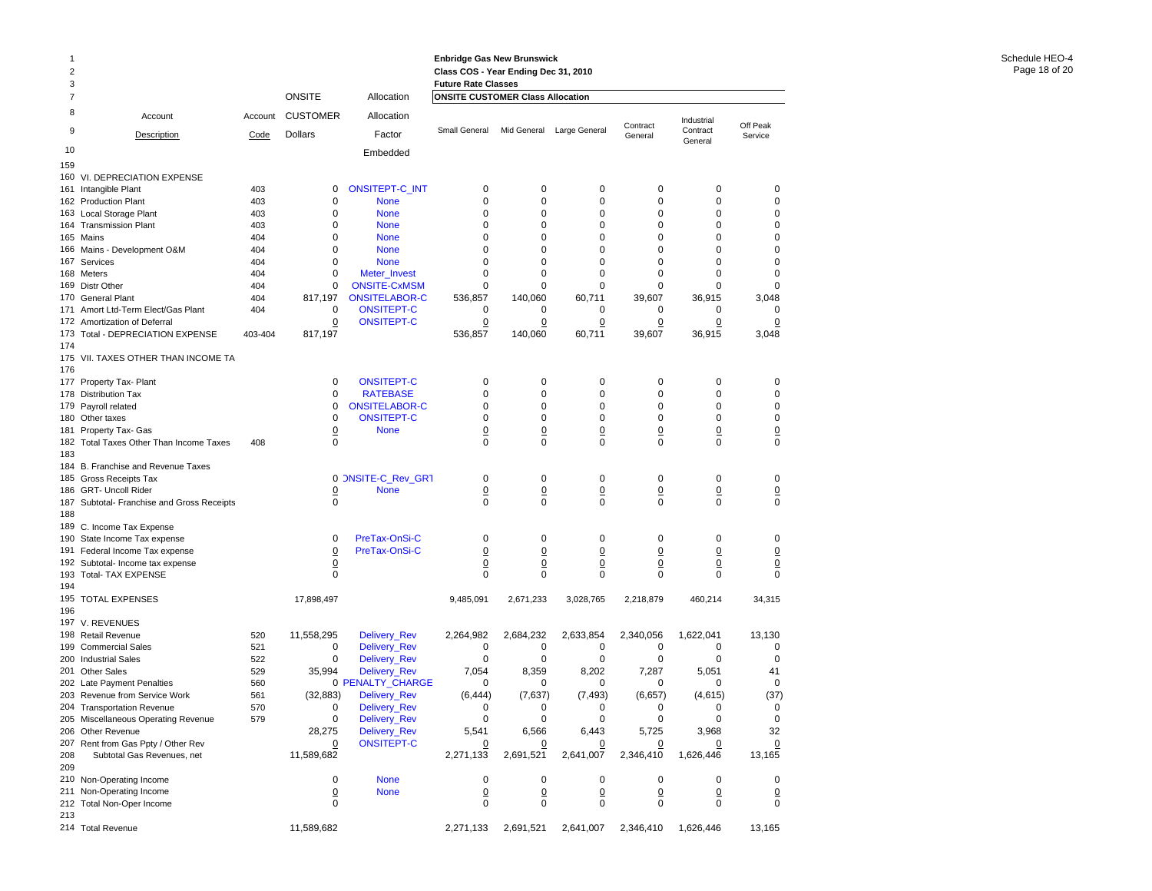| -1<br>2<br>3 |                                                                   |            |                 |                                           | <b>Enbridge Gas New Brunswick</b><br>Class COS - Year Ending Dec 31, 2010<br><b>Future Rate Classes</b> |                |                |                     |                     |                     |
|--------------|-------------------------------------------------------------------|------------|-----------------|-------------------------------------------|---------------------------------------------------------------------------------------------------------|----------------|----------------|---------------------|---------------------|---------------------|
| 7            |                                                                   |            | <b>ONSITE</b>   | Allocation                                | <b>ONSITE CUSTOMER Class Allocation</b>                                                                 |                |                |                     |                     |                     |
| 8            | Account                                                           | Account    | <b>CUSTOMER</b> | Allocation                                |                                                                                                         |                |                | Contract            | Industrial          | Off Peak            |
| 9            | Description                                                       | Code       | Dollars         | Factor                                    | Small General                                                                                           | Mid General    | Large General  | General             | Contract<br>General | Service             |
| 10           |                                                                   |            |                 | Embedded                                  |                                                                                                         |                |                |                     |                     |                     |
| 159          |                                                                   |            |                 |                                           |                                                                                                         |                |                |                     |                     |                     |
|              | 160 VI. DEPRECIATION EXPENSE                                      |            |                 |                                           |                                                                                                         |                |                |                     |                     |                     |
|              | 161 Intangible Plant                                              | 403        | 0               | ONSITEPT-C_INT                            | 0                                                                                                       | 0              | 0              | 0                   | 0                   | 0                   |
|              | 162 Production Plant                                              | 403        | 0<br>0          | <b>None</b>                               | 0<br>0                                                                                                  | 0<br>0         | 0<br>0         | 0<br>0              | 0<br>0              | 0<br>0              |
|              | 163 Local Storage Plant<br>164 Transmission Plant                 | 403<br>403 | 0               | <b>None</b><br><b>None</b>                | 0                                                                                                       | 0              | 0              | 0                   | 0                   | 0                   |
|              | 165 Mains                                                         | 404        | 0               | <b>None</b>                               | 0                                                                                                       | 0              | 0              | 0                   | 0                   | 0                   |
|              | 166 Mains - Development O&M                                       | 404        | 0               | <b>None</b>                               | 0                                                                                                       | 0              | 0              | 0                   | 0                   | 0                   |
|              | 167 Services                                                      | 404        | 0               | <b>None</b>                               | $\Omega$                                                                                                | 0              | 0              | 0                   | 0                   | 0                   |
|              | 168 Meters                                                        | 404        | $\Omega$        | Meter_Invest                              | 0                                                                                                       | 0              | $\Omega$       | $\Omega$            | 0                   | $\mathbf 0$         |
|              | 169 Distr Other                                                   | 404        | 0               | <b>ONSITE-CxMSM</b>                       | 0                                                                                                       | 0              | 0              | 0                   | 0                   | 0                   |
|              | 170 General Plant                                                 | 404        | 817,197         | <b>ONSITELABOR-C</b>                      | 536,857                                                                                                 | 140,060        | 60,711         | 39,607              | 36,915              | 3,048               |
|              | 171 Amort Ltd-Term Elect/Gas Plant                                | 404        | 0               | <b>ONSITEPT-C</b>                         | 0                                                                                                       | 0              | 0              | 0                   | 0                   | $\mathbf 0$         |
|              | 172 Amortization of Deferral                                      |            | 0               | <b>ONSITEPT-C</b>                         | 0                                                                                                       | 0              | 0              | 0                   | 0                   | 0                   |
| 174          | 173 Total - DEPRECIATION EXPENSE                                  | 403-404    | 817,197         |                                           | 536,857                                                                                                 | 140,060        | 60,711         | 39,607              | 36,915              | 3,048               |
| 176          | 175 VII. TAXES OTHER THAN INCOME TA                               |            |                 |                                           |                                                                                                         |                |                |                     |                     |                     |
|              | 177 Property Tax- Plant                                           |            | 0               | <b>ONSITEPT-C</b>                         | 0                                                                                                       | 0              | $\mathbf 0$    | 0                   | 0                   | 0                   |
|              | 178 Distribution Tax                                              |            | 0               | <b>RATEBASE</b>                           | 0                                                                                                       | 0              | 0              | $\mathbf 0$         | $\mathbf 0$         | $\mathbf 0$         |
|              | 179 Payroll related<br>180 Other taxes                            |            | 0<br>0          | <b>ONSITELABOR-C</b><br><b>ONSITEPT-C</b> | 0<br>0                                                                                                  | 0<br>0         | 0<br>0         | 0<br>0              | 0<br>$\mathbf 0$    | 0<br>0              |
|              | 181 Property Tax- Gas                                             |            | <u>0</u>        | <b>None</b>                               | $\overline{0}$                                                                                          | <u>0</u>       | <u>0</u>       | $\overline{0}$      | $\overline{0}$      | $\overline{0}$      |
|              | 182 Total Taxes Other Than Income Taxes                           | 408        | 0               |                                           | 0                                                                                                       | 0              | 0              | 0                   | 0                   | 0                   |
| 183          |                                                                   |            |                 |                                           |                                                                                                         |                |                |                     |                     |                     |
|              | 184 B. Franchise and Revenue Taxes                                |            |                 |                                           |                                                                                                         |                |                |                     |                     |                     |
|              | 185 Gross Receipts Tax                                            |            |                 | 0 ONSITE-C_Rev_GR1                        | 0                                                                                                       | 0              | 0              | 0                   | 0                   | 0                   |
|              | 186 GRT- Uncoll Rider                                             |            | $\overline{0}$  | <b>None</b>                               | $\overline{0}$                                                                                          | $\overline{0}$ | $\overline{0}$ | $\overline{0}$      | $\overline{0}$      | $\overline{0}$      |
|              | 187 Subtotal- Franchise and Gross Receipts                        |            | 0               |                                           | 0                                                                                                       | 0              | 0              | 0                   | 0                   | $\mathbf 0$         |
| 188          |                                                                   |            |                 |                                           |                                                                                                         |                |                |                     |                     |                     |
|              | 189 C. Income Tax Expense                                         |            |                 |                                           |                                                                                                         |                |                |                     |                     |                     |
|              | 190 State Income Tax expense                                      |            | 0               | PreTax-OnSi-C                             | 0                                                                                                       | 0              | 0              | 0                   | 0                   | 0                   |
|              | 191 Federal Income Tax expense                                    |            | $\overline{0}$  | PreTax-OnSi-C                             | $\overline{0}$                                                                                          | 0              | $\overline{0}$ | $\Omega$            | $\overline{0}$      | $\overline{0}$      |
|              | 192 Subtotal- Income tax expense<br>193 Total- TAX EXPENSE        |            | <u>0</u><br>0   |                                           | <u>0</u><br>0                                                                                           | 0<br>0         | $\Omega$<br>0  | $\overline{0}$<br>0 | <u>0</u><br>0       | $\overline{0}$<br>0 |
| 194          |                                                                   |            |                 |                                           |                                                                                                         |                |                |                     |                     |                     |
| 196          | 195 TOTAL EXPENSES                                                |            | 17,898,497      |                                           | 9,485,091                                                                                               | 2,671,233      | 3,028,765      | 2,218,879           | 460,214             | 34,315              |
|              | 197 V. REVENUES                                                   |            |                 |                                           |                                                                                                         |                |                |                     |                     |                     |
|              | 198 Retail Revenue                                                | 520        | 11,558,295      | Delivery_Rev                              | 2,264,982                                                                                               | 2,684,232      | 2,633,854      | 2,340,056           | 1,622,041           | 13,130              |
|              | 199 Commercial Sales                                              | 521        | 0               | Delivery_Rev                              | 0                                                                                                       | 0              | 0              | 0                   | 0                   | 0                   |
|              | 200 Industrial Sales                                              | 522        | 0               | Delivery_Rev                              | 0                                                                                                       | 0              | 0              | 0                   | 0                   | $\mathbf 0$         |
|              | 201 Other Sales                                                   | 529        | 35,994          | Delivery_Rev                              | 7,054                                                                                                   | 8,359          | 8,202          | 7,287               | 5,051               | 41                  |
|              | 202 Late Payment Penalties                                        | 560        |                 | <b>0 PENALTY CHARGE</b>                   | 0                                                                                                       | 0              | $\Omega$       | $\Omega$            | 0                   | 0                   |
|              | 203 Revenue from Service Work                                     | 561        | (32, 883)<br>0  | Delivery_Rev                              | (6, 444)<br>0                                                                                           | (7,637)<br>0   | (7, 493)<br>0  | (6,657)<br>0        | (4,615)<br>0        | (37)                |
|              | 204 Transportation Revenue<br>205 Miscellaneous Operating Revenue | 570<br>579 | 0               | Delivery_Rev<br>Delivery_Rev              | 0                                                                                                       | 0              | 0              | 0                   | 0                   | 0<br>0              |
|              | 206 Other Revenue                                                 |            | 28,275          | Delivery_Rev                              | 5,541                                                                                                   | 6,566          | 6,443          | 5,725               | 3,968               | 32                  |
|              | 207 Rent from Gas Ppty / Other Rev                                |            | 0               | <b>ONSITEPT-C</b>                         |                                                                                                         |                |                |                     | $\overline{0}$      | $\overline{0}$      |
| 208          | Subtotal Gas Revenues, net                                        |            | 11,589,682      |                                           | 2,271,133                                                                                               | 2,691,521      | 2,641,007      | 2,346,410           | 1,626,446           | 13,165              |
| 209          |                                                                   |            |                 |                                           |                                                                                                         |                |                |                     |                     |                     |
|              | 210 Non-Operating Income                                          |            | 0               | <b>None</b>                               | 0                                                                                                       | 0              | 0              | 0                   | 0                   | 0                   |
|              | 211 Non-Operating Income                                          |            | $\overline{0}$  | <b>None</b>                               | $\overline{0}$                                                                                          | $\overline{0}$ | $\overline{0}$ | $\overline{0}$      | $\overline{0}$      | $\overline{0}$      |
|              | 212 Total Non-Oper Income                                         |            | $\mathbf 0$     |                                           | $\Omega$                                                                                                | 0              | 0              | 0                   | 0                   | 0                   |
| 213          |                                                                   |            |                 |                                           |                                                                                                         |                |                |                     |                     |                     |
|              | 214 Total Revenue                                                 |            | 11,589,682      |                                           | 2,271,133                                                                                               | 2,691,521      | 2,641,007      | 2,346,410           | 1,626,446           | 13,165              |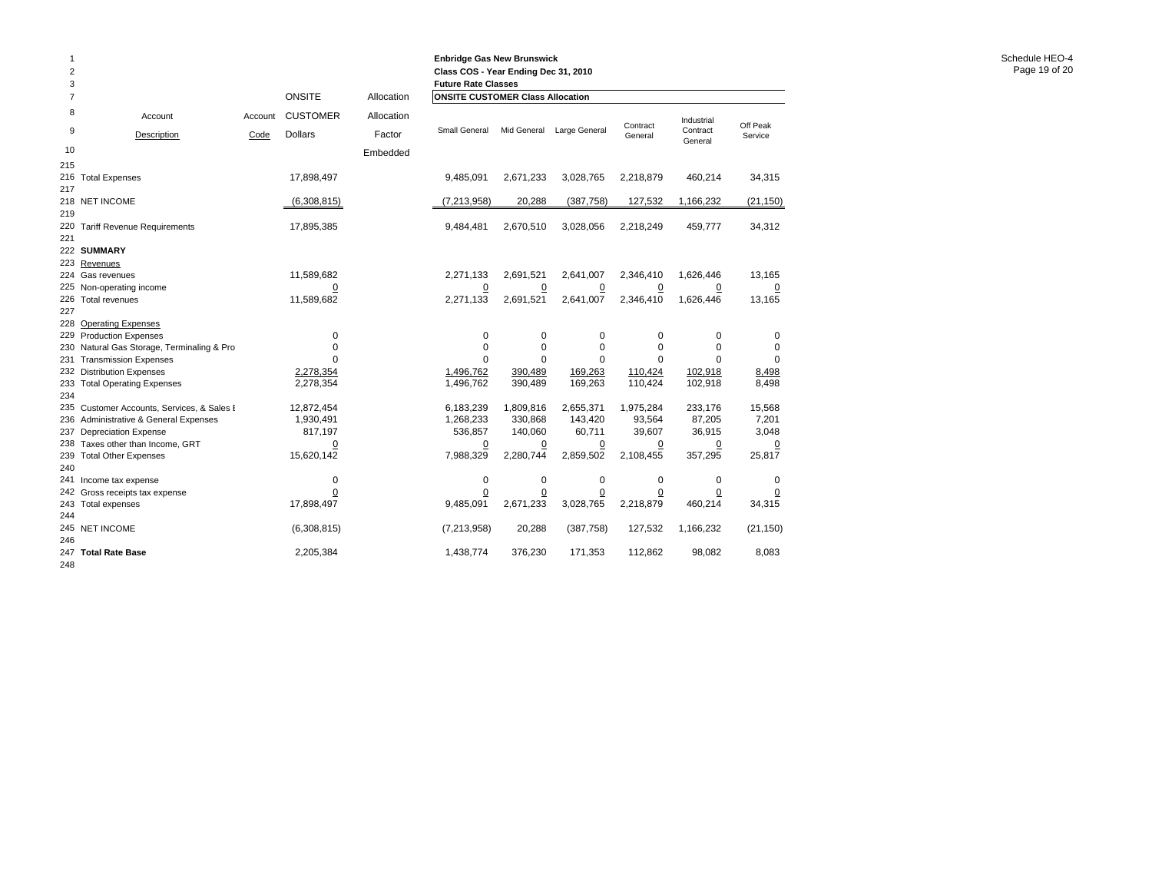| 1<br>$\overline{2}$<br>3 |                                                             |         |                      |            | <b>Enbridge Gas New Brunswick</b><br>Class COS - Year Ending Dec 31, 2010<br><b>Future Rate Classes</b> |                    |                   |                  |                     |                |
|--------------------------|-------------------------------------------------------------|---------|----------------------|------------|---------------------------------------------------------------------------------------------------------|--------------------|-------------------|------------------|---------------------|----------------|
| $\overline{7}$           |                                                             |         | <b>ONSITE</b>        | Allocation | <b>ONSITE CUSTOMER Class Allocation</b>                                                                 |                    |                   |                  |                     |                |
| 8                        | Account                                                     | Account | <b>CUSTOMER</b>      | Allocation |                                                                                                         |                    |                   | Contract         | Industrial          | Off Peak       |
| 9                        | Description                                                 | Code    | <b>Dollars</b>       | Factor     | <b>Small General</b>                                                                                    | Mid General        | Large General     | General          | Contract<br>General | Service        |
| 10                       |                                                             |         |                      | Embedded   |                                                                                                         |                    |                   |                  |                     |                |
| 215                      |                                                             |         |                      |            |                                                                                                         |                    |                   |                  |                     |                |
|                          | 216 Total Expenses                                          |         | 17,898,497           |            | 9,485,091                                                                                               | 2,671,233          | 3,028,765         | 2,218,879        | 460,214             | 34,315         |
| 217                      |                                                             |         |                      |            |                                                                                                         | 20,288             | (387, 758)        |                  |                     |                |
| 219                      | 218 NET INCOME                                              |         | (6,308,815)          |            | (7, 213, 958)                                                                                           |                    |                   | 127,532          | 1,166,232           | (21, 150)      |
| 220                      | <b>Tariff Revenue Requirements</b>                          |         | 17,895,385           |            | 9,484,481                                                                                               | 2,670,510          | 3,028,056         | 2,218,249        | 459,777             | 34,312         |
| 221                      |                                                             |         |                      |            |                                                                                                         |                    |                   |                  |                     |                |
|                          | 222 SUMMARY                                                 |         |                      |            |                                                                                                         |                    |                   |                  |                     |                |
|                          | 223 Revenues                                                |         |                      |            |                                                                                                         |                    |                   |                  |                     |                |
|                          | 224 Gas revenues                                            |         | 11,589,682           |            | 2,271,133                                                                                               | 2,691,521          | 2,641,007         | 2,346,410        | 1,626,446           | 13,165         |
|                          | 225 Non-operating income                                    |         | $\Omega$             |            | 0                                                                                                       | $\overline{0}$     | $\overline{0}$    | $\overline{0}$   | 0                   | $\overline{0}$ |
|                          | 226 Total revenues                                          |         | 11,589,682           |            | 2,271,133                                                                                               | 2,691,521          | 2,641,007         | 2,346,410        | 1,626,446           | 13,165         |
| 227                      |                                                             |         |                      |            |                                                                                                         |                    |                   |                  |                     |                |
| 228                      | <b>Operating Expenses</b>                                   |         |                      |            |                                                                                                         |                    |                   |                  |                     |                |
|                          | 229 Production Expenses                                     |         | $\mathbf 0$          |            | 0                                                                                                       | 0                  | 0                 | 0                | 0                   | 0              |
| 230                      | Natural Gas Storage, Terminaling & Pro                      |         | $\mathbf 0$          |            | 0                                                                                                       | 0                  | 0                 | 0                | 0                   | 0              |
| 231                      | <b>Transmission Expenses</b>                                |         | $\Omega$             |            | $\Omega$                                                                                                | $\Omega$           | $\Omega$          | 0                | $\Omega$            | $\Omega$       |
|                          | 232 Distribution Expenses                                   |         | 2,278,354            |            | 1,496,762                                                                                               | 390,489            | 169,263           | 110,424          | 102,918             | 8,498          |
|                          | 233 Total Operating Expenses                                |         | 2,278,354            |            | 1,496,762                                                                                               | 390,489            | 169,263           | 110,424          | 102,918             | 8,498          |
| 234                      |                                                             |         |                      |            |                                                                                                         |                    |                   |                  |                     |                |
|                          | 235 Customer Accounts, Services, & Sales I                  |         | 12,872,454           |            | 6,183,239                                                                                               | 1,809,816          | 2,655,371         | 1,975,284        | 233,176             | 15,568         |
|                          | 236 Administrative & General Expenses                       |         | 1,930,491<br>817,197 |            | 1,268,233                                                                                               | 330,868<br>140,060 | 143,420<br>60,711 | 93,564<br>39,607 | 87,205<br>36,915    | 7,201<br>3,048 |
| 237<br>238               | <b>Depreciation Expense</b><br>Taxes other than Income, GRT |         | $\overline{0}$       |            | 536,857<br>$\overline{0}$                                                                               | $\overline{0}$     | $\overline{0}$    | $\overline{0}$   | $\overline{0}$      | $\Omega$       |
| 239                      | <b>Total Other Expenses</b>                                 |         | 15,620,142           |            | 7,988,329                                                                                               | 2,280,744          | 2,859,502         | 2,108,455        | 357,295             | 25,817         |
| 240                      |                                                             |         |                      |            |                                                                                                         |                    |                   |                  |                     |                |
| 241                      | Income tax expense                                          |         | $\mathbf 0$          |            | 0                                                                                                       | 0                  | 0                 | 0                | 0                   | $\Omega$       |
|                          | 242 Gross receipts tax expense                              |         | 0                    |            | $\overline{0}$                                                                                          | $\overline{0}$     | <u>0</u>          | <u>0</u>         | 0                   |                |
|                          | 243 Total expenses                                          |         | 17,898,497           |            | 9,485,091                                                                                               | 2,671,233          | 3,028,765         | 2,218,879        | 460,214             | 34,315         |
| 244                      |                                                             |         |                      |            |                                                                                                         |                    |                   |                  |                     |                |
|                          | 245 NET INCOME                                              |         | (6,308,815)          |            | (7,213,958)                                                                                             | 20,288             | (387, 758)        | 127,532          | 1,166,232           | (21, 150)      |
| 246                      |                                                             |         |                      |            |                                                                                                         |                    |                   |                  |                     |                |
|                          | 247 Total Rate Base                                         |         | 2,205,384            |            | 1,438,774                                                                                               | 376,230            | 171,353           | 112,862          | 98,082              | 8,083          |
| 248                      |                                                             |         |                      |            |                                                                                                         |                    |                   |                  |                     |                |

**Enbridge Gas New Brunswick**